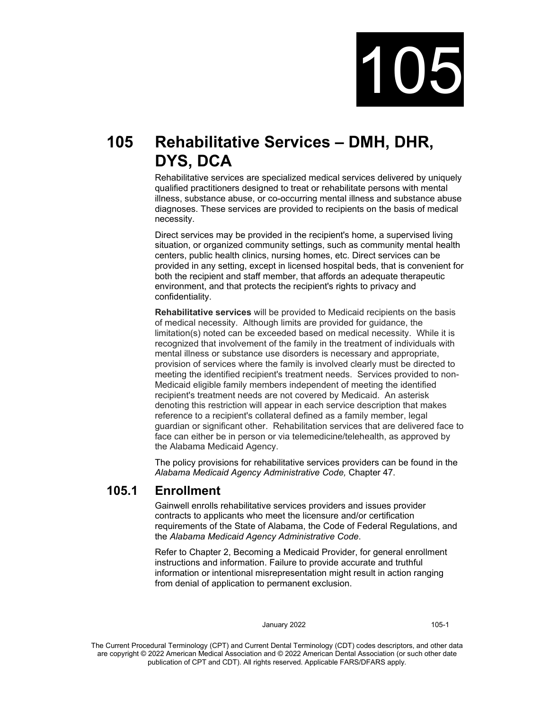

# **105 Rehabilitative Services – DMH, DHR, DYS, DCA**

Rehabilitative services are specialized medical services delivered by uniquely qualified practitioners designed to treat or rehabilitate persons with mental illness, substance abuse, or co-occurring mental illness and substance abuse diagnoses. These services are provided to recipients on the basis of medical necessity.

Direct services may be provided in the recipient's home, a supervised living situation, or organized community settings, such as community mental health centers, public health clinics, nursing homes, etc. Direct services can be provided in any setting, except in licensed hospital beds, that is convenient for both the recipient and staff member, that affords an adequate therapeutic environment, and that protects the recipient's rights to privacy and confidentiality.

**Rehabilitative services** will be provided to Medicaid recipients on the basis of medical necessity. Although limits are provided for guidance, the limitation(s) noted can be exceeded based on medical necessity. While it is recognized that involvement of the family in the treatment of individuals with mental illness or substance use disorders is necessary and appropriate, provision of services where the family is involved clearly must be directed to meeting the identified recipient's treatment needs. Services provided to non-Medicaid eligible family members independent of meeting the identified recipient's treatment needs are not covered by Medicaid. An asterisk denoting this restriction will appear in each service description that makes reference to a recipient's collateral defined as a family member, legal guardian or significant other. Rehabilitation services that are delivered face to face can either be in person or via telemedicine/telehealth, as approved by the Alabama Medicaid Agency.

The policy provisions for rehabilitative services providers can be found in the *Alabama Medicaid Agency Administrative Code,* Chapter 47.

# **105.1 Enrollment**

Gainwell enrolls rehabilitative services providers and issues provider contracts to applicants who meet the licensure and/or certification requirements of the State of Alabama, the Code of Federal Regulations, and the *Alabama Medicaid Agency Administrative Code*.

Refer to Chapter 2, Becoming a Medicaid Provider, for general enrollment instructions and information. Failure to provide accurate and truthful information or intentional misrepresentation might result in action ranging from denial of application to permanent exclusion.

#### January 2022 105-1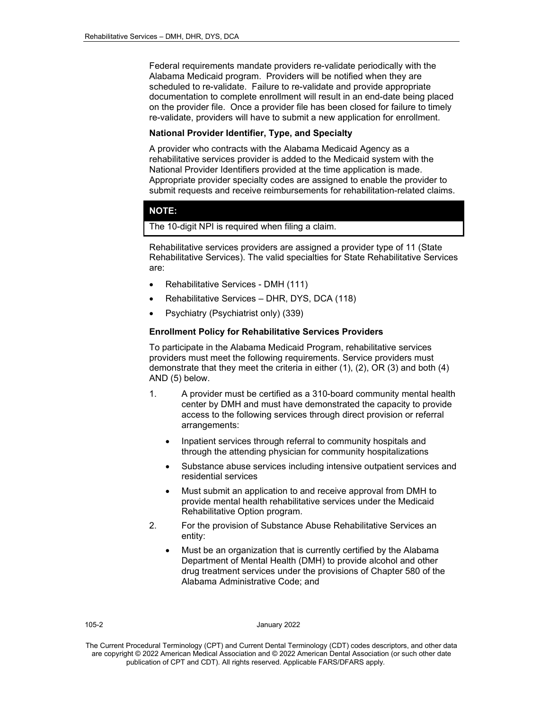Federal requirements mandate providers re-validate periodically with the Alabama Medicaid program. Providers will be notified when they are scheduled to re-validate. Failure to re-validate and provide appropriate documentation to complete enrollment will result in an end-date being placed on the provider file. Once a provider file has been closed for failure to timely re-validate, providers will have to submit a new application for enrollment.

#### **National Provider Identifier, Type, and Specialty**

A provider who contracts with the Alabama Medicaid Agency as a rehabilitative services provider is added to the Medicaid system with the National Provider Identifiers provided at the time application is made. Appropriate provider specialty codes are assigned to enable the provider to submit requests and receive reimbursements for rehabilitation-related claims.

#### **NOTE:**

The 10-digit NPI is required when filing a claim.

Rehabilitative services providers are assigned a provider type of 11 (State Rehabilitative Services). The valid specialties for State Rehabilitative Services are:

- Rehabilitative Services DMH (111)
- Rehabilitative Services DHR, DYS, DCA (118)
- Psychiatry (Psychiatrist only) (339)

#### **Enrollment Policy for Rehabilitative Services Providers**

To participate in the Alabama Medicaid Program, rehabilitative services providers must meet the following requirements. Service providers must demonstrate that they meet the criteria in either (1), (2), OR (3) and both (4) AND (5) below.

- 1. A provider must be certified as a 310-board community mental health center by DMH and must have demonstrated the capacity to provide access to the following services through direct provision or referral arrangements:
	- Inpatient services through referral to community hospitals and through the attending physician for community hospitalizations
	- Substance abuse services including intensive outpatient services and residential services
	- Must submit an application to and receive approval from DMH to provide mental health rehabilitative services under the Medicaid Rehabilitative Option program.
- 2. For the provision of Substance Abuse Rehabilitative Services an entity:
	- Must be an organization that is currently certified by the Alabama Department of Mental Health (DMH) to provide alcohol and other drug treatment services under the provisions of Chapter 580 of the Alabama Administrative Code; and

#### 105-2 January 2022

The Current Procedural Terminology (CPT) and Current Dental Terminology (CDT) codes descriptors, and other data are copyright © 2022 American Medical Association and © 2022 American Dental Association (or such other date publication of CPT and CDT). All rights reserved. Applicable FARS/DFARS apply*.*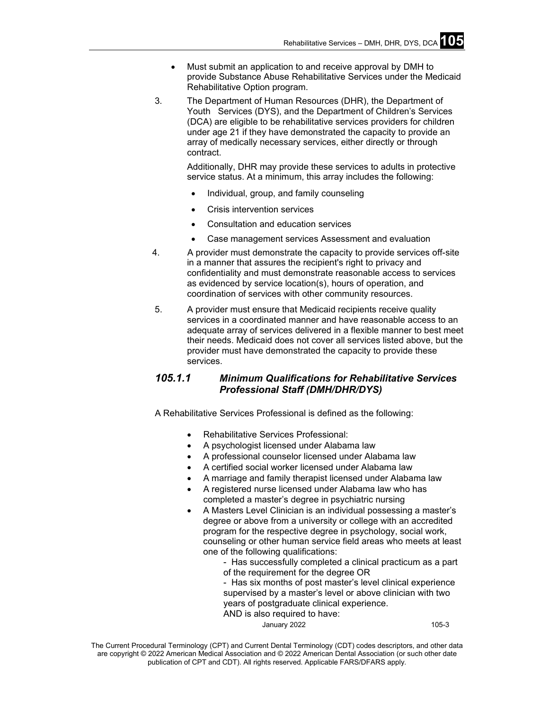- Must submit an application to and receive approval by DMH to provide Substance Abuse Rehabilitative Services under the Medicaid Rehabilitative Option program.
- 3. The Department of Human Resources (DHR), the Department of Youth Services (DYS), and the Department of Children's Services (DCA) are eligible to be rehabilitative services providers for children under age 21 if they have demonstrated the capacity to provide an array of medically necessary services, either directly or through contract.

Additionally, DHR may provide these services to adults in protective service status. At a minimum, this array includes the following:

- Individual, group, and family counseling
- Crisis intervention services
- Consultation and education services
- Case management services Assessment and evaluation
- 4. A provider must demonstrate the capacity to provide services off-site in a manner that assures the recipient's right to privacy and confidentiality and must demonstrate reasonable access to services as evidenced by service location(s), hours of operation, and coordination of services with other community resources.
- 5. A provider must ensure that Medicaid recipients receive quality services in a coordinated manner and have reasonable access to an adequate array of services delivered in a flexible manner to best meet their needs. Medicaid does not cover all services listed above, but the provider must have demonstrated the capacity to provide these services.

# *105.1.1 Minimum Qualifications for Rehabilitative Services Professional Staff (DMH/DHR/DYS)*

A Rehabilitative Services Professional is defined as the following:

- Rehabilitative Services Professional:
- A psychologist licensed under Alabama law
- A professional counselor licensed under Alabama law
- A certified social worker licensed under Alabama law
- A marriage and family therapist licensed under Alabama law
- A registered nurse licensed under Alabama law who has completed a master's degree in psychiatric nursing
- A Masters Level Clinician is an individual possessing a master's degree or above from a university or college with an accredited program for the respective degree in psychology, social work, counseling or other human service field areas who meets at least one of the following qualifications:
	- Has successfully completed a clinical practicum as a part of the requirement for the degree OR
	- Has six months of post master's level clinical experience supervised by a master's level or above clinician with two years of postgraduate clinical experience.
	- AND is also required to have:

January 2022 105-3

The Current Procedural Terminology (CPT) and Current Dental Terminology (CDT) codes descriptors, and other data are copyright © 2022 American Medical Association and © 2022 American Dental Association (or such other date publication of CPT and CDT). All rights reserved. Applicable FARS/DFARS apply*.*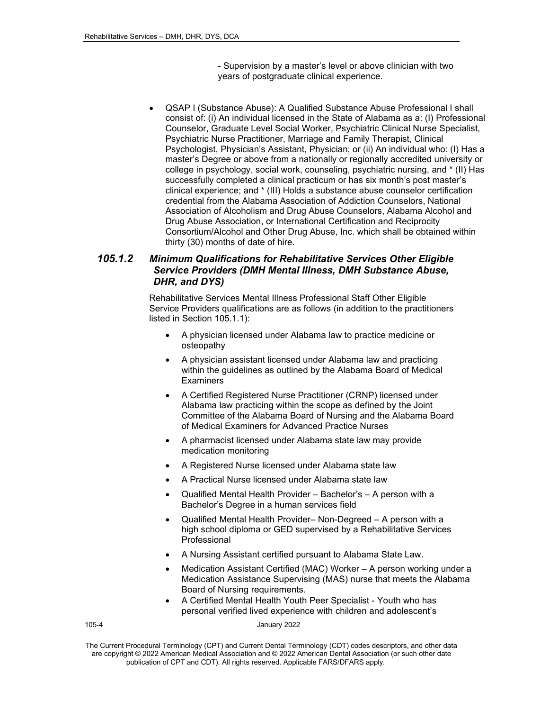- Supervision by a master's level or above clinician with two years of postgraduate clinical experience.

• QSAP I (Substance Abuse): A Qualified Substance Abuse Professional I shall consist of: (i) An individual licensed in the State of Alabama as a: (I) Professional Counselor, Graduate Level Social Worker, Psychiatric Clinical Nurse Specialist, Psychiatric Nurse Practitioner, Marriage and Family Therapist, Clinical Psychologist, Physician's Assistant, Physician; or (ii) An individual who: (I) Has a master's Degree or above from a nationally or regionally accredited university or college in psychology, social work, counseling, psychiatric nursing, and \* (II) Has successfully completed a clinical practicum or has six month's post master's clinical experience; and \* (III) Holds a substance abuse counselor certification credential from the Alabama Association of Addiction Counselors, National Association of Alcoholism and Drug Abuse Counselors, Alabama Alcohol and Drug Abuse Association, or International Certification and Reciprocity Consortium/Alcohol and Other Drug Abuse, Inc. which shall be obtained within thirty (30) months of date of hire.

# *105.1.2 Minimum Qualifications for Rehabilitative Services Other Eligible Service Providers (DMH Mental Illness, DMH Substance Abuse, DHR, and DYS)*

Rehabilitative Services Mental Illness Professional Staff Other Eligible Service Providers qualifications are as follows (in addition to the practitioners listed in Section 105.1.1):

- A physician licensed under Alabama law to practice medicine or osteopathy
- A physician assistant licensed under Alabama law and practicing within the guidelines as outlined by the Alabama Board of Medical **Examiners**
- A Certified Registered Nurse Practitioner (CRNP) licensed under Alabama law practicing within the scope as defined by the Joint Committee of the Alabama Board of Nursing and the Alabama Board of Medical Examiners for Advanced Practice Nurses
- A pharmacist licensed under Alabama state law may provide medication monitoring
- A Registered Nurse licensed under Alabama state law
- A Practical Nurse licensed under Alabama state law
- Qualified Mental Health Provider Bachelor's A person with a Bachelor's Degree in a human services field
- Qualified Mental Health Provider– Non-Degreed A person with a high school diploma or GED supervised by a Rehabilitative Services Professional
- A Nursing Assistant certified pursuant to Alabama State Law.
- Medication Assistant Certified (MAC) Worker A person working under a Medication Assistance Supervising (MAS) nurse that meets the Alabama Board of Nursing requirements.
- A Certified Mental Health Youth Peer Specialist Youth who has personal verified lived experience with children and adolescent's

105-4 January 2022

The Current Procedural Terminology (CPT) and Current Dental Terminology (CDT) codes descriptors, and other data are copyright © 2022 American Medical Association and © 2022 American Dental Association (or such other date publication of CPT and CDT). All rights reserved. Applicable FARS/DFARS apply*.*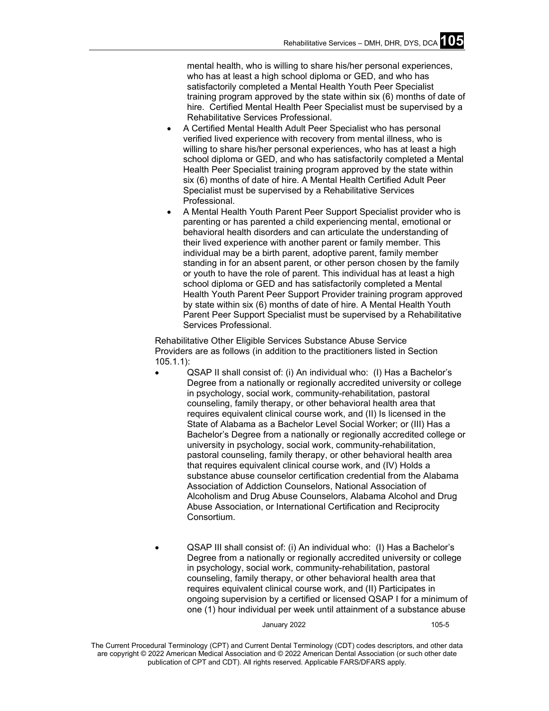mental health, who is willing to share his/her personal experiences, who has at least a high school diploma or GED, and who has satisfactorily completed a Mental Health Youth Peer Specialist training program approved by the state within six (6) months of date of hire. Certified Mental Health Peer Specialist must be supervised by a Rehabilitative Services Professional.

- A Certified Mental Health Adult Peer Specialist who has personal verified lived experience with recovery from mental illness, who is willing to share his/her personal experiences, who has at least a high school diploma or GED, and who has satisfactorily completed a Mental Health Peer Specialist training program approved by the state within six (6) months of date of hire. A Mental Health Certified Adult Peer Specialist must be supervised by a Rehabilitative Services Professional.
- A Mental Health Youth Parent Peer Support Specialist provider who is parenting or has parented a child experiencing mental, emotional or behavioral health disorders and can articulate the understanding of their lived experience with another parent or family member. This individual may be a birth parent, adoptive parent, family member standing in for an absent parent, or other person chosen by the family or youth to have the role of parent. This individual has at least a high school diploma or GED and has satisfactorily completed a Mental Health Youth Parent Peer Support Provider training program approved by state within six (6) months of date of hire. A Mental Health Youth Parent Peer Support Specialist must be supervised by a Rehabilitative Services Professional.

Rehabilitative Other Eligible Services Substance Abuse Service Providers are as follows (in addition to the practitioners listed in Section 105.1.1):

- QSAP II shall consist of: (i) An individual who: (I) Has a Bachelor's Degree from a nationally or regionally accredited university or college in psychology, social work, community-rehabilitation, pastoral counseling, family therapy, or other behavioral health area that requires equivalent clinical course work, and (II) Is licensed in the State of Alabama as a Bachelor Level Social Worker; or (III) Has a Bachelor's Degree from a nationally or regionally accredited college or university in psychology, social work, community-rehabilitation, pastoral counseling, family therapy, or other behavioral health area that requires equivalent clinical course work, and (IV) Holds a substance abuse counselor certification credential from the Alabama Association of Addiction Counselors, National Association of Alcoholism and Drug Abuse Counselors, Alabama Alcohol and Drug Abuse Association, or International Certification and Reciprocity Consortium.
- QSAP III shall consist of: (i) An individual who: (I) Has a Bachelor's Degree from a nationally or regionally accredited university or college in psychology, social work, community-rehabilitation, pastoral counseling, family therapy, or other behavioral health area that requires equivalent clinical course work, and (II) Participates in ongoing supervision by a certified or licensed QSAP I for a minimum of one (1) hour individual per week until attainment of a substance abuse

January 2022 105-5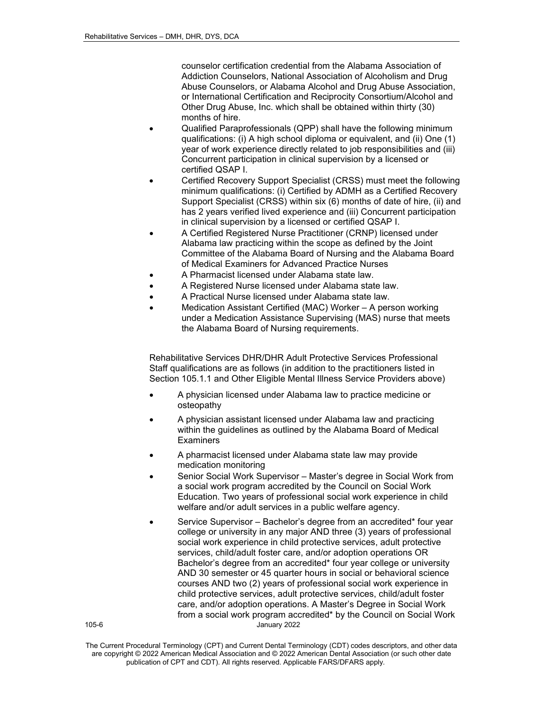counselor certification credential from the Alabama Association of Addiction Counselors, National Association of Alcoholism and Drug Abuse Counselors, or Alabama Alcohol and Drug Abuse Association, or International Certification and Reciprocity Consortium/Alcohol and Other Drug Abuse, Inc. which shall be obtained within thirty (30) months of hire.

- Qualified Paraprofessionals (QPP) shall have the following minimum qualifications: (i) A high school diploma or equivalent, and (ii) One (1) year of work experience directly related to job responsibilities and (iii) Concurrent participation in clinical supervision by a licensed or certified QSAP I.
- Certified Recovery Support Specialist (CRSS) must meet the following minimum qualifications: (i) Certified by ADMH as a Certified Recovery Support Specialist (CRSS) within six (6) months of date of hire, (ii) and has 2 years verified lived experience and (iii) Concurrent participation in clinical supervision by a licensed or certified QSAP I.
- A Certified Registered Nurse Practitioner (CRNP) licensed under Alabama law practicing within the scope as defined by the Joint Committee of the Alabama Board of Nursing and the Alabama Board of Medical Examiners for Advanced Practice Nurses
- A Pharmacist licensed under Alabama state law.
- A Registered Nurse licensed under Alabama state law.
- A Practical Nurse licensed under Alabama state law.
- Medication Assistant Certified (MAC) Worker A person working under a Medication Assistance Supervising (MAS) nurse that meets the Alabama Board of Nursing requirements.

Rehabilitative Services DHR/DHR Adult Protective Services Professional Staff qualifications are as follows (in addition to the practitioners listed in Section 105.1.1 and Other Eligible Mental Illness Service Providers above)

- A physician licensed under Alabama law to practice medicine or osteopathy
- A physician assistant licensed under Alabama law and practicing within the guidelines as outlined by the Alabama Board of Medical **Examiners**
- A pharmacist licensed under Alabama state law may provide medication monitoring
- Senior Social Work Supervisor Master's degree in Social Work from a social work program accredited by the Council on Social Work Education. Two years of professional social work experience in child welfare and/or adult services in a public welfare agency.
- 105-6 January 2022 Service Supervisor – Bachelor's degree from an accredited\* four year college or university in any major AND three (3) years of professional social work experience in child protective services, adult protective services, child/adult foster care, and/or adoption operations OR Bachelor's degree from an accredited\* four year college or university AND 30 semester or 45 quarter hours in social or behavioral science courses AND two (2) years of professional social work experience in child protective services, adult protective services, child/adult foster care, and/or adoption operations. A Master's Degree in Social Work from a social work program accredited\* by the Council on Social Work

The Current Procedural Terminology (CPT) and Current Dental Terminology (CDT) codes descriptors, and other data are copyright © 2022 American Medical Association and © 2022 American Dental Association (or such other date publication of CPT and CDT). All rights reserved. Applicable FARS/DFARS apply*.*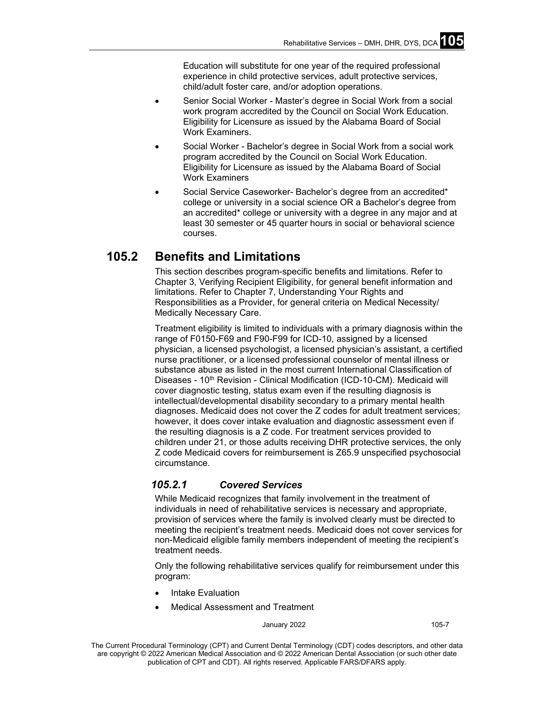Education will substitute for one year of the required professional experience in child protective services, adult protective services, child/adult foster care, and/or adoption operations.

- Senior Social Worker Master's degree in Social Work from a social work program accredited by the Council on Social Work Education. Eligibility for Licensure as issued by the Alabama Board of Social Work Examiners.
- Social Worker Bachelor's degree in Social Work from a social work program accredited by the Council on Social Work Education. Eligibility for Licensure as issued by the Alabama Board of Social Work Examiners
- Social Service Caseworker- Bachelor's degree from an accredited\* college or university in a social science OR a Bachelor's degree from an accredited\* college or university with a degree in any major and at least 30 semester or 45 quarter hours in social or behavioral science courses.

# **105.2 Benefits and Limitations**

This section describes program-specific benefits and limitations. Refer to Chapter 3, Verifying Recipient Eligibility, for general benefit information and limitations. Refer to Chapter 7, Understanding Your Rights and Responsibilities as a Provider, for general criteria on Medical Necessity/ Medically Necessary Care.

Treatment eligibility is limited to individuals with a primary diagnosis within the range of F0150-F69 and F90-F99 for ICD-10, assigned by a licensed physician, a licensed psychologist, a licensed physician's assistant, a certified nurse practitioner, or a licensed professional counselor of mental illness or substance abuse as listed in the most current International Classification of Diseases - 10<sup>th</sup> Revision - Clinical Modification (ICD-10-CM). Medicaid will cover diagnostic testing, status exam even if the resulting diagnosis is intellectual/developmental disability secondary to a primary mental health diagnoses. Medicaid does not cover the Z codes for adult treatment services; however, it does cover intake evaluation and diagnostic assessment even if the resulting diagnosis is a Z code. For treatment services provided to children under 21, or those adults receiving DHR protective services, the only Z code Medicaid covers for reimbursement is Z65.9 unspecified psychosocial circumstance.

# *105.2.1 Covered Services*

While Medicaid recognizes that family involvement in the treatment of individuals in need of rehabilitative services is necessary and appropriate, provision of services where the family is involved clearly must be directed to meeting the recipient's treatment needs. Medicaid does not cover services for non-Medicaid eligible family members independent of meeting the recipient's treatment needs.

Only the following rehabilitative services qualify for reimbursement under this program:

- Intake Evaluation
- Medical Assessment and Treatment

January 2022 105-7

The Current Procedural Terminology (CPT) and Current Dental Terminology (CDT) codes descriptors, and other data are copyright © 2022 American Medical Association and © 2022 American Dental Association (or such other date publication of CPT and CDT). All rights reserved. Applicable FARS/DFARS apply*.*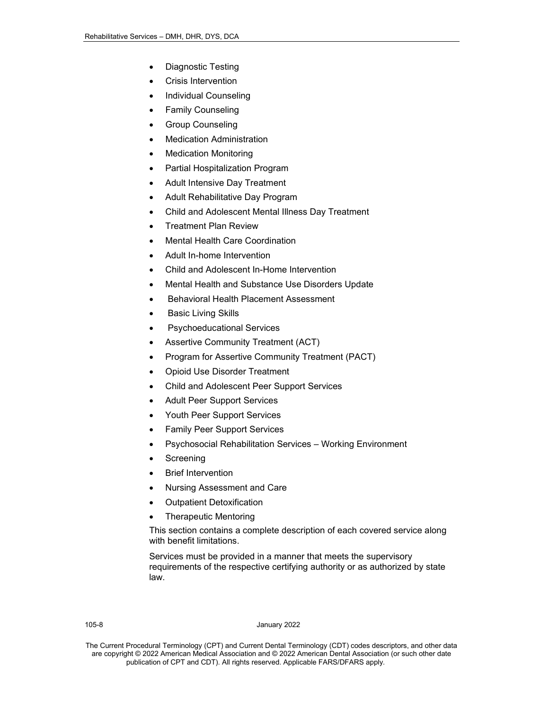- Diagnostic Testing
- Crisis Intervention
- Individual Counseling
- Family Counseling
- Group Counseling
- Medication Administration
- **Medication Monitoring**
- Partial Hospitalization Program
- Adult Intensive Day Treatment
- Adult Rehabilitative Day Program
- Child and Adolescent Mental Illness Day Treatment
- Treatment Plan Review
- Mental Health Care Coordination
- Adult In-home Intervention
- Child and Adolescent In-Home Intervention
- Mental Health and Substance Use Disorders Update
- Behavioral Health Placement Assessment
- **Basic Living Skills**
- Psychoeducational Services
- Assertive Community Treatment (ACT)
- Program for Assertive Community Treatment (PACT)
- Opioid Use Disorder Treatment
- Child and Adolescent Peer Support Services
- Adult Peer Support Services
- Youth Peer Support Services
- Family Peer Support Services
- Psychosocial Rehabilitation Services Working Environment
- **Screening**
- **Brief Intervention**
- Nursing Assessment and Care
- Outpatient Detoxification
- Therapeutic Mentoring

This section contains a complete description of each covered service along with benefit limitations.

Services must be provided in a manner that meets the supervisory requirements of the respective certifying authority or as authorized by state law.

#### 105-8 January 2022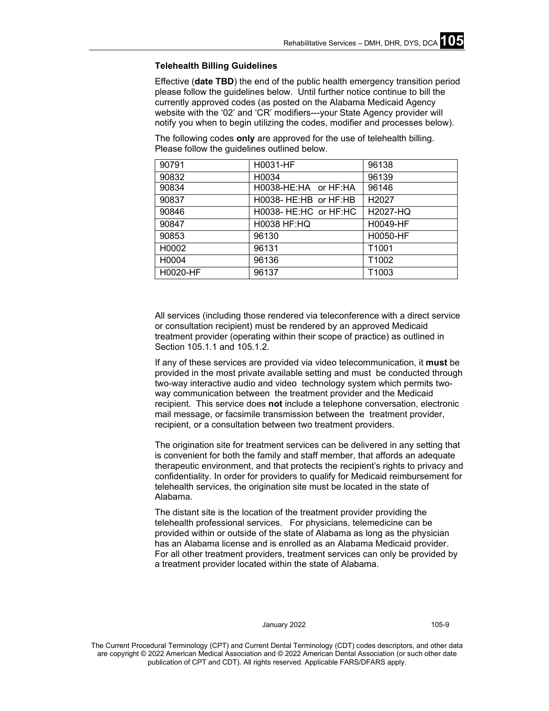#### **Telehealth Billing Guidelines**

Effective (**date TBD**) the end of the public health emergency transition period please follow the guidelines below. Until further notice continue to bill the currently approved codes (as posted on the Alabama Medicaid Agency website with the '02' and 'CR' modifiers---your State Agency provider will notify you when to begin utilizing the codes, modifier and processes below).

The following codes **only** are approved for the use of telehealth billing. Please follow the guidelines outlined below.

| 90791    | H0031-HF              | 96138             |
|----------|-----------------------|-------------------|
| 90832    | H0034                 | 96139             |
| 90834    | H0038-HE:HA or HF:HA  | 96146             |
| 90837    | H0038- HE:HB or HF:HB | H2027             |
| 90846    | H0038- HE:HC or HF:HC | H2027-HQ          |
| 90847    | H0038 HF:HQ           | H0049-HF          |
| 90853    | 96130                 | H0050-HF          |
| H0002    | 96131                 | T <sub>1001</sub> |
| H0004    | 96136                 | T <sub>1002</sub> |
| H0020-HF | 96137                 | T <sub>1003</sub> |

All services (including those rendered via teleconference with a direct service or consultation recipient) must be rendered by an approved Medicaid treatment provider (operating within their scope of practice) as outlined in Section 105.1.1 and 105.1.2.

If any of these services are provided via video telecommunication, it **must** be provided in the most private available setting and must be conducted through two-way interactive audio and video technology system which permits twoway communication between the treatment provider and the Medicaid recipient. This service does **not** include a telephone conversation, electronic mail message, or facsimile transmission between the treatment provider, recipient, or a consultation between two treatment providers.

The origination site for treatment services can be delivered in any setting that is convenient for both the family and staff member, that affords an adequate therapeutic environment, and that protects the recipient's rights to privacy and confidentiality. In order for providers to qualify for Medicaid reimbursement for telehealth services, the origination site must be located in the state of Alabama.

The distant site is the location of the treatment provider providing the telehealth professional services. For physicians, telemedicine can be provided within or outside of the state of Alabama as long as the physician has an Alabama license and is enrolled as an Alabama Medicaid provider. For all other treatment providers, treatment services can only be provided by a treatment provider located within the state of Alabama.

#### January 2022 105-9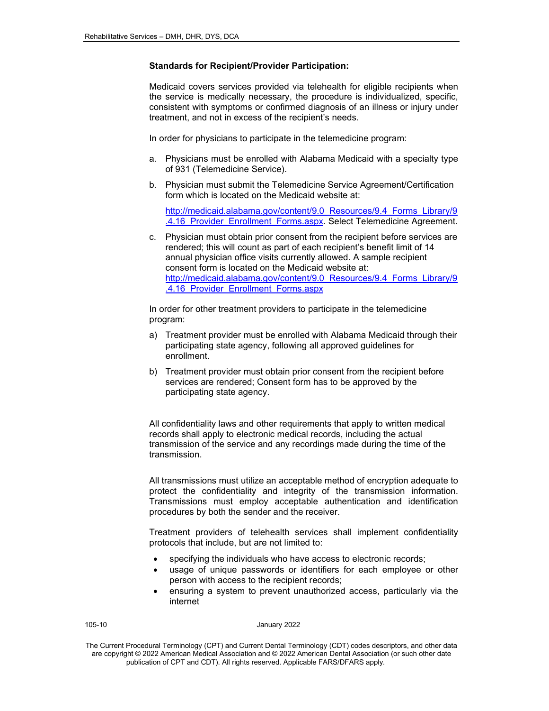#### **Standards for Recipient/Provider Participation:**

Medicaid covers services provided via telehealth for eligible recipients when the service is medically necessary, the procedure is individualized, specific, consistent with symptoms or confirmed diagnosis of an illness or injury under treatment, and not in excess of the recipient's needs.

In order for physicians to participate in the telemedicine program:

- a. Physicians must be enrolled with Alabama Medicaid with a specialty type of 931 (Telemedicine Service).
- b. Physician must submit the Telemedicine Service Agreement/Certification form which is located on the Medicaid website at:

[http://medicaid.alabama.gov/content/9.0\\_Resources/9.4\\_Forms\\_Library/9](http://medicaid.alabama.gov/content/9.0_Resources/9.4_Forms_Library/9.4.16_Provider_Enrollment_Forms.aspx) .4.16 Provider Enrollment Forms.aspx. Select Telemedicine Agreement.

c. Physician must obtain prior consent from the recipient before services are rendered; this will count as part of each recipient's benefit limit of 14 annual physician office visits currently allowed. A sample recipient consent form is located on the Medicaid website at: [http://medicaid.alabama.gov/content/9.0\\_Resources/9.4\\_Forms\\_Library/9](http://medicaid.alabama.gov/content/9.0_Resources/9.4_Forms_Library/9.4.16_Provider_Enrollment_Forms.aspx) [.4.16\\_Provider\\_Enrollment\\_Forms.aspx](http://medicaid.alabama.gov/content/9.0_Resources/9.4_Forms_Library/9.4.16_Provider_Enrollment_Forms.aspx)

In order for other treatment providers to participate in the telemedicine program:

- a) Treatment provider must be enrolled with Alabama Medicaid through their participating state agency, following all approved guidelines for enrollment.
- b) Treatment provider must obtain prior consent from the recipient before services are rendered; Consent form has to be approved by the participating state agency.

All confidentiality laws and other requirements that apply to written medical records shall apply to electronic medical records, including the actual transmission of the service and any recordings made during the time of the transmission.

All transmissions must utilize an acceptable method of encryption adequate to protect the confidentiality and integrity of the transmission information. Transmissions must employ acceptable authentication and identification procedures by both the sender and the receiver.

Treatment providers of telehealth services shall implement confidentiality protocols that include, but are not limited to:

- specifying the individuals who have access to electronic records;
- usage of unique passwords or identifiers for each employee or other person with access to the recipient records;
- ensuring a system to prevent unauthorized access, particularly via the internet

105-10 January 2022

The Current Procedural Terminology (CPT) and Current Dental Terminology (CDT) codes descriptors, and other data are copyright © 2022 American Medical Association and © 2022 American Dental Association (or such other date publication of CPT and CDT). All rights reserved. Applicable FARS/DFARS apply*.*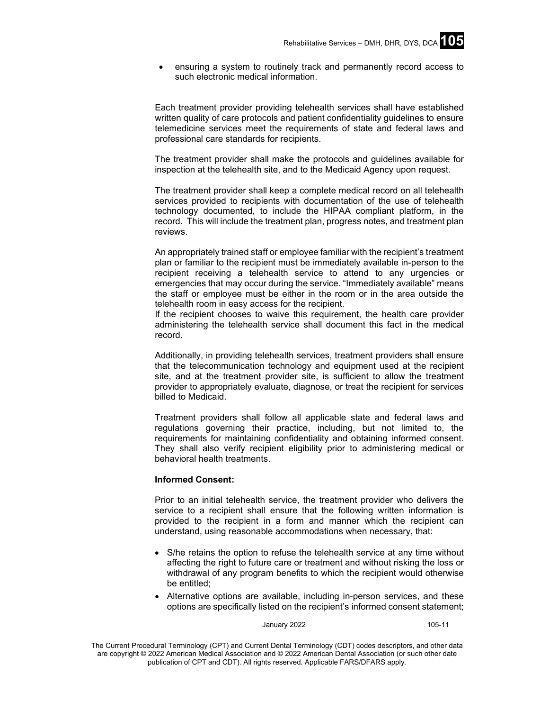• ensuring a system to routinely track and permanently record access to such electronic medical information.

Each treatment provider providing telehealth services shall have established written quality of care protocols and patient confidentiality guidelines to ensure telemedicine services meet the requirements of state and federal laws and professional care standards for recipients.

The treatment provider shall make the protocols and guidelines available for inspection at the telehealth site, and to the Medicaid Agency upon request.

The treatment provider shall keep a complete medical record on all telehealth services provided to recipients with documentation of the use of telehealth technology documented, to include the HIPAA compliant platform, in the record. This will include the treatment plan, progress notes, and treatment plan reviews.

An appropriately trained staff or employee familiar with the recipient's treatment plan or familiar to the recipient must be immediately available in-person to the recipient receiving a telehealth service to attend to any urgencies or emergencies that may occur during the service. "Immediately available" means the staff or employee must be either in the room or in the area outside the telehealth room in easy access for the recipient.

If the recipient chooses to waive this requirement, the health care provider administering the telehealth service shall document this fact in the medical record.

Additionally, in providing telehealth services, treatment providers shall ensure that the telecommunication technology and equipment used at the recipient site, and at the treatment provider site, is sufficient to allow the treatment provider to appropriately evaluate, diagnose, or treat the recipient for services billed to Medicaid.

Treatment providers shall follow all applicable state and federal laws and regulations governing their practice, including, but not limited to, the requirements for maintaining confidentiality and obtaining informed consent. They shall also verify recipient eligibility prior to administering medical or behavioral health treatments.

#### **Informed Consent:**

Prior to an initial telehealth service, the treatment provider who delivers the service to a recipient shall ensure that the following written information is provided to the recipient in a form and manner which the recipient can understand, using reasonable accommodations when necessary, that:

- S/he retains the option to refuse the telehealth service at any time without affecting the right to future care or treatment and without risking the loss or withdrawal of any program benefits to which the recipient would otherwise be entitled;
- Alternative options are available, including in-person services, and these options are specifically listed on the recipient's informed consent statement;

January 2022 105-11

The Current Procedural Terminology (CPT) and Current Dental Terminology (CDT) codes descriptors, and other data are copyright © 2022 American Medical Association and © 2022 American Dental Association (or such other date publication of CPT and CDT). All rights reserved. Applicable FARS/DFARS apply*.*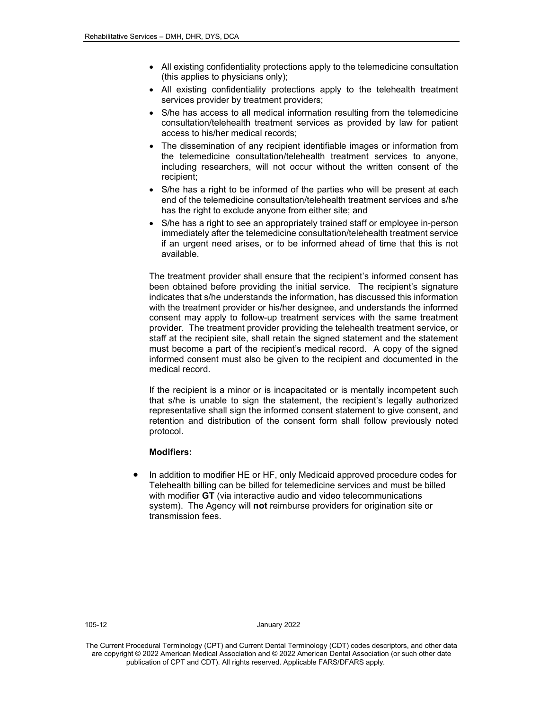- All existing confidentiality protections apply to the telemedicine consultation (this applies to physicians only);
- All existing confidentiality protections apply to the telehealth treatment services provider by treatment providers;
- S/he has access to all medical information resulting from the telemedicine consultation/telehealth treatment services as provided by law for patient access to his/her medical records;
- The dissemination of any recipient identifiable images or information from the telemedicine consultation/telehealth treatment services to anyone, including researchers, will not occur without the written consent of the recipient;
- S/he has a right to be informed of the parties who will be present at each end of the telemedicine consultation/telehealth treatment services and s/he has the right to exclude anyone from either site; and
- S/he has a right to see an appropriately trained staff or employee in-person immediately after the telemedicine consultation/telehealth treatment service if an urgent need arises, or to be informed ahead of time that this is not available.

The treatment provider shall ensure that the recipient's informed consent has been obtained before providing the initial service. The recipient's signature indicates that s/he understands the information, has discussed this information with the treatment provider or his/her designee, and understands the informed consent may apply to follow-up treatment services with the same treatment provider. The treatment provider providing the telehealth treatment service, or staff at the recipient site, shall retain the signed statement and the statement must become a part of the recipient's medical record. A copy of the signed informed consent must also be given to the recipient and documented in the medical record.

If the recipient is a minor or is incapacitated or is mentally incompetent such that s/he is unable to sign the statement, the recipient's legally authorized representative shall sign the informed consent statement to give consent, and retention and distribution of the consent form shall follow previously noted protocol.

#### **Modifiers:**

• In addition to modifier HE or HF, only Medicaid approved procedure codes for Telehealth billing can be billed for telemedicine services and must be billed with modifier **GT** (via interactive audio and video telecommunications system). The Agency will **not** reimburse providers for origination site or transmission fees.

105-12 January 2022

The Current Procedural Terminology (CPT) and Current Dental Terminology (CDT) codes descriptors, and other data are copyright © 2022 American Medical Association and © 2022 American Dental Association (or such other date publication of CPT and CDT). All rights reserved. Applicable FARS/DFARS apply*.*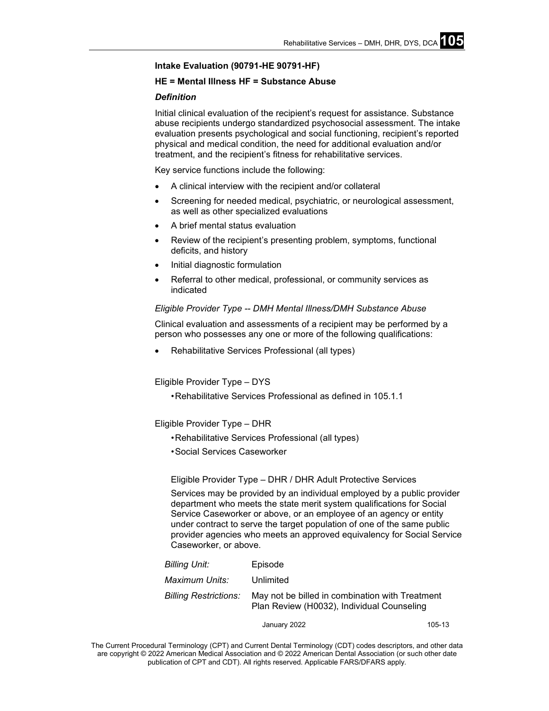#### **Intake Evaluation (90791-HE 90791-HF)**

#### **HE = Mental Illness HF = Substance Abuse**

#### *Definition*

Initial clinical evaluation of the recipient's request for assistance. Substance abuse recipients undergo standardized psychosocial assessment. The intake evaluation presents psychological and social functioning, recipient's reported physical and medical condition, the need for additional evaluation and/or treatment, and the recipient's fitness for rehabilitative services.

Key service functions include the following:

- A clinical interview with the recipient and/or collateral
- Screening for needed medical, psychiatric, or neurological assessment, as well as other specialized evaluations
- A brief mental status evaluation
- Review of the recipient's presenting problem, symptoms, functional deficits, and history
- Initial diagnostic formulation
- Referral to other medical, professional, or community services as indicated

#### *Eligible Provider Type -- DMH Mental Illness/DMH Substance Abuse*

Clinical evaluation and assessments of a recipient may be performed by a person who possesses any one or more of the following qualifications:

• Rehabilitative Services Professional (all types)

Eligible Provider Type – DYS

•Rehabilitative Services Professional as defined in 105.1.1

Eligible Provider Type – DHR

- •Rehabilitative Services Professional (all types)
- •Social Services Caseworker

Eligible Provider Type – DHR / DHR Adult Protective Services

Services may be provided by an individual employed by a public provider department who meets the state merit system qualifications for Social Service Caseworker or above, or an employee of an agency or entity under contract to serve the target population of one of the same public provider agencies who meets an approved equivalency for Social Service Caseworker, or above.

| Billing Unit:         | Episode                                                                                       |
|-----------------------|-----------------------------------------------------------------------------------------------|
| Maximum Units:        | Unlimited                                                                                     |
| Billing Restrictions: | May not be billed in combination with Treatment<br>Plan Review (H0032), Individual Counseling |

January 2022 105-13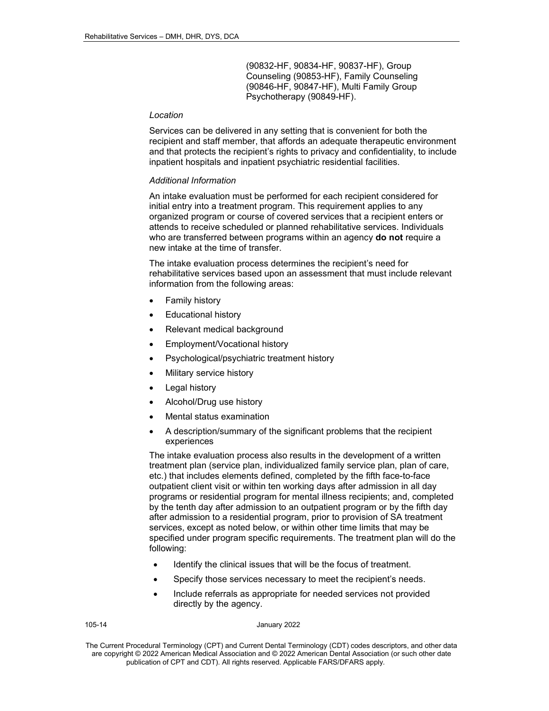(90832-HF, 90834-HF, 90837-HF), Group Counseling (90853-HF), Family Counseling (90846-HF, 90847-HF), Multi Family Group Psychotherapy (90849-HF).

#### *Location*

Services can be delivered in any setting that is convenient for both the recipient and staff member, that affords an adequate therapeutic environment and that protects the recipient's rights to privacy and confidentiality, to include inpatient hospitals and inpatient psychiatric residential facilities.

#### *Additional Information*

An intake evaluation must be performed for each recipient considered for initial entry into a treatment program. This requirement applies to any organized program or course of covered services that a recipient enters or attends to receive scheduled or planned rehabilitative services. Individuals who are transferred between programs within an agency **do not** require a new intake at the time of transfer.

The intake evaluation process determines the recipient's need for rehabilitative services based upon an assessment that must include relevant information from the following areas:

- Family history
- Educational history
- Relevant medical background
- Employment/Vocational history
- Psychological/psychiatric treatment history
- Military service history
- Legal history
- Alcohol/Drug use history
- Mental status examination
- A description/summary of the significant problems that the recipient experiences

The intake evaluation process also results in the development of a written treatment plan (service plan, individualized family service plan, plan of care, etc.) that includes elements defined, completed by the fifth face-to-face outpatient client visit or within ten working days after admission in all day programs or residential program for mental illness recipients; and, completed by the tenth day after admission to an outpatient program or by the fifth day after admission to a residential program, prior to provision of SA treatment services, except as noted below, or within other time limits that may be specified under program specific requirements. The treatment plan will do the following:

- Identify the clinical issues that will be the focus of treatment.
- Specify those services necessary to meet the recipient's needs.
- Include referrals as appropriate for needed services not provided directly by the agency.

|--|--|

#### January 2022

The Current Procedural Terminology (CPT) and Current Dental Terminology (CDT) codes descriptors, and other data are copyright © 2022 American Medical Association and © 2022 American Dental Association (or such other date publication of CPT and CDT). All rights reserved. Applicable FARS/DFARS apply*.*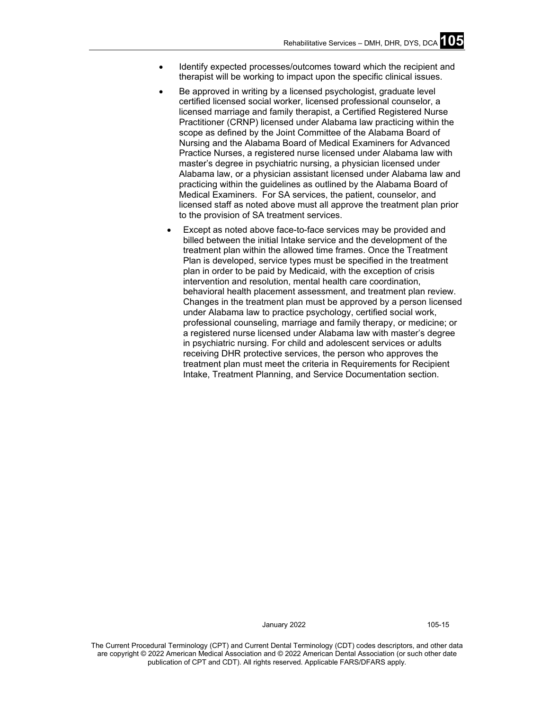- Identify expected processes/outcomes toward which the recipient and therapist will be working to impact upon the specific clinical issues.
- Be approved in writing by a licensed psychologist, graduate level certified licensed social worker, licensed professional counselor, a licensed marriage and family therapist, a Certified Registered Nurse Practitioner (CRNP) licensed under Alabama law practicing within the scope as defined by the Joint Committee of the Alabama Board of Nursing and the Alabama Board of Medical Examiners for Advanced Practice Nurses, a registered nurse licensed under Alabama law with master's degree in psychiatric nursing, a physician licensed under Alabama law, or a physician assistant licensed under Alabama law and practicing within the guidelines as outlined by the Alabama Board of Medical Examiners. For SA services, the patient, counselor, and licensed staff as noted above must all approve the treatment plan prior to the provision of SA treatment services.
	- Except as noted above face-to-face services may be provided and billed between the initial Intake service and the development of the treatment plan within the allowed time frames. Once the Treatment Plan is developed, service types must be specified in the treatment plan in order to be paid by Medicaid, with the exception of crisis intervention and resolution, mental health care coordination, behavioral health placement assessment, and treatment plan review. Changes in the treatment plan must be approved by a person licensed under Alabama law to practice psychology, certified social work, professional counseling, marriage and family therapy, or medicine; or a registered nurse licensed under Alabama law with master's degree in psychiatric nursing. For child and adolescent services or adults receiving DHR protective services, the person who approves the treatment plan must meet the criteria in Requirements for Recipient Intake, Treatment Planning, and Service Documentation section.

January 2022 105-15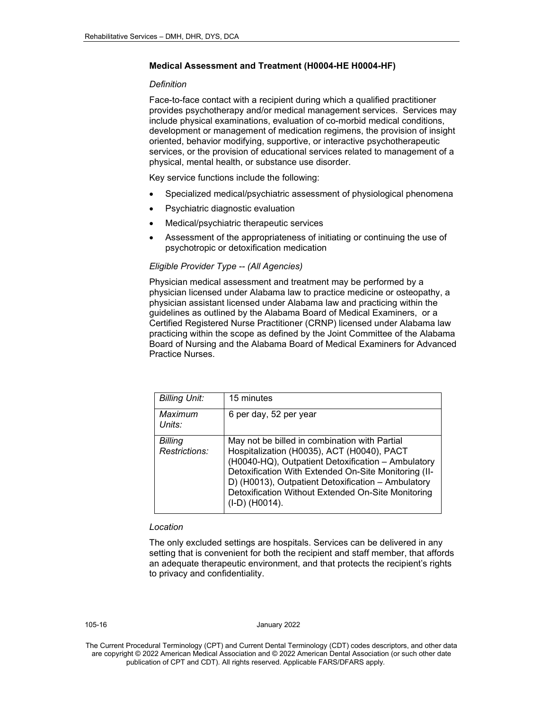#### **Medical Assessment and Treatment (H0004-HE H0004-HF)**

#### *Definition*

Face-to-face contact with a recipient during which a qualified practitioner provides psychotherapy and/or medical management services. Services may include physical examinations, evaluation of co-morbid medical conditions, development or management of medication regimens, the provision of insight oriented, behavior modifying, supportive, or interactive psychotherapeutic services, or the provision of educational services related to management of a physical, mental health, or substance use disorder.

Key service functions include the following:

- Specialized medical/psychiatric assessment of physiological phenomena
- Psychiatric diagnostic evaluation
- Medical/psychiatric therapeutic services
- Assessment of the appropriateness of initiating or continuing the use of psychotropic or detoxification medication

#### *Eligible Provider Type -- (All Agencies)*

Physician medical assessment and treatment may be performed by a physician licensed under Alabama law to practice medicine or osteopathy, a physician assistant licensed under Alabama law and practicing within the guidelines as outlined by the Alabama Board of Medical Examiners, or a Certified Registered Nurse Practitioner (CRNP) licensed under Alabama law practicing within the scope as defined by the Joint Committee of the Alabama Board of Nursing and the Alabama Board of Medical Examiners for Advanced Practice Nurses.

| <b>Billing Unit:</b>     | 15 minutes                                                                                                                                                                                                                                                                                                                              |
|--------------------------|-----------------------------------------------------------------------------------------------------------------------------------------------------------------------------------------------------------------------------------------------------------------------------------------------------------------------------------------|
| Maximum<br>Units:        | 6 per day, 52 per year                                                                                                                                                                                                                                                                                                                  |
| Billing<br>Restrictions: | May not be billed in combination with Partial<br>Hospitalization (H0035), ACT (H0040), PACT<br>(H0040-HQ), Outpatient Detoxification - Ambulatory<br>Detoxification With Extended On-Site Monitoring (II-<br>D) (H0013), Outpatient Detoxification - Ambulatory<br>Detoxification Without Extended On-Site Monitoring<br>(I-D) (H0014). |

#### *Location*

The only excluded settings are hospitals. Services can be delivered in any setting that is convenient for both the recipient and staff member, that affords an adequate therapeutic environment, and that protects the recipient's rights to privacy and confidentiality.

#### 105-16 January 2022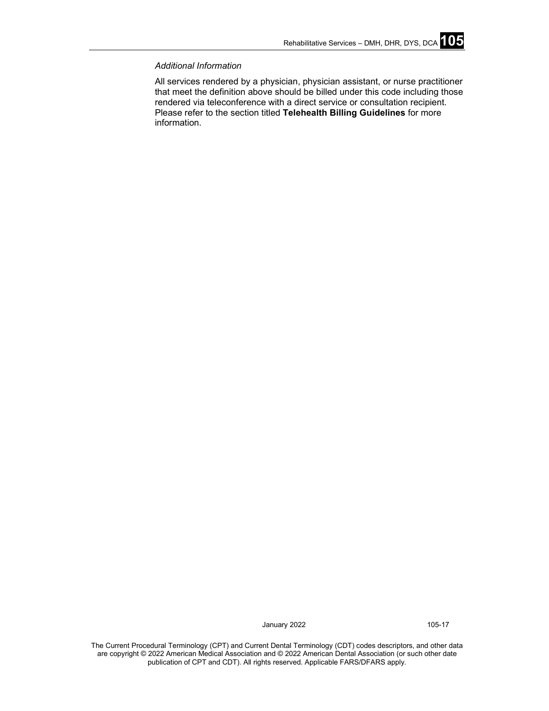#### *Additional Information*

All services rendered by a physician, physician assistant, or nurse practitioner that meet the definition above should be billed under this code including those rendered via teleconference with a direct service or consultation recipient. Please refer to the section titled **Telehealth Billing Guidelines** for more information.

January 2022 105-17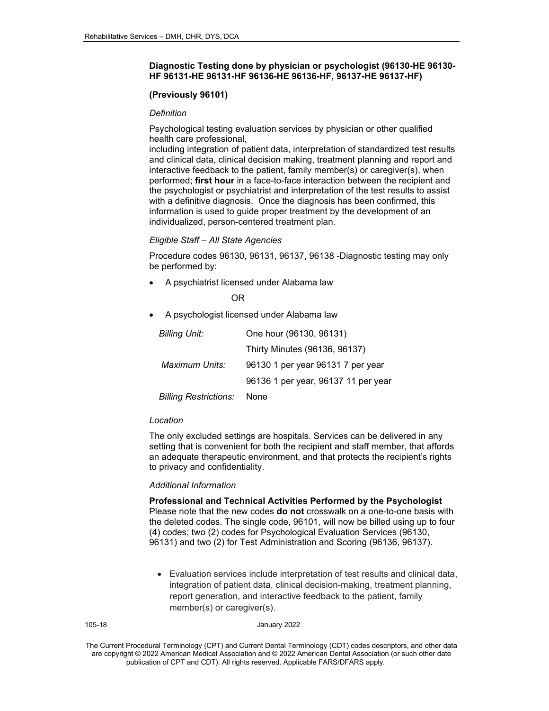#### **Diagnostic Testing done by physician or psychologist (96130-HE 96130- HF 96131-HE 96131-HF 96136-HE 96136-HF, 96137-HE 96137-HF)**

#### **(Previously 96101)**

#### *Definition*

Psychological testing evaluation services by physician or other qualified health care professional,

including integration of patient data, interpretation of standardized test results and clinical data, clinical decision making, treatment planning and report and interactive feedback to the patient, family member(s) or caregiver(s), when performed; **first hour** in a face-to-face interaction between the recipient and the psychologist or psychiatrist and interpretation of the test results to assist with a definitive diagnosis. Once the diagnosis has been confirmed, this information is used to guide proper treatment by the development of an individualized, person-centered treatment plan.

#### *Eligible Staff – All State Agencies*

Procedure codes 96130, 96131, 96137, 96138 -Diagnostic testing may only be performed by:

• A psychiatrist licensed under Alabama law

**OR** STREET STREET AND TO BE STREET AND TO BE STREET AND TO BE STREET AND TO BE STREET AND TO BE STREET AND TO

• A psychologist licensed under Alabama law

| <b>Billing Unit:</b>         | One hour (96130, 96131)             |
|------------------------------|-------------------------------------|
|                              | Thirty Minutes (96136, 96137)       |
| Maximum Units:               | 96130 1 per year 96131 7 per year   |
|                              | 96136 1 per year, 96137 11 per year |
| <b>Billing Restrictions:</b> | None                                |

#### *Location*

The only excluded settings are hospitals. Services can be delivered in any setting that is convenient for both the recipient and staff member, that affords an adequate therapeutic environment, and that protects the recipient's rights to privacy and confidentiality.

#### *Additional Information*

**Professional and Technical Activities Performed by the Psychologist** Please note that the new codes **do not** crosswalk on a one-to-one basis with the deleted codes. The single code, 96101, will now be billed using up to four (4) codes; two (2) codes for Psychological Evaluation Services (96130, 96131) and two (2) for Test Administration and Scoring (96136, 96137).

• Evaluation services include interpretation of test results and clinical data, integration of patient data, clinical decision-making, treatment planning, report generation, and interactive feedback to the patient, family member(s) or caregiver(s).

#### 105-18 January 2022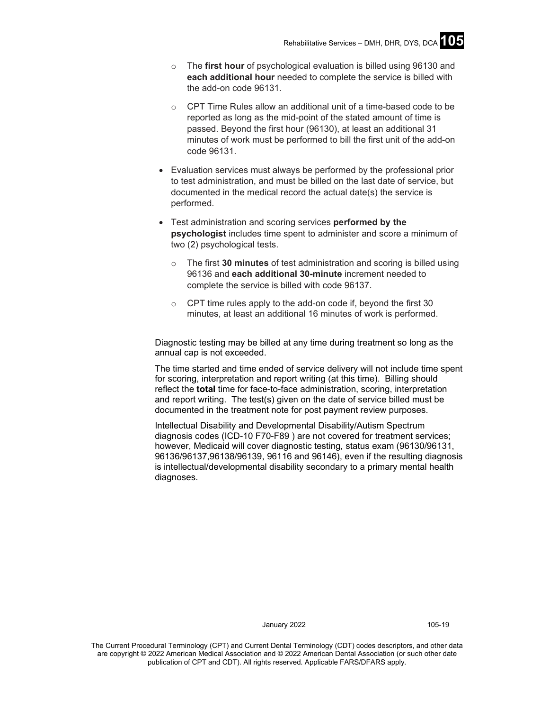- o The **first hour** of psychological evaluation is billed using 96130 and **each additional hour** needed to complete the service is billed with the add-on code 96131.
- $\circ$  CPT Time Rules allow an additional unit of a time-based code to be reported as long as the mid-point of the stated amount of time is passed. Beyond the first hour (96130), at least an additional 31 minutes of work must be performed to bill the first unit of the add-on code 96131.
- Evaluation services must always be performed by the professional prior to test administration, and must be billed on the last date of service, but documented in the medical record the actual date(s) the service is performed.
- Test administration and scoring services **performed by the psychologist** includes time spent to administer and score a minimum of two (2) psychological tests.
	- o The first **30 minutes** of test administration and scoring is billed using 96136 and **each additional 30-minute** increment needed to complete the service is billed with code 96137.
	- $\circ$  CPT time rules apply to the add-on code if, beyond the first 30 minutes, at least an additional 16 minutes of work is performed.

Diagnostic testing may be billed at any time during treatment so long as the annual cap is not exceeded.

The time started and time ended of service delivery will not include time spent for scoring, interpretation and report writing (at this time). Billing should reflect the **total** time for face-to-face administration, scoring, interpretation and report writing. The test(s) given on the date of service billed must be documented in the treatment note for post payment review purposes.

Intellectual Disability and Developmental Disability/Autism Spectrum diagnosis codes (ICD-10 F70-F89 ) are not covered for treatment services; however, Medicaid will cover diagnostic testing*,* status exam (96130/96131, 96136/96137,96138/96139, 96116 and 96146), even if the resulting diagnosis is intellectual/developmental disability secondary to a primary mental health diagnoses.

January 2022 105-19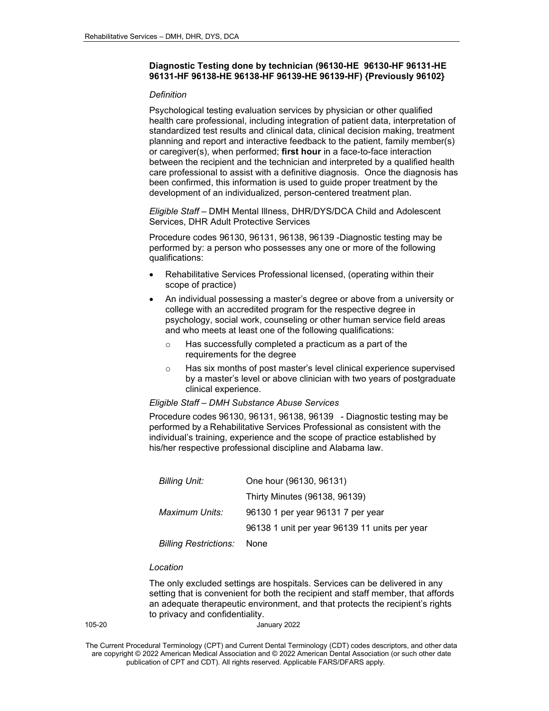#### **Diagnostic Testing done by technician (96130-HE 96130-HF 96131-HE 96131-HF 96138-HE 96138-HF 96139-HE 96139-HF) {Previously 96102}**

#### *Definition*

Psychological testing evaluation services by physician or other qualified health care professional, including integration of patient data, interpretation of standardized test results and clinical data, clinical decision making, treatment planning and report and interactive feedback to the patient, family member(s) or caregiver(s), when performed; **first hour** in a face-to-face interaction between the recipient and the technician and interpreted by a qualified health care professional to assist with a definitive diagnosis. Once the diagnosis has been confirmed, this information is used to guide proper treatment by the development of an individualized, person-centered treatment plan.

*Eligible Staff* – DMH Mental Illness, DHR/DYS/DCA Child and Adolescent Services, DHR Adult Protective Services

Procedure codes 96130, 96131, 96138, 96139 -Diagnostic testing may be performed by: a person who possesses any one or more of the following qualifications:

- Rehabilitative Services Professional licensed, (operating within their scope of practice)
- An individual possessing a master's degree or above from a university or college with an accredited program for the respective degree in psychology, social work, counseling or other human service field areas and who meets at least one of the following qualifications:
	- o Has successfully completed a practicum as a part of the requirements for the degree
	- o Has six months of post master's level clinical experience supervised by a master's level or above clinician with two years of postgraduate clinical experience.

#### *Eligible Staff – DMH Substance Abuse Services*

Procedure codes 96130, 96131, 96138, 96139 - Diagnostic testing may be performed by a Rehabilitative Services Professional as consistent with the individual's training, experience and the scope of practice established by his/her respective professional discipline and Alabama law.

| <b>Billing Unit:</b>         | One hour (96130, 96131)                       |
|------------------------------|-----------------------------------------------|
|                              | Thirty Minutes (96138, 96139)                 |
| Maximum Units:               | 96130 1 per year 96131 7 per year             |
|                              | 96138 1 unit per year 96139 11 units per year |
| <b>Billing Restrictions:</b> | None                                          |

#### *Location*

The only excluded settings are hospitals. Services can be delivered in any setting that is convenient for both the recipient and staff member, that affords an adequate therapeutic environment, and that protects the recipient's rights to privacy and confidentiality.

|--|

The Current Procedural Terminology (CPT) and Current Dental Terminology (CDT) codes descriptors, and other data are copyright © 2022 American Medical Association and © 2022 American Dental Association (or such other date publication of CPT and CDT). All rights reserved. Applicable FARS/DFARS apply*.*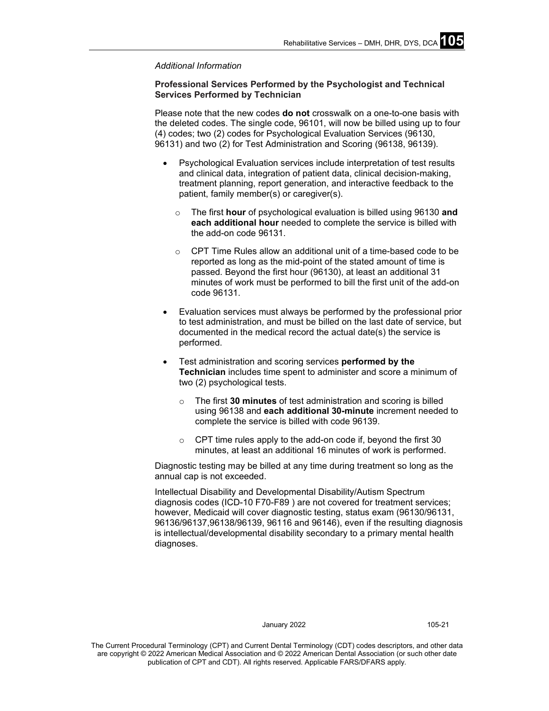#### *Additional Information*

#### **Professional Services Performed by the Psychologist and Technical Services Performed by Technician**

Please note that the new codes **do not** crosswalk on a one-to-one basis with the deleted codes. The single code, 96101, will now be billed using up to four (4) codes; two (2) codes for Psychological Evaluation Services (96130, 96131) and two (2) for Test Administration and Scoring (96138, 96139).

- Psychological Evaluation services include interpretation of test results and clinical data, integration of patient data, clinical decision-making, treatment planning, report generation, and interactive feedback to the patient, family member(s) or caregiver(s).
	- o The first **hour** of psychological evaluation is billed using 96130 **and each additional hour** needed to complete the service is billed with the add-on code 96131.
	- o CPT Time Rules allow an additional unit of a time-based code to be reported as long as the mid-point of the stated amount of time is passed. Beyond the first hour (96130), at least an additional 31 minutes of work must be performed to bill the first unit of the add-on code 96131.
- Evaluation services must always be performed by the professional prior to test administration, and must be billed on the last date of service, but documented in the medical record the actual date(s) the service is performed.
- Test administration and scoring services **performed by the Technician** includes time spent to administer and score a minimum of two (2) psychological tests.
	- o The first **30 minutes** of test administration and scoring is billed using 96138 and **each additional 30-minute** increment needed to complete the service is billed with code 96139.
	- $\circ$  CPT time rules apply to the add-on code if, beyond the first 30 minutes, at least an additional 16 minutes of work is performed.

Diagnostic testing may be billed at any time during treatment so long as the annual cap is not exceeded.

Intellectual Disability and Developmental Disability/Autism Spectrum diagnosis codes (ICD-10 F70-F89 ) are not covered for treatment services; however, Medicaid will cover diagnostic testing, status exam (96130/96131, 96136/96137,96138/96139, 96116 and 96146), even if the resulting diagnosis is intellectual/developmental disability secondary to a primary mental health diagnoses.

#### January 2022 105-21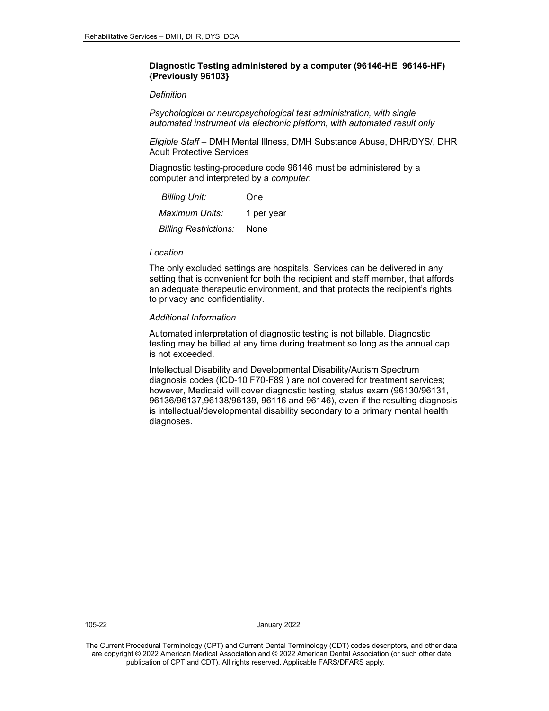#### **Diagnostic Testing administered by a computer (96146-HE 96146-HF) {Previously 96103}**

#### *Definition*

*Psychological or neuropsychological test administration, with single automated instrument via electronic platform, with automated result only*

*Eligible Staff* – DMH Mental Illness, DMH Substance Abuse, DHR/DYS/, DHR Adult Protective Services

Diagnostic testing-procedure code 96146 must be administered by a computer and interpreted by a *computer.*

| <b>Billing Unit:</b>         | One        |
|------------------------------|------------|
| Maximum Units:               | 1 per year |
| <b>Billing Restrictions:</b> | None       |

#### *Location*

The only excluded settings are hospitals. Services can be delivered in any setting that is convenient for both the recipient and staff member, that affords an adequate therapeutic environment, and that protects the recipient's rights to privacy and confidentiality.

#### *Additional Information*

Automated interpretation of diagnostic testing is not billable. Diagnostic testing may be billed at any time during treatment so long as the annual cap is not exceeded.

Intellectual Disability and Developmental Disability/Autism Spectrum diagnosis codes (ICD-10 F70-F89 ) are not covered for treatment services; however, Medicaid will cover diagnostic testing*,* status exam (96130/96131, 96136/96137,96138/96139, 96116 and 96146), even if the resulting diagnosis is intellectual/developmental disability secondary to a primary mental health diagnoses.

105-22 January 2022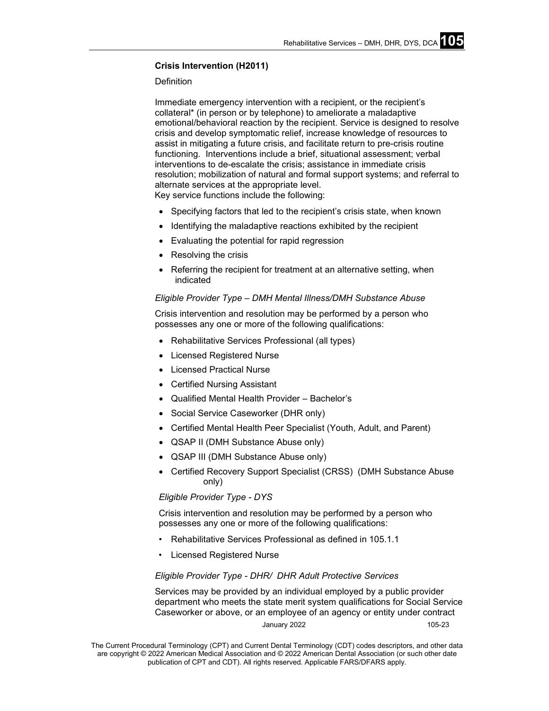#### **Crisis Intervention (H2011)**

#### Definition

Immediate emergency intervention with a recipient, or the recipient's collateral\* (in person or by telephone) to ameliorate a maladaptive emotional/behavioral reaction by the recipient. Service is designed to resolve crisis and develop symptomatic relief, increase knowledge of resources to assist in mitigating a future crisis, and facilitate return to pre-crisis routine functioning. Interventions include a brief, situational assessment; verbal interventions to de-escalate the crisis; assistance in immediate crisis resolution; mobilization of natural and formal support systems; and referral to alternate services at the appropriate level.

Key service functions include the following:

- Specifying factors that led to the recipient's crisis state, when known
- Identifying the maladaptive reactions exhibited by the recipient
- Evaluating the potential for rapid regression
- Resolving the crisis
- Referring the recipient for treatment at an alternative setting, when indicated

#### *Eligible Provider Type – DMH Mental Illness/DMH Substance Abuse*

Crisis intervention and resolution may be performed by a person who possesses any one or more of the following qualifications:

- Rehabilitative Services Professional (all types)
- Licensed Registered Nurse
- **Licensed Practical Nurse**
- Certified Nursing Assistant
- Qualified Mental Health Provider Bachelor's
- Social Service Caseworker (DHR only)
- Certified Mental Health Peer Specialist (Youth, Adult, and Parent)
- QSAP II (DMH Substance Abuse only)
- QSAP III (DMH Substance Abuse only)
- Certified Recovery Support Specialist (CRSS) (DMH Substance Abuse only)

#### *Eligible Provider Type - DYS*

Crisis intervention and resolution may be performed by a person who possesses any one or more of the following qualifications:

- Rehabilitative Services Professional as defined in 105.1.1
- Licensed Registered Nurse

#### *Eligible Provider Type - DHR/ DHR Adult Protective Services*

January 2022 105-23 Services may be provided by an individual employed by a public provider department who meets the state merit system qualifications for Social Service Caseworker or above, or an employee of an agency or entity under contract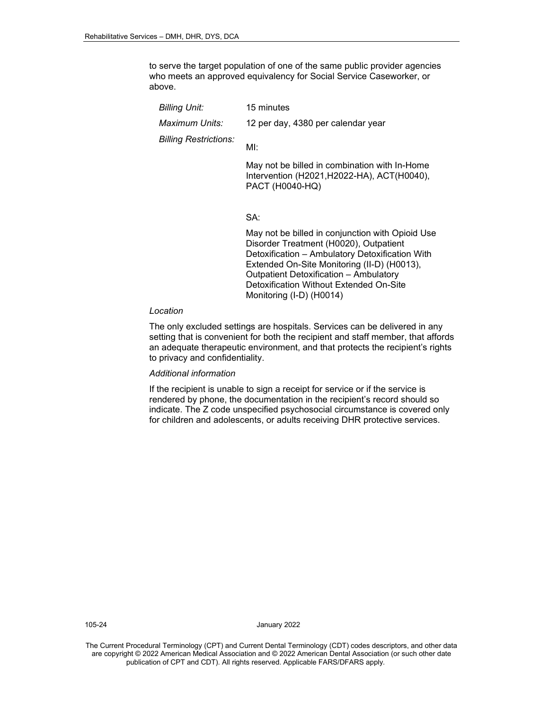to serve the target population of one of the same public provider agencies who meets an approved equivalency for Social Service Caseworker, or above.

| Billing Unit:                | 15 minutes                                                                                                      |
|------------------------------|-----------------------------------------------------------------------------------------------------------------|
| Maximum Units:               | 12 per day, 4380 per calendar year                                                                              |
| <b>Billing Restrictions:</b> | MI:                                                                                                             |
|                              | May not be billed in combination with In-Home<br>Intervention (H2021, H2022-HA), ACT(H0040),<br>PACT (H0040-HQ) |

#### SA:

May not be billed in conjunction with Opioid Use Disorder Treatment (H0020), Outpatient Detoxification – Ambulatory Detoxification With Extended On-Site Monitoring (II-D) (H0013), Outpatient Detoxification – Ambulatory Detoxification Without Extended On-Site Monitoring (I-D) (H0014)

#### *Location*

The only excluded settings are hospitals. Services can be delivered in any setting that is convenient for both the recipient and staff member, that affords an adequate therapeutic environment, and that protects the recipient's rights to privacy and confidentiality.

#### *Additional information*

If the recipient is unable to sign a receipt for service or if the service is rendered by phone, the documentation in the recipient's record should so indicate. The Z code unspecified psychosocial circumstance is covered only for children and adolescents, or adults receiving DHR protective services.

105-24 January 2022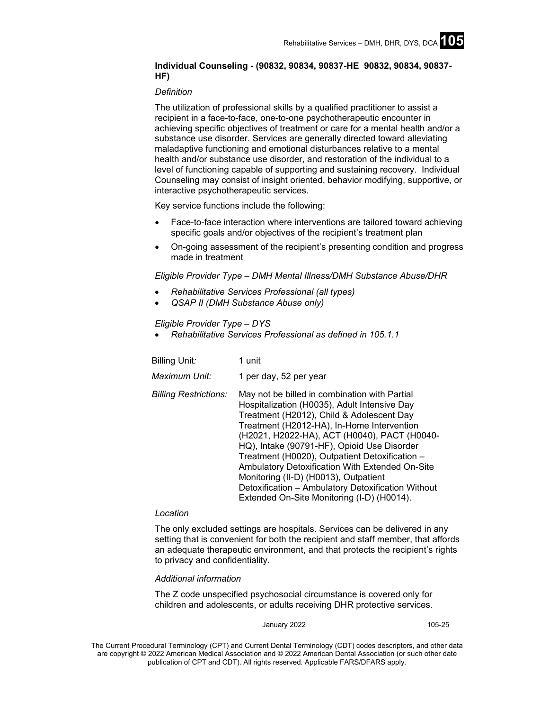### **Individual Counseling - (90832, 90834, 90837-HE 90832, 90834, 90837- HF)**

#### *Definition*

The utilization of professional skills by a qualified practitioner to assist a recipient in a face-to-face, one-to-one psychotherapeutic encounter in achieving specific objectives of treatment or care for a mental health and/or a substance use disorder. Services are generally directed toward alleviating maladaptive functioning and emotional disturbances relative to a mental health and/or substance use disorder, and restoration of the individual to a level of functioning capable of supporting and sustaining recovery. Individual Counseling may consist of insight oriented, behavior modifying, supportive, or interactive psychotherapeutic services.

Key service functions include the following:

- Face-to-face interaction where interventions are tailored toward achieving specific goals and/or objectives of the recipient's treatment plan
- On-going assessment of the recipient's presenting condition and progress made in treatment

*Eligible Provider Type – DMH Mental Illness/DMH Substance Abuse/DHR*

- *Rehabilitative Services Professional (all types)*
- *QSAP II (DMH Substance Abuse only)*

*Eligible Provider Type – DYS*

• *Rehabilitative Services Professional as defined in 105.1.1*

| Billing Unit:                | 1 unit                                                                                                                                                                                                                                                                                                                                                                                                                                                                                                                                    |
|------------------------------|-------------------------------------------------------------------------------------------------------------------------------------------------------------------------------------------------------------------------------------------------------------------------------------------------------------------------------------------------------------------------------------------------------------------------------------------------------------------------------------------------------------------------------------------|
| Maximum Unit:                | 1 per day, 52 per year                                                                                                                                                                                                                                                                                                                                                                                                                                                                                                                    |
| <b>Billing Restrictions:</b> | May not be billed in combination with Partial<br>Hospitalization (H0035), Adult Intensive Day<br>Treatment (H2012), Child & Adolescent Day<br>Treatment (H2012-HA), In-Home Intervention<br>(H2021, H2022-HA), ACT (H0040), PACT (H0040-<br>HQ), Intake (90791-HF), Opioid Use Disorder<br>Treatment (H0020), Outpatient Detoxification -<br>Ambulatory Detoxification With Extended On-Site<br>Monitoring (II-D) (H0013), Outpatient<br>Detoxification - Ambulatory Detoxification Without<br>Extended On-Site Monitoring (I-D) (H0014). |

#### *Location*

The only excluded settings are hospitals. Services can be delivered in any setting that is convenient for both the recipient and staff member, that affords an adequate therapeutic environment, and that protects the recipient's rights to privacy and confidentiality.

#### *Additional information*

The Z code unspecified psychosocial circumstance is covered only for children and adolescents, or adults receiving DHR protective services.

#### January 2022 105-25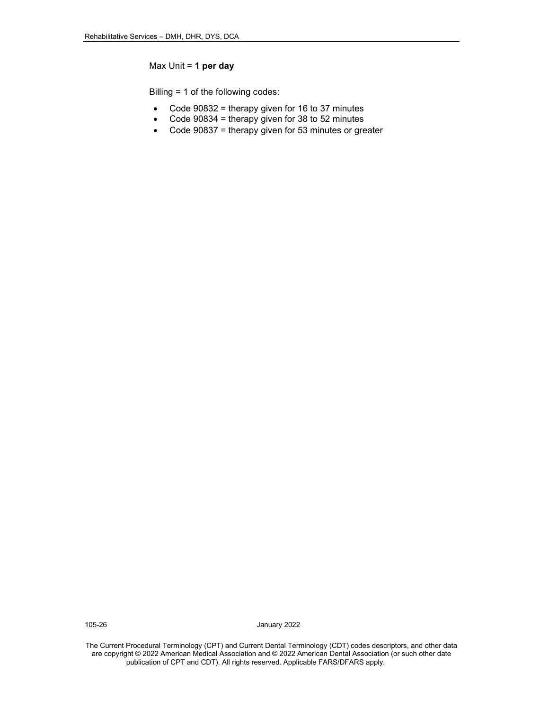#### Max Unit = **1 per day**

Billing = 1 of the following codes:

- Code 90832 = therapy given for 16 to 37 minutes
- Code 90834 = therapy given for 38 to 52 minutes
- Code 90837 = therapy given for 53 minutes or greater

105-26 January 2022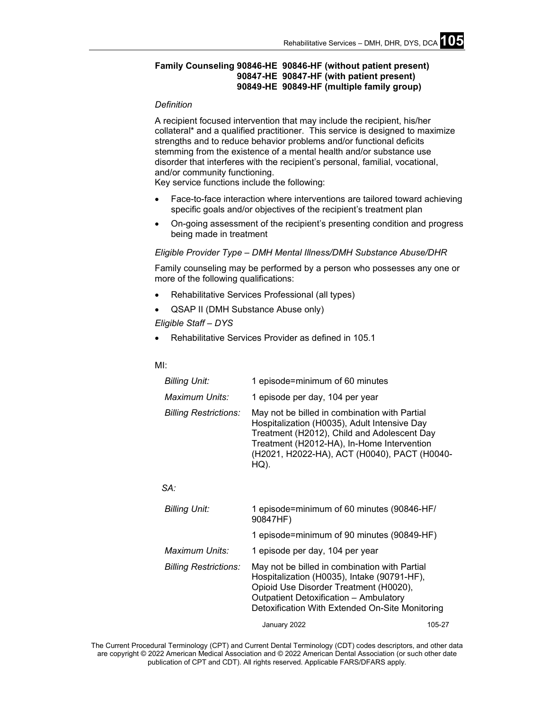#### **Family Counseling 90846-HE 90846-HF (without patient present) 90847-HE 90847-HF (with patient present) 90849-HE 90849-HF (multiple family group)**

#### *Definition*

A recipient focused intervention that may include the recipient, his/her collateral\* and a qualified practitioner. This service is designed to maximize strengths and to reduce behavior problems and/or functional deficits stemming from the existence of a mental health and/or substance use disorder that interferes with the recipient's personal, familial, vocational, and/or community functioning.

Key service functions include the following:

- Face-to-face interaction where interventions are tailored toward achieving specific goals and/or objectives of the recipient's treatment plan
- On-going assessment of the recipient's presenting condition and progress being made in treatment

#### *Eligible Provider Type – DMH Mental Illness/DMH Substance Abuse/DHR*

Family counseling may be performed by a person who possesses any one or more of the following qualifications:

- Rehabilitative Services Professional (all types)
- QSAP II (DMH Substance Abuse only)
- *Eligible Staff – DYS*
- Rehabilitative Services Provider as defined in 105.1

#### MI:

| <b>Billing Unit:</b>         | 1 episode=minimum of 60 minutes                                                                                                                                                                                                                    |
|------------------------------|----------------------------------------------------------------------------------------------------------------------------------------------------------------------------------------------------------------------------------------------------|
| Maximum Units:               | 1 episode per day, 104 per year                                                                                                                                                                                                                    |
| <b>Billing Restrictions:</b> | May not be billed in combination with Partial<br>Hospitalization (H0035), Adult Intensive Day<br>Treatment (H2012), Child and Adolescent Day<br>Treatment (H2012-HA), In-Home Intervention<br>(H2021, H2022-HA), ACT (H0040), PACT (H0040-<br>HQ). |

#### *SA:*

| 1 episode=minimum of 60 minutes (90846-HF/<br>90847HF)                                                                                                                                                                                     |  |
|--------------------------------------------------------------------------------------------------------------------------------------------------------------------------------------------------------------------------------------------|--|
| 1 episode=minimum of 90 minutes (90849-HF)                                                                                                                                                                                                 |  |
| 1 episode per day, 104 per year                                                                                                                                                                                                            |  |
| May not be billed in combination with Partial<br>Hospitalization (H0035), Intake (90791-HF),<br>Opioid Use Disorder Treatment (H0020),<br><b>Outpatient Detoxification - Ambulatory</b><br>Detoxification With Extended On-Site Monitoring |  |
|                                                                                                                                                                                                                                            |  |

January 2022 105-27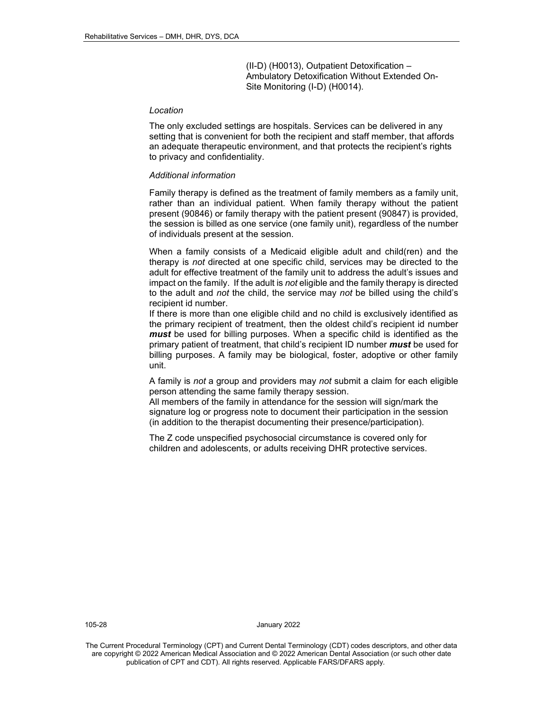(II-D) (H0013), Outpatient Detoxification – Ambulatory Detoxification Without Extended On-Site Monitoring (I-D) (H0014).

#### *Location*

The only excluded settings are hospitals. Services can be delivered in any setting that is convenient for both the recipient and staff member, that affords an adequate therapeutic environment, and that protects the recipient's rights to privacy and confidentiality.

#### *Additional information*

Family therapy is defined as the treatment of family members as a family unit, rather than an individual patient. When family therapy without the patient present (90846) or family therapy with the patient present (90847) is provided, the session is billed as one service (one family unit), regardless of the number of individuals present at the session.

When a family consists of a Medicaid eligible adult and child(ren) and the therapy is *not* directed at one specific child, services may be directed to the adult for effective treatment of the family unit to address the adult's issues and impact on the family. If the adult is *not* eligible and the family therapy is directed to the adult and *not* the child, the service may *not* be billed using the child's recipient id number.

If there is more than one eligible child and no child is exclusively identified as the primary recipient of treatment, then the oldest child's recipient id number *must* be used for billing purposes. When a specific child is identified as the primary patient of treatment, that child's recipient ID number *must* be used for billing purposes. A family may be biological, foster, adoptive or other family unit.

A family is *not* a group and providers may *not* submit a claim for each eligible person attending the same family therapy session.

All members of the family in attendance for the session will sign/mark the signature log or progress note to document their participation in the session (in addition to the therapist documenting their presence/participation).

The Z code unspecified psychosocial circumstance is covered only for children and adolescents, or adults receiving DHR protective services.

105-28 January 2022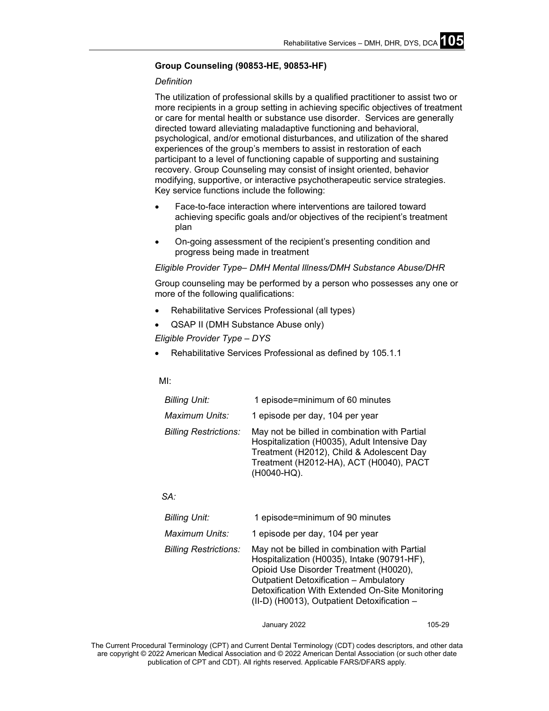#### **Group Counseling (90853-HE, 90853-HF)**

#### *Definition*

The utilization of professional skills by a qualified practitioner to assist two or more recipients in a group setting in achieving specific objectives of treatment or care for mental health or substance use disorder. Services are generally directed toward alleviating maladaptive functioning and behavioral, psychological, and/or emotional disturbances, and utilization of the shared experiences of the group's members to assist in restoration of each participant to a level of functioning capable of supporting and sustaining recovery. Group Counseling may consist of insight oriented, behavior modifying, supportive, or interactive psychotherapeutic service strategies. Key service functions include the following:

- Face-to-face interaction where interventions are tailored toward achieving specific goals and/or objectives of the recipient's treatment plan
- On-going assessment of the recipient's presenting condition and progress being made in treatment

#### *Eligible Provider Type– DMH Mental Illness/DMH Substance Abuse/DHR*

Group counseling may be performed by a person who possesses any one or more of the following qualifications:

- Rehabilitative Services Professional (all types)
- QSAP II (DMH Substance Abuse only)
- *Eligible Provider Type – DYS*
- Rehabilitative Services Professional as defined by 105.1.1

#### MI:

| <b>Billing Unit:</b>         | 1 episode=minimum of 60 minutes                                                                                                                                                                      |  |
|------------------------------|------------------------------------------------------------------------------------------------------------------------------------------------------------------------------------------------------|--|
| Maximum Units:               | 1 episode per day, 104 per year                                                                                                                                                                      |  |
| <b>Billing Restrictions:</b> | May not be billed in combination with Partial<br>Hospitalization (H0035), Adult Intensive Day<br>Treatment (H2012), Child & Adolescent Day<br>Treatment (H2012-HA), ACT (H0040), PACT<br>(H0040-HQ). |  |

#### *SA:*

| <b>Billing Unit:</b>         | 1 episode=minimum of 90 minutes                                                                                                                                                                                                                                                           |  |
|------------------------------|-------------------------------------------------------------------------------------------------------------------------------------------------------------------------------------------------------------------------------------------------------------------------------------------|--|
| Maximum Units:               | 1 episode per day, 104 per year                                                                                                                                                                                                                                                           |  |
| <b>Billing Restrictions:</b> | May not be billed in combination with Partial<br>Hospitalization (H0035), Intake (90791-HF),<br>Opioid Use Disorder Treatment (H0020),<br><b>Outpatient Detoxification - Ambulatory</b><br>Detoxification With Extended On-Site Monitoring<br>(II-D) (H0013), Outpatient Detoxification - |  |

January 2022 105-29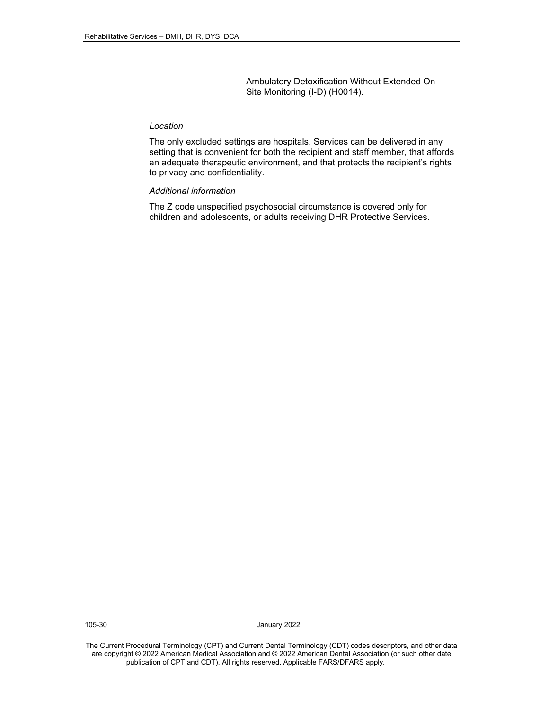Ambulatory Detoxification Without Extended On-Site Monitoring (I-D) (H0014).

#### *Location*

The only excluded settings are hospitals. Services can be delivered in any setting that is convenient for both the recipient and staff member, that affords an adequate therapeutic environment, and that protects the recipient's rights to privacy and confidentiality.

#### *Additional information*

The Z code unspecified psychosocial circumstance is covered only for children and adolescents, or adults receiving DHR Protective Services.

105-30 January 2022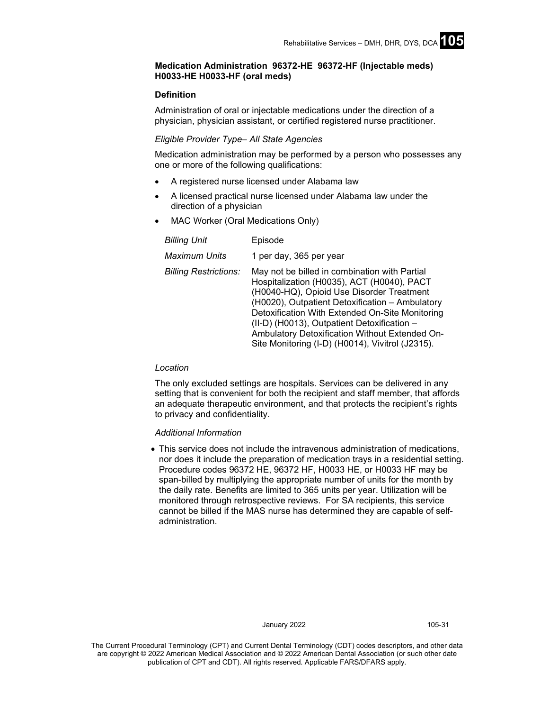#### **Medication Administration 96372-HE 96372-HF (Injectable meds) H0033-HE H0033-HF (oral meds)**

#### **Definition**

Administration of oral or injectable medications under the direction of a physician, physician assistant, or certified registered nurse practitioner.

#### *Eligible Provider Type– All State Agencies*

Medication administration may be performed by a person who possesses any one or more of the following qualifications:

- A registered nurse licensed under Alabama law
- A licensed practical nurse licensed under Alabama law under the direction of a physician
- MAC Worker (Oral Medications Only)

| <b>Billing Unit</b>          | Episode                                                                                                                                                                                                                                                                                                                                                                                             |  |
|------------------------------|-----------------------------------------------------------------------------------------------------------------------------------------------------------------------------------------------------------------------------------------------------------------------------------------------------------------------------------------------------------------------------------------------------|--|
| <b>Maximum Units</b>         | 1 per day, 365 per year                                                                                                                                                                                                                                                                                                                                                                             |  |
| <b>Billing Restrictions:</b> | May not be billed in combination with Partial<br>Hospitalization (H0035), ACT (H0040), PACT<br>(H0040-HQ), Opioid Use Disorder Treatment<br>(H0020), Outpatient Detoxification - Ambulatory<br>Detoxification With Extended On-Site Monitoring<br>(II-D) (H0013), Outpatient Detoxification -<br>Ambulatory Detoxification Without Extended On-<br>Site Monitoring (I-D) (H0014), Vivitrol (J2315). |  |

#### *Location*

The only excluded settings are hospitals. Services can be delivered in any setting that is convenient for both the recipient and staff member, that affords an adequate therapeutic environment, and that protects the recipient's rights to privacy and confidentiality.

#### *Additional Information*

• This service does not include the intravenous administration of medications, nor does it include the preparation of medication trays in a residential setting. Procedure codes 96372 HE, 96372 HF, H0033 HE, or H0033 HF may be span-billed by multiplying the appropriate number of units for the month by the daily rate. Benefits are limited to 365 units per year. Utilization will be monitored through retrospective reviews. For SA recipients, this service cannot be billed if the MAS nurse has determined they are capable of selfadministration.

#### January 2022 105-31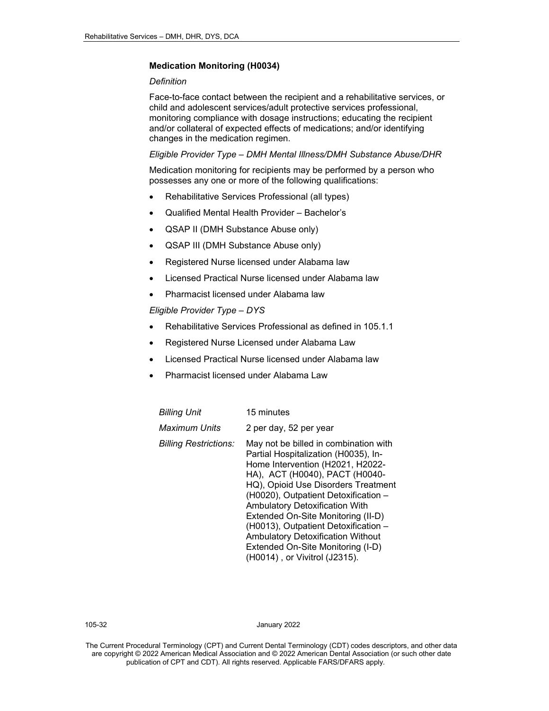#### **Medication Monitoring (H0034)**

#### *Definition*

Face-to-face contact between the recipient and a rehabilitative services, or child and adolescent services/adult protective services professional, monitoring compliance with dosage instructions; educating the recipient and/or collateral of expected effects of medications; and/or identifying changes in the medication regimen.

#### *Eligible Provider Type – DMH Mental Illness/DMH Substance Abuse/DHR*

Medication monitoring for recipients may be performed by a person who possesses any one or more of the following qualifications:

- Rehabilitative Services Professional (all types)
- Qualified Mental Health Provider Bachelor's
- QSAP II (DMH Substance Abuse only)
- QSAP III (DMH Substance Abuse only)
- Registered Nurse licensed under Alabama law
- Licensed Practical Nurse licensed under Alabama law
- Pharmacist licensed under Alabama law

*Eligible Provider Type – DYS*

- Rehabilitative Services Professional as defined in 105.1.1
- Registered Nurse Licensed under Alabama Law
- Licensed Practical Nurse licensed under Alabama law
- Pharmacist licensed under Alabama Law

| Billing Unit                 | 15 minutes                                                                                                                                                                                                                                                                                                                                                                                                                                                                  |
|------------------------------|-----------------------------------------------------------------------------------------------------------------------------------------------------------------------------------------------------------------------------------------------------------------------------------------------------------------------------------------------------------------------------------------------------------------------------------------------------------------------------|
| Maximum Units                | 2 per day, 52 per year                                                                                                                                                                                                                                                                                                                                                                                                                                                      |
| <b>Billing Restrictions:</b> | May not be billed in combination with<br>Partial Hospitalization (H0035), In-<br>Home Intervention (H2021, H2022-<br>HA), ACT (H0040), PACT (H0040-<br>HQ), Opioid Use Disorders Treatment<br>(H0020), Outpatient Detoxification -<br><b>Ambulatory Detoxification With</b><br>Extended On-Site Monitoring (II-D)<br>(H0013), Outpatient Detoxification -<br><b>Ambulatory Detoxification Without</b><br>Extended On-Site Monitoring (I-D)<br>(H0014), or Vivitrol (J2315). |

105-32 January 2022

The Current Procedural Terminology (CPT) and Current Dental Terminology (CDT) codes descriptors, and other data are copyright © 2022 American Medical Association and © 2022 American Dental Association (or such other date publication of CPT and CDT). All rights reserved. Applicable FARS/DFARS apply*.*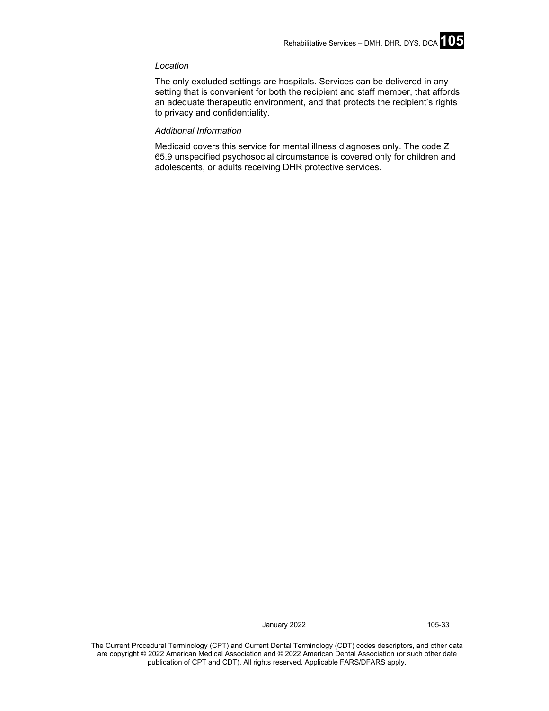#### *Location*

The only excluded settings are hospitals. Services can be delivered in any setting that is convenient for both the recipient and staff member, that affords an adequate therapeutic environment, and that protects the recipient's rights to privacy and confidentiality.

#### *Additional Information*

Medicaid covers this service for mental illness diagnoses only. The code Z 65.9 unspecified psychosocial circumstance is covered only for children and adolescents, or adults receiving DHR protective services.

January 2022 105-33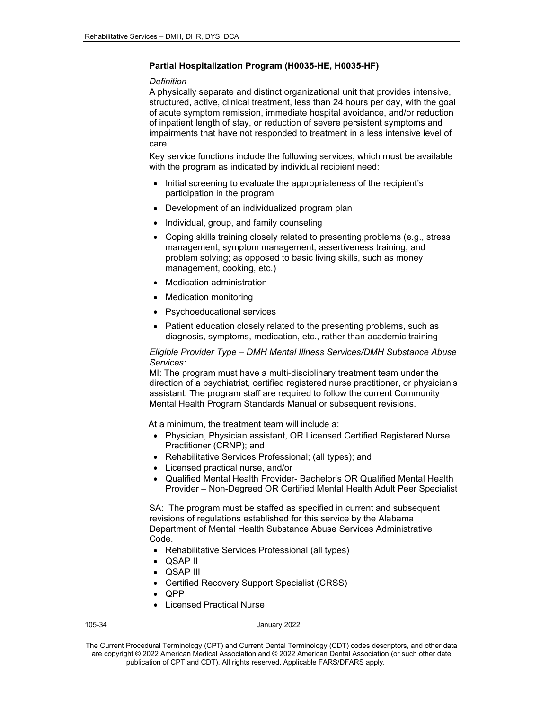#### **Partial Hospitalization Program (H0035-HE, H0035-HF)**

#### *Definition*

A physically separate and distinct organizational unit that provides intensive, structured, active, clinical treatment, less than 24 hours per day, with the goal of acute symptom remission, immediate hospital avoidance, and/or reduction of inpatient length of stay, or reduction of severe persistent symptoms and impairments that have not responded to treatment in a less intensive level of care.

Key service functions include the following services, which must be available with the program as indicated by individual recipient need:

- Initial screening to evaluate the appropriateness of the recipient's participation in the program
- Development of an individualized program plan
- Individual, group, and family counseling
- Coping skills training closely related to presenting problems (e.g., stress management, symptom management, assertiveness training, and problem solving; as opposed to basic living skills, such as money management, cooking, etc.)
- Medication administration
- **Medication monitoring**
- Psychoeducational services
- Patient education closely related to the presenting problems, such as diagnosis, symptoms, medication, etc., rather than academic training

#### *Eligible Provider Type – DMH Mental Illness Services/DMH Substance Abuse Services:*

MI: The program must have a multi-disciplinary treatment team under the direction of a psychiatrist, certified registered nurse practitioner, or physician's assistant. The program staff are required to follow the current Community Mental Health Program Standards Manual or subsequent revisions.

At a minimum, the treatment team will include a:

- Physician, Physician assistant, OR Licensed Certified Registered Nurse Practitioner (CRNP); and
- Rehabilitative Services Professional; (all types); and
- Licensed practical nurse, and/or
- Qualified Mental Health Provider- Bachelor's OR Qualified Mental Health Provider – Non-Degreed OR Certified Mental Health Adult Peer Specialist

SA: The program must be staffed as specified in current and subsequent revisions of regulations established for this service by the Alabama Department of Mental Health Substance Abuse Services Administrative Code.

- Rehabilitative Services Professional (all types)
- QSAP II
- QSAP III
- Certified Recovery Support Specialist (CRSS)
- QPP
- Licensed Practical Nurse

#### 105-34 January 2022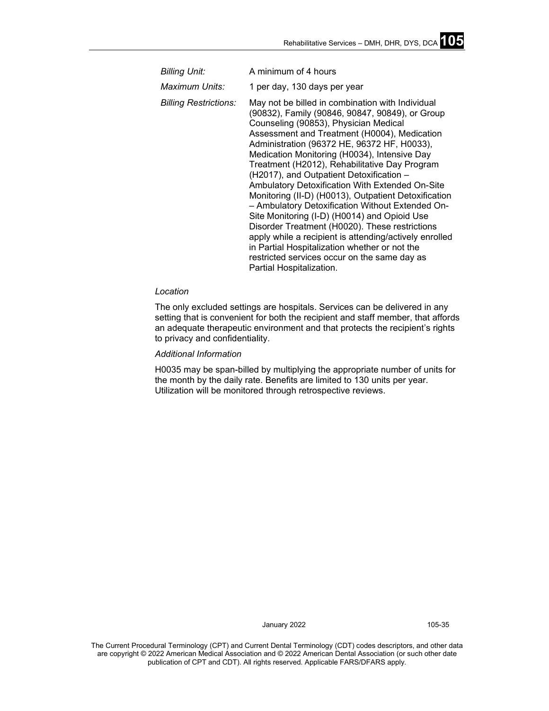| <b>Billing Unit:</b>         | A minimum of 4 hours                                                                                                                                                                                                                                                                                                                                                                                                                                                                                                                                                                                                                                                                                                                                                                                                                             |  |
|------------------------------|--------------------------------------------------------------------------------------------------------------------------------------------------------------------------------------------------------------------------------------------------------------------------------------------------------------------------------------------------------------------------------------------------------------------------------------------------------------------------------------------------------------------------------------------------------------------------------------------------------------------------------------------------------------------------------------------------------------------------------------------------------------------------------------------------------------------------------------------------|--|
| Maximum Units:               | 1 per day, 130 days per year                                                                                                                                                                                                                                                                                                                                                                                                                                                                                                                                                                                                                                                                                                                                                                                                                     |  |
| <b>Billing Restrictions:</b> | May not be billed in combination with Individual<br>(90832), Family (90846, 90847, 90849), or Group<br>Counseling (90853), Physician Medical<br>Assessment and Treatment (H0004), Medication<br>Administration (96372 HE, 96372 HF, H0033),<br>Medication Monitoring (H0034), Intensive Day<br>Treatment (H2012), Rehabilitative Day Program<br>(H2017), and Outpatient Detoxification -<br>Ambulatory Detoxification With Extended On-Site<br>Monitoring (II-D) (H0013), Outpatient Detoxification<br>- Ambulatory Detoxification Without Extended On-<br>Site Monitoring (I-D) (H0014) and Opioid Use<br>Disorder Treatment (H0020). These restrictions<br>apply while a recipient is attending/actively enrolled<br>in Partial Hospitalization whether or not the<br>restricted services occur on the same day as<br>Partial Hospitalization. |  |

#### *Location*

The only excluded settings are hospitals. Services can be delivered in any setting that is convenient for both the recipient and staff member, that affords an adequate therapeutic environment and that protects the recipient's rights to privacy and confidentiality.

#### *Additional Information*

H0035 may be span-billed by multiplying the appropriate number of units for the month by the daily rate. Benefits are limited to 130 units per year. Utilization will be monitored through retrospective reviews.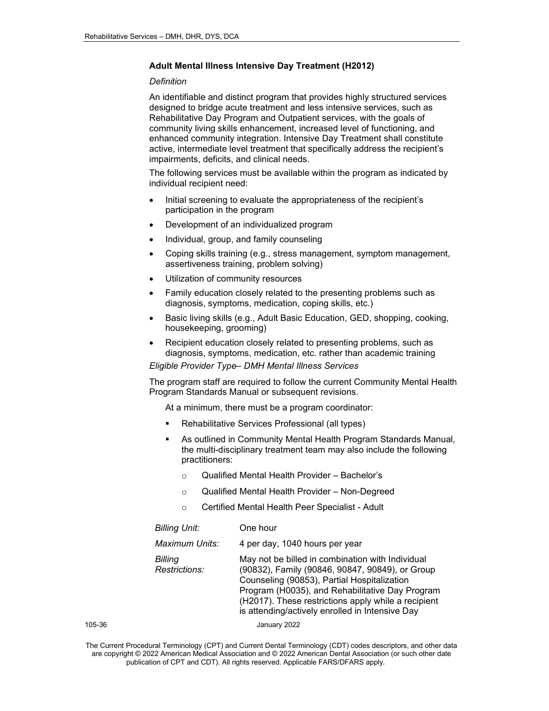#### **Adult Mental Illness Intensive Day Treatment (H2012)**

#### *Definition*

An identifiable and distinct program that provides highly structured services designed to bridge acute treatment and less intensive services, such as Rehabilitative Day Program and Outpatient services, with the goals of community living skills enhancement, increased level of functioning, and enhanced community integration. Intensive Day Treatment shall constitute active, intermediate level treatment that specifically address the recipient's impairments, deficits, and clinical needs.

The following services must be available within the program as indicated by individual recipient need:

- Initial screening to evaluate the appropriateness of the recipient's participation in the program
- Development of an individualized program
- Individual, group, and family counseling
- Coping skills training (e.g., stress management, symptom management, assertiveness training, problem solving)
- Utilization of community resources
- Family education closely related to the presenting problems such as diagnosis, symptoms, medication, coping skills, etc.)
- Basic living skills (e.g., Adult Basic Education, GED, shopping, cooking, housekeeping, grooming)
- Recipient education closely related to presenting problems, such as diagnosis, symptoms, medication, etc. rather than academic training

#### *Eligible Provider Type– DMH Mental Illness Services*

The program staff are required to follow the current Community Mental Health Program Standards Manual or subsequent revisions.

At a minimum, there must be a program coordinator:

- Rehabilitative Services Professional (all types)
- As outlined in Community Mental Health Program Standards Manual, the multi-disciplinary treatment team may also include the following practitioners:
	- o Qualified Mental Health Provider Bachelor's
	- o Qualified Mental Health Provider Non-Degreed
	- o Certified Mental Health Peer Specialist Adult

|        | <b>Billing Unit:</b>     | One hour                                                                                                                                                                                                                                                                                                        |
|--------|--------------------------|-----------------------------------------------------------------------------------------------------------------------------------------------------------------------------------------------------------------------------------------------------------------------------------------------------------------|
|        | Maximum Units:           | 4 per day, 1040 hours per year                                                                                                                                                                                                                                                                                  |
|        | Billing<br>Restrictions: | May not be billed in combination with Individual<br>(90832), Family (90846, 90847, 90849), or Group<br>Counseling (90853), Partial Hospitalization<br>Program (H0035), and Rehabilitative Day Program<br>(H2017). These restrictions apply while a recipient<br>is attending/actively enrolled in Intensive Day |
| 105-36 |                          | January 2022                                                                                                                                                                                                                                                                                                    |

The Current Procedural Terminology (CPT) and Current Dental Terminology (CDT) codes descriptors, and other data are copyright © 2022 American Medical Association and © 2022 American Dental Association (or such other date publication of CPT and CDT). All rights reserved. Applicable FARS/DFARS apply*.*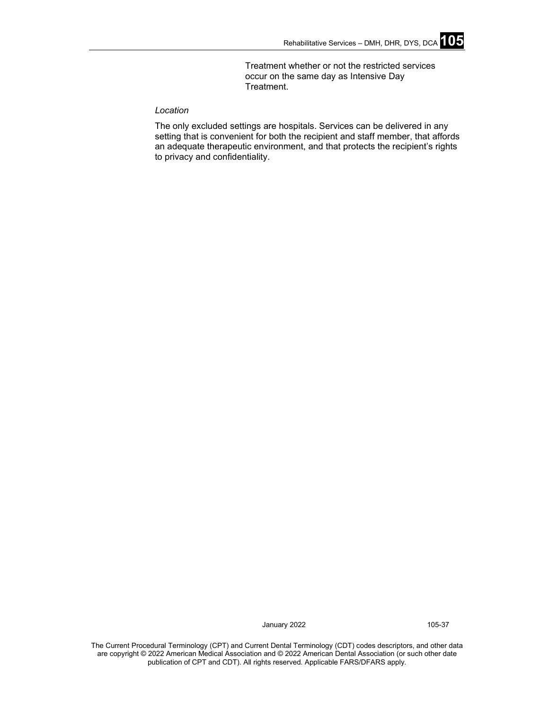Treatment whether or not the restricted services occur on the same day as Intensive Day Treatment.

# *Location*

The only excluded settings are hospitals. Services can be delivered in any setting that is convenient for both the recipient and staff member, that affords an adequate therapeutic environment, and that protects the recipient's rights to privacy and confidentiality.

January 2022 105-37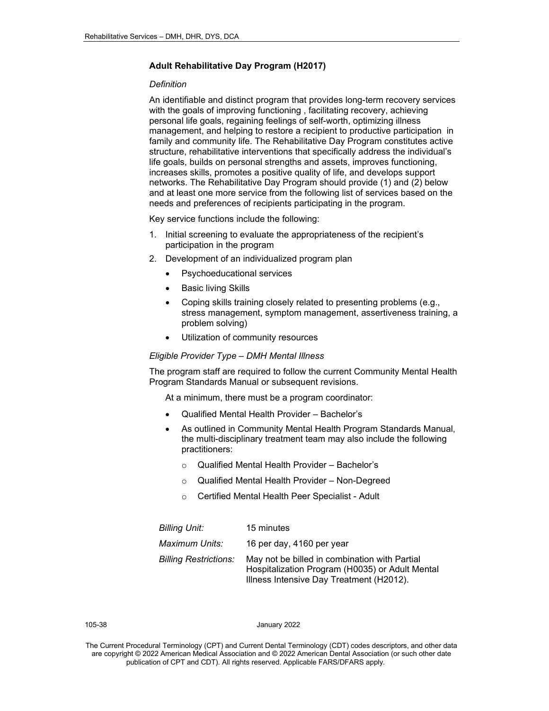# **Adult Rehabilitative Day Program (H2017)**

#### *Definition*

An identifiable and distinct program that provides long-term recovery services with the goals of improving functioning, facilitating recovery, achieving personal life goals, regaining feelings of self-worth, optimizing illness management, and helping to restore a recipient to productive participation in family and community life. The Rehabilitative Day Program constitutes active structure, rehabilitative interventions that specifically address the individual's life goals, builds on personal strengths and assets, improves functioning, increases skills, promotes a positive quality of life, and develops support networks. The Rehabilitative Day Program should provide (1) and (2) below and at least one more service from the following list of services based on the needs and preferences of recipients participating in the program.

Key service functions include the following:

- 1. Initial screening to evaluate the appropriateness of the recipient's participation in the program
- 2. Development of an individualized program plan
	- Psychoeducational services
	- **Basic living Skills**
	- Coping skills training closely related to presenting problems (e.g., stress management, symptom management, assertiveness training, a problem solving)
	- Utilization of community resources

#### *Eligible Provider Type – DMH Mental Illness*

The program staff are required to follow the current Community Mental Health Program Standards Manual or subsequent revisions.

At a minimum, there must be a program coordinator:

- Qualified Mental Health Provider Bachelor's
- As outlined in Community Mental Health Program Standards Manual, the multi-disciplinary treatment team may also include the following practitioners:
	- o Qualified Mental Health Provider Bachelor's
	- o Qualified Mental Health Provider Non-Degreed
	- o Certified Mental Health Peer Specialist Adult

| <b>Billing Unit:</b>         | 15 minutes                                                                                                                                   |
|------------------------------|----------------------------------------------------------------------------------------------------------------------------------------------|
| Maximum Units:               | 16 per day, 4160 per year                                                                                                                    |
| <b>Billing Restrictions:</b> | May not be billed in combination with Partial<br>Hospitalization Program (H0035) or Adult Mental<br>Illness Intensive Day Treatment (H2012). |

105-38 January 2022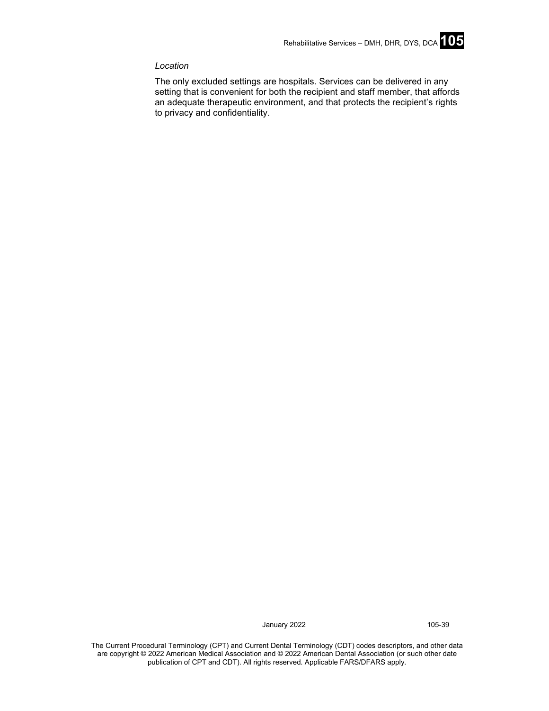# *Location*

The only excluded settings are hospitals. Services can be delivered in any setting that is convenient for both the recipient and staff member, that affords an adequate therapeutic environment, and that protects the recipient's rights to privacy and confidentiality.

January 2022 105-39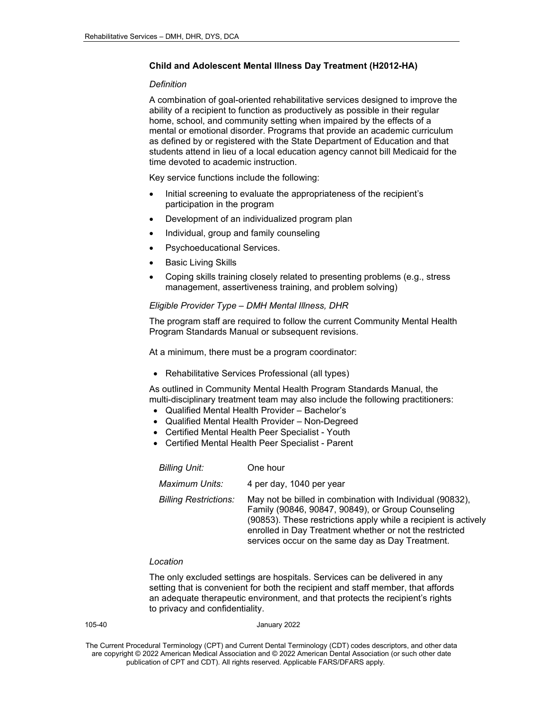### **Child and Adolescent Mental Illness Day Treatment (H2012-HA)**

#### *Definition*

A combination of goal-oriented rehabilitative services designed to improve the ability of a recipient to function as productively as possible in their regular home, school, and community setting when impaired by the effects of a mental or emotional disorder. Programs that provide an academic curriculum as defined by or registered with the State Department of Education and that students attend in lieu of a local education agency cannot bill Medicaid for the time devoted to academic instruction.

Key service functions include the following:

- Initial screening to evaluate the appropriateness of the recipient's participation in the program
- Development of an individualized program plan
- Individual, group and family counseling
- Psychoeducational Services.
- **Basic Living Skills**
- Coping skills training closely related to presenting problems (e.g., stress management, assertiveness training, and problem solving)

# *Eligible Provider Type – DMH Mental Illness, DHR*

The program staff are required to follow the current Community Mental Health Program Standards Manual or subsequent revisions.

At a minimum, there must be a program coordinator:

• Rehabilitative Services Professional (all types)

As outlined in Community Mental Health Program Standards Manual, the multi-disciplinary treatment team may also include the following practitioners:

- Qualified Mental Health Provider Bachelor's
- Qualified Mental Health Provider Non-Degreed
- Certified Mental Health Peer Specialist Youth
- Certified Mental Health Peer Specialist Parent

| <b>Billing Unit:</b>         | One hour                                                                                                                                                                                                                                                                                         |
|------------------------------|--------------------------------------------------------------------------------------------------------------------------------------------------------------------------------------------------------------------------------------------------------------------------------------------------|
| Maximum Units:               | 4 per day, 1040 per year                                                                                                                                                                                                                                                                         |
| <b>Billing Restrictions:</b> | May not be billed in combination with Individual (90832),<br>Family (90846, 90847, 90849), or Group Counseling<br>(90853). These restrictions apply while a recipient is actively<br>enrolled in Day Treatment whether or not the restricted<br>services occur on the same day as Day Treatment. |

# *Location*

The only excluded settings are hospitals. Services can be delivered in any setting that is convenient for both the recipient and staff member, that affords an adequate therapeutic environment, and that protects the recipient's rights to privacy and confidentiality.

|--|--|

January 2022

The Current Procedural Terminology (CPT) and Current Dental Terminology (CDT) codes descriptors, and other data are copyright © 2022 American Medical Association and © 2022 American Dental Association (or such other date publication of CPT and CDT). All rights reserved. Applicable FARS/DFARS apply*.*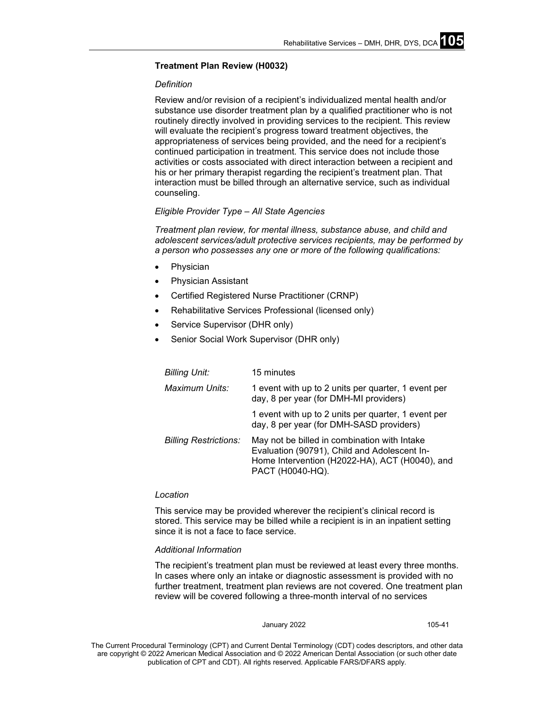### **Treatment Plan Review (H0032)**

### *Definition*

Review and/or revision of a recipient's individualized mental health and/or substance use disorder treatment plan by a qualified practitioner who is not routinely directly involved in providing services to the recipient. This review will evaluate the recipient's progress toward treatment objectives, the appropriateness of services being provided, and the need for a recipient's continued participation in treatment. This service does not include those activities or costs associated with direct interaction between a recipient and his or her primary therapist regarding the recipient's treatment plan. That interaction must be billed through an alternative service, such as individual counseling.

# *Eligible Provider Type – All State Agencies*

*Treatment plan review, for mental illness, substance abuse, and child and adolescent services/adult protective services recipients, may be performed by a person who possesses any one or more of the following qualifications:*

- **Physician**
- Physician Assistant
- Certified Registered Nurse Practitioner (CRNP)
- Rehabilitative Services Professional (licensed only)
- Service Supervisor (DHR only)
- Senior Social Work Supervisor (DHR only)

| <b>Billing Unit:</b>         | 15 minutes                                                                                                                                                         |
|------------------------------|--------------------------------------------------------------------------------------------------------------------------------------------------------------------|
| Maximum Units:               | 1 event with up to 2 units per quarter, 1 event per<br>day, 8 per year (for DMH-MI providers)                                                                      |
|                              | 1 event with up to 2 units per quarter, 1 event per<br>day, 8 per year (for DMH-SASD providers)                                                                    |
| <b>Billing Restrictions:</b> | May not be billed in combination with Intake<br>Evaluation (90791), Child and Adolescent In-<br>Home Intervention (H2022-HA), ACT (H0040), and<br>PACT (H0040-HQ). |

#### *Location*

This service may be provided wherever the recipient's clinical record is stored. This service may be billed while a recipient is in an inpatient setting since it is not a face to face service.

### *Additional Information*

The recipient's treatment plan must be reviewed at least every three months. In cases where only an intake or diagnostic assessment is provided with no further treatment, treatment plan reviews are not covered. One treatment plan review will be covered following a three-month interval of no services

#### January 2022 105-41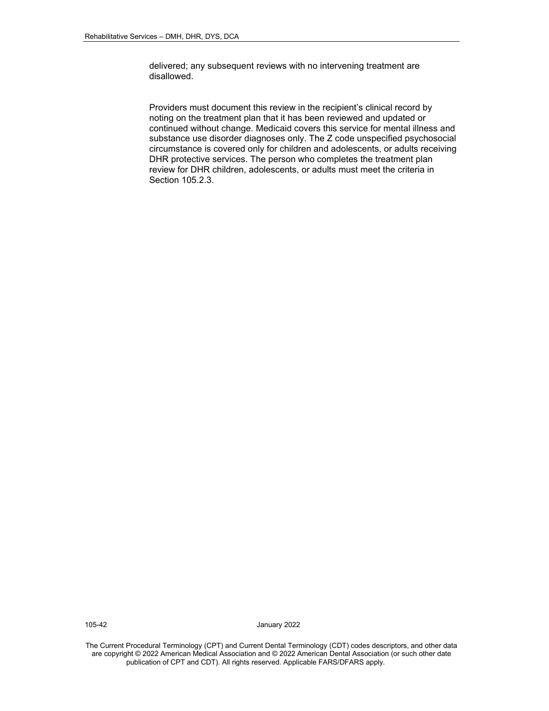delivered; any subsequent reviews with no intervening treatment are disallowed.

Providers must document this review in the recipient's clinical record by noting on the treatment plan that it has been reviewed and updated or continued without change. Medicaid covers this service for mental illness and substance use disorder diagnoses only. The Z code unspecified psychosocial circumstance is covered only for children and adolescents, or adults receiving DHR protective services. The person who completes the treatment plan review for DHR children, adolescents, or adults must meet the criteria in Section 105.2.3.

105-42 January 2022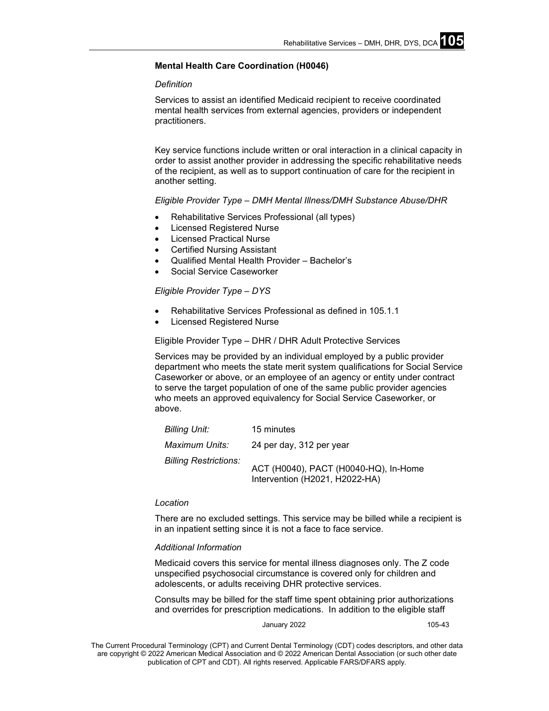# **Mental Health Care Coordination (H0046)**

### *Definition*

Services to assist an identified Medicaid recipient to receive coordinated mental health services from external agencies, providers or independent practitioners.

Key service functions include written or oral interaction in a clinical capacity in order to assist another provider in addressing the specific rehabilitative needs of the recipient, as well as to support continuation of care for the recipient in another setting.

### *Eligible Provider Type – DMH Mental Illness/DMH Substance Abuse/DHR*

- Rehabilitative Services Professional (all types)
- Licensed Registered Nurse
- **Licensed Practical Nurse**
- Certified Nursing Assistant
- Qualified Mental Health Provider Bachelor's
- Social Service Caseworker

# *Eligible Provider Type – DYS*

- Rehabilitative Services Professional as defined in 105.1.1
- Licensed Registered Nurse

### Eligible Provider Type – DHR / DHR Adult Protective Services

Services may be provided by an individual employed by a public provider department who meets the state merit system qualifications for Social Service Caseworker or above, or an employee of an agency or entity under contract to serve the target population of one of the same public provider agencies who meets an approved equivalency for Social Service Caseworker, or above.

| Billing Unit:                | 15 minutes                                                              |
|------------------------------|-------------------------------------------------------------------------|
| Maximum Units:               | 24 per day, 312 per year                                                |
| <b>Billing Restrictions:</b> | ACT (H0040), PACT (H0040-HQ), In-Home<br>Intervention (H2021, H2022-HA) |

### *Location*

There are no excluded settings. This service may be billed while a recipient is in an inpatient setting since it is not a face to face service.

### *Additional Information*

Medicaid covers this service for mental illness diagnoses only. The Z code unspecified psychosocial circumstance is covered only for children and adolescents, or adults receiving DHR protective services.

Consults may be billed for the staff time spent obtaining prior authorizations and overrides for prescription medications. In addition to the eligible staff

January 2022 **105-43**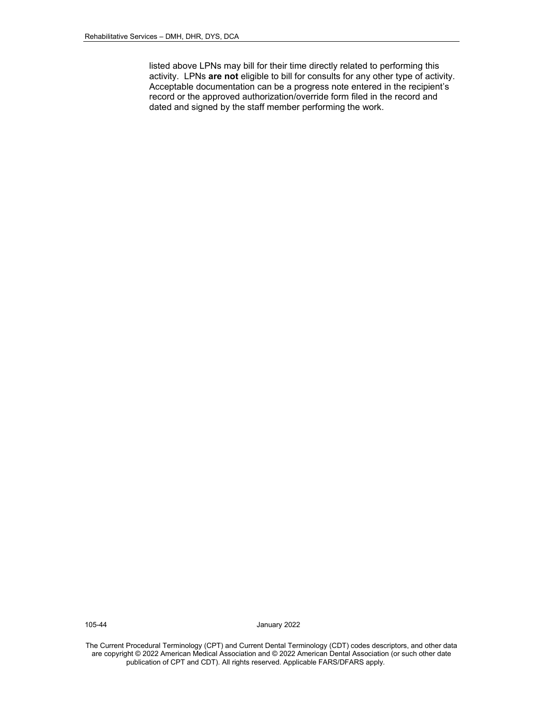listed above LPNs may bill for their time directly related to performing this activity. LPNs **are not** eligible to bill for consults for any other type of activity. Acceptable documentation can be a progress note entered in the recipient's record or the approved authorization/override form filed in the record and dated and signed by the staff member performing the work.

105-44 January 2022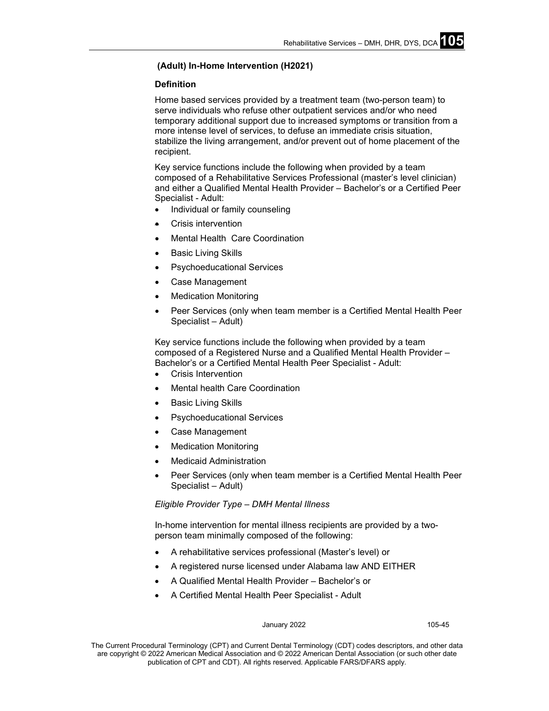# **(Adult) In-Home Intervention (H2021)**

# **Definition**

Home based services provided by a treatment team (two-person team) to serve individuals who refuse other outpatient services and/or who need temporary additional support due to increased symptoms or transition from a more intense level of services, to defuse an immediate crisis situation, stabilize the living arrangement, and/or prevent out of home placement of the recipient.

Key service functions include the following when provided by a team composed of a Rehabilitative Services Professional (master's level clinician) and either a Qualified Mental Health Provider – Bachelor's or a Certified Peer Specialist - Adult:

- Individual or family counseling
- Crisis intervention
- Mental Health Care Coordination
- Basic Living Skills
- Psychoeducational Services
- Case Management
- **Medication Monitoring**
- Peer Services (only when team member is a Certified Mental Health Peer Specialist – Adult)

Key service functions include the following when provided by a team composed of a Registered Nurse and a Qualified Mental Health Provider – Bachelor's or a Certified Mental Health Peer Specialist - Adult:

- Crisis Intervention
- Mental health Care Coordination
- Basic Living Skills
- Psychoeducational Services
- Case Management
- Medication Monitoring
- Medicaid Administration
- Peer Services (only when team member is a Certified Mental Health Peer Specialist – Adult)

# *Eligible Provider Type – DMH Mental Illness*

In-home intervention for mental illness recipients are provided by a twoperson team minimally composed of the following:

- A rehabilitative services professional (Master's level) or
- A registered nurse licensed under Alabama law AND EITHER
- A Qualified Mental Health Provider Bachelor's or
- A Certified Mental Health Peer Specialist Adult

#### January 2022 105-45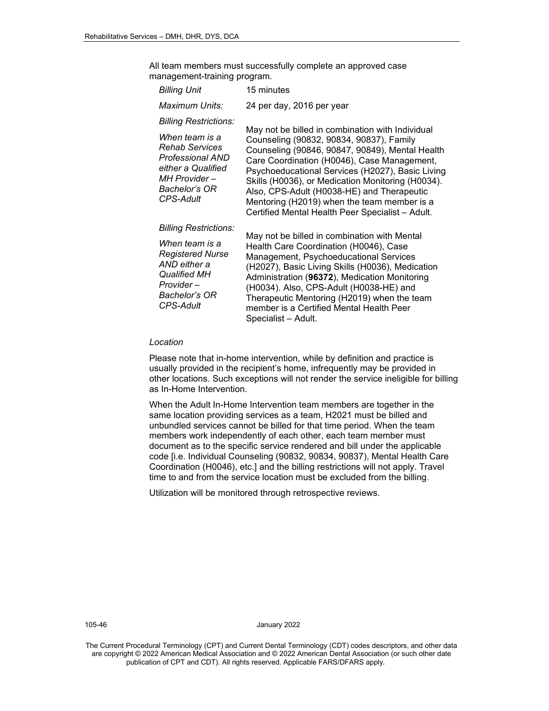All team members must successfully complete an approved case management-training program.

| Billing Unit                                                                                                                                                 | 15 minutes                                                                                                                                                                                                                                                                                                                                                                                                                                               |  |
|--------------------------------------------------------------------------------------------------------------------------------------------------------------|----------------------------------------------------------------------------------------------------------------------------------------------------------------------------------------------------------------------------------------------------------------------------------------------------------------------------------------------------------------------------------------------------------------------------------------------------------|--|
| Maximum Units:                                                                                                                                               | 24 per day, 2016 per year                                                                                                                                                                                                                                                                                                                                                                                                                                |  |
| <b>Billing Restrictions:</b>                                                                                                                                 |                                                                                                                                                                                                                                                                                                                                                                                                                                                          |  |
| When team is a<br><b>Rehab Services</b><br>Professional AND<br>either a Qualified<br>MH Provider –<br><b>Bachelor's OR</b><br><b>CPS-Adult</b>               | May not be billed in combination with Individual<br>Counseling (90832, 90834, 90837), Family<br>Counseling (90846, 90847, 90849), Mental Health<br>Care Coordination (H0046), Case Management,<br>Psychoeducational Services (H2027), Basic Living<br>Skills (H0036), or Medication Monitoring (H0034).<br>Also, CPS-Adult (H0038-HE) and Therapeutic<br>Mentoring (H2019) when the team member is a<br>Certified Mental Health Peer Specialist - Adult. |  |
| <b>Billing Restrictions:</b><br>When team is a<br><b>Registered Nurse</b><br>AND either a<br><b>Qualified MH</b><br>Provider –<br>Bachelor's OR<br>CPS-Adult | May not be billed in combination with Mental<br>Health Care Coordination (H0046), Case<br>Management, Psychoeducational Services<br>(H2027), Basic Living Skills (H0036), Medication<br>Administration (96372), Medication Monitoring<br>(H0034). Also, CPS-Adult (H0038-HE) and<br>Therapeutic Mentoring (H2019) when the team<br>member is a Certified Mental Health Peer<br>Specialist - Adult.                                                       |  |

#### *Location*

Please note that in-home intervention, while by definition and practice is usually provided in the recipient's home, infrequently may be provided in other locations. Such exceptions will not render the service ineligible for billing as In-Home Intervention.

When the Adult In-Home Intervention team members are together in the same location providing services as a team, H2021 must be billed and unbundled services cannot be billed for that time period. When the team members work independently of each other, each team member must document as to the specific service rendered and bill under the applicable code [i.e. Individual Counseling (90832, 90834, 90837), Mental Health Care Coordination (H0046), etc.] and the billing restrictions will not apply. Travel time to and from the service location must be excluded from the billing.

Utilization will be monitored through retrospective reviews.

105-46 January 2022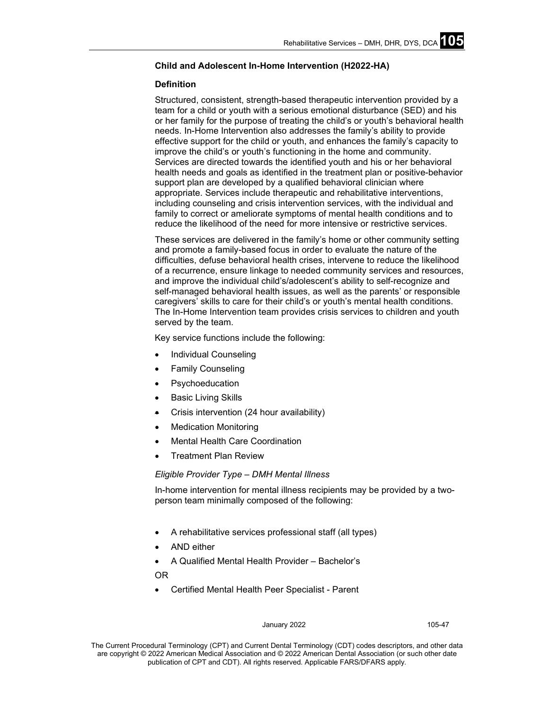# **Child and Adolescent In-Home Intervention (H2022-HA)**

### **Definition**

Structured, consistent, strength-based therapeutic intervention provided by a team for a child or youth with a serious emotional disturbance (SED) and his or her family for the purpose of treating the child's or youth's behavioral health needs. In-Home Intervention also addresses the family's ability to provide effective support for the child or youth, and enhances the family's capacity to improve the child's or youth's functioning in the home and community. Services are directed towards the identified youth and his or her behavioral health needs and goals as identified in the treatment plan or positive-behavior support plan are developed by a qualified behavioral clinician where appropriate. Services include therapeutic and rehabilitative interventions, including counseling and crisis intervention services, with the individual and family to correct or ameliorate symptoms of mental health conditions and to reduce the likelihood of the need for more intensive or restrictive services.

These services are delivered in the family's home or other community setting and promote a family-based focus in order to evaluate the nature of the difficulties, defuse behavioral health crises, intervene to reduce the likelihood of a recurrence, ensure linkage to needed community services and resources, and improve the individual child's/adolescent's ability to self-recognize and self-managed behavioral health issues, as well as the parents' or responsible caregivers' skills to care for their child's or youth's mental health conditions. The In-Home Intervention team provides crisis services to children and youth served by the team.

Key service functions include the following:

- Individual Counseling
- **Family Counseling**
- **Psychoeducation**
- **Basic Living Skills**
- Crisis intervention (24 hour availability)
- **Medication Monitoring**
- Mental Health Care Coordination
- Treatment Plan Review

*Eligible Provider Type – DMH Mental Illness*

In-home intervention for mental illness recipients may be provided by a twoperson team minimally composed of the following:

- A rehabilitative services professional staff (all types)
- AND either

• A Qualified Mental Health Provider – Bachelor's

- OR
- Certified Mental Health Peer Specialist Parent

#### January 2022 105-47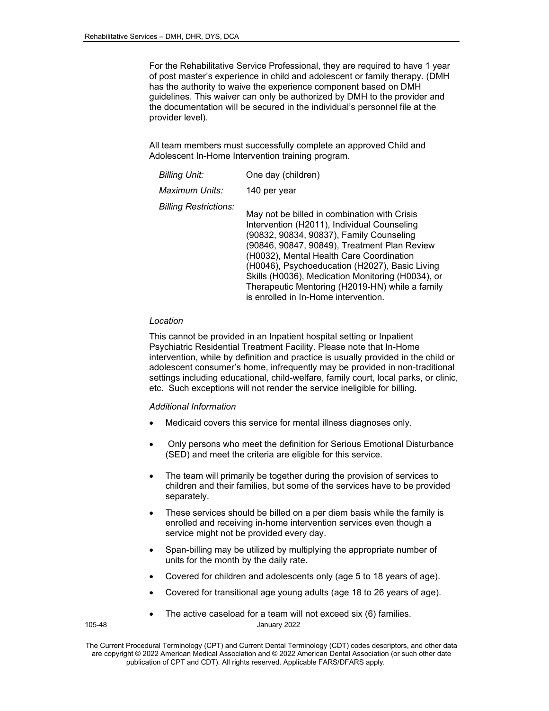For the Rehabilitative Service Professional, they are required to have 1 year of post master's experience in child and adolescent or family therapy. (DMH has the authority to waive the experience component based on DMH guidelines. This waiver can only be authorized by DMH to the provider and the documentation will be secured in the individual's personnel file at the provider level).

All team members must successfully complete an approved Child and Adolescent In-Home Intervention training program.

| <b>Billing Unit:</b>         | One day (children)                                                                                                                                                                                                                                                                                                                                                                                                                    |
|------------------------------|---------------------------------------------------------------------------------------------------------------------------------------------------------------------------------------------------------------------------------------------------------------------------------------------------------------------------------------------------------------------------------------------------------------------------------------|
| Maximum Units:               | 140 per year                                                                                                                                                                                                                                                                                                                                                                                                                          |
| <b>Billing Restrictions:</b> | May not be billed in combination with Crisis<br>Intervention (H2011), Individual Counseling<br>(90832, 90834, 90837), Family Counseling<br>(90846, 90847, 90849), Treatment Plan Review<br>(H0032), Mental Health Care Coordination<br>(H0046), Psychoeducation (H2027), Basic Living<br>Skills (H0036), Medication Monitoring (H0034), or<br>Therapeutic Mentoring (H2019-HN) while a family<br>is enrolled in In-Home intervention. |

# *Location*

This cannot be provided in an Inpatient hospital setting or Inpatient Psychiatric Residential Treatment Facility. Please note that In-Home intervention, while by definition and practice is usually provided in the child or adolescent consumer's home, infrequently may be provided in non-traditional settings including educational, child-welfare, family court, local parks, or clinic, etc. Such exceptions will not render the service ineligible for billing.

### *Additional Information*

- Medicaid covers this service for mental illness diagnoses only.
- Only persons who meet the definition for Serious Emotional Disturbance (SED) and meet the criteria are eligible for this service.
- The team will primarily be together during the provision of services to children and their families, but some of the services have to be provided separately.
- These services should be billed on a per diem basis while the family is enrolled and receiving in-home intervention services even though a service might not be provided every day.
- Span-billing may be utilized by multiplying the appropriate number of units for the month by the daily rate.
- Covered for children and adolescents only (age 5 to 18 years of age).
- Covered for transitional age young adults (age 18 to 26 years of age).
- The active caseload for a team will not exceed six (6) families.

105-48 January 2022

The Current Procedural Terminology (CPT) and Current Dental Terminology (CDT) codes descriptors, and other data are copyright © 2022 American Medical Association and © 2022 American Dental Association (or such other date publication of CPT and CDT). All rights reserved. Applicable FARS/DFARS apply*.*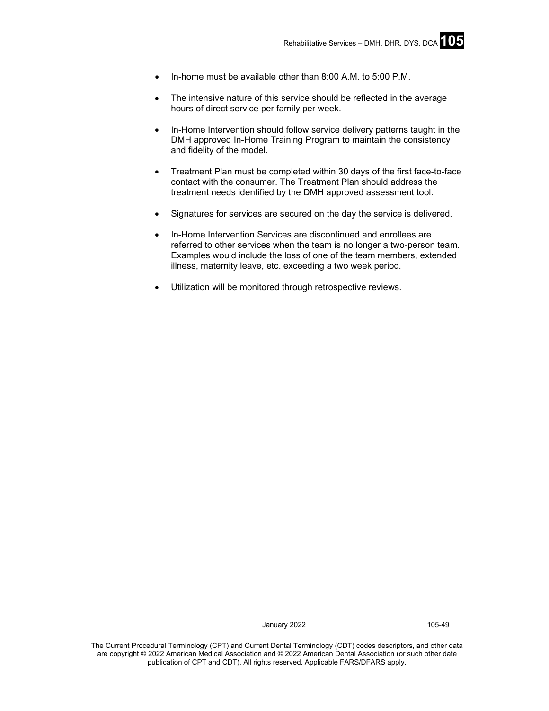- In-home must be available other than 8:00 A.M. to 5:00 P.M.
- The intensive nature of this service should be reflected in the average hours of direct service per family per week.
- In-Home Intervention should follow service delivery patterns taught in the DMH approved In-Home Training Program to maintain the consistency and fidelity of the model.
- Treatment Plan must be completed within 30 days of the first face-to-face contact with the consumer. The Treatment Plan should address the treatment needs identified by the DMH approved assessment tool.
- Signatures for services are secured on the day the service is delivered.
- In-Home Intervention Services are discontinued and enrollees are referred to other services when the team is no longer a two-person team. Examples would include the loss of one of the team members, extended illness, maternity leave, etc. exceeding a two week period*.*
- Utilization will be monitored through retrospective reviews.

January 2022 105-49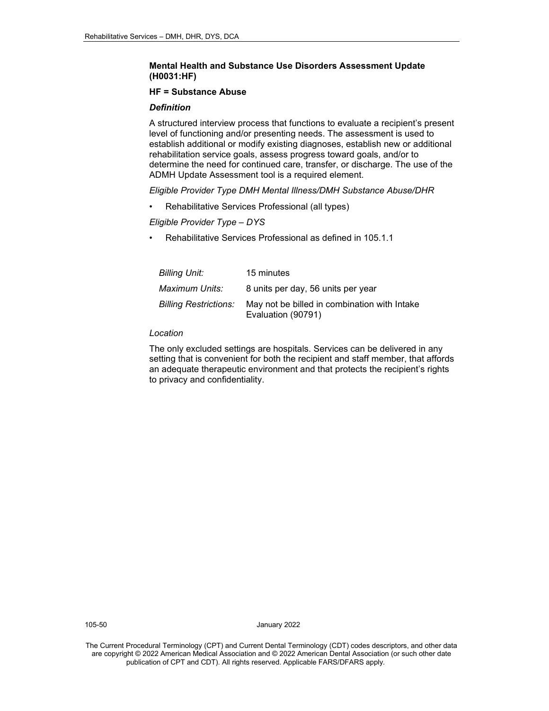# **Mental Health and Substance Use Disorders Assessment Update (H0031:HF)**

# **HF = Substance Abuse**

# *Definition*

A structured interview process that functions to evaluate a recipient's present level of functioning and/or presenting needs. The assessment is used to establish additional or modify existing diagnoses, establish new or additional rehabilitation service goals, assess progress toward goals, and/or to determine the need for continued care, transfer, or discharge. The use of the ADMH Update Assessment tool is a required element.

*Eligible Provider Type DMH Mental Illness/DMH Substance Abuse/DHR* 

• Rehabilitative Services Professional (all types)

*Eligible Provider Type – DYS*

• Rehabilitative Services Professional as defined in 105.1.1

| <b>Billing Unit:</b>         | 15 minutes                                                         |
|------------------------------|--------------------------------------------------------------------|
| Maximum Units:               | 8 units per day, 56 units per year                                 |
| <b>Billing Restrictions:</b> | May not be billed in combination with Intake<br>Evaluation (90791) |

# *Location*

The only excluded settings are hospitals. Services can be delivered in any setting that is convenient for both the recipient and staff member, that affords an adequate therapeutic environment and that protects the recipient's rights to privacy and confidentiality.

105-50 January 2022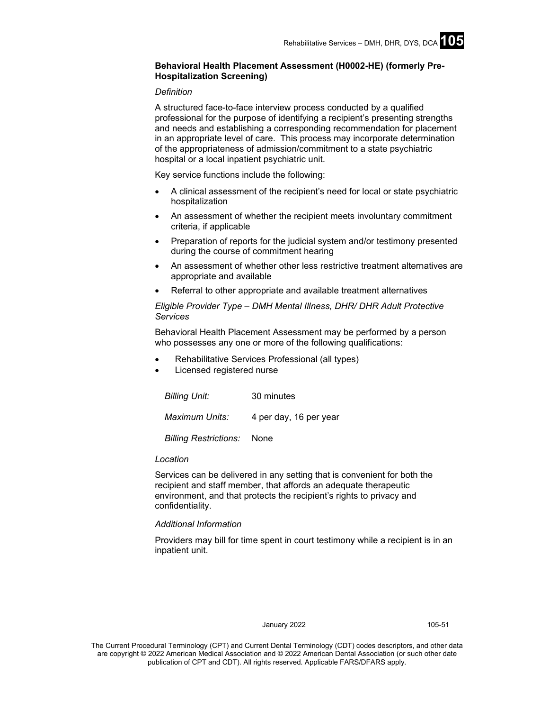# **Behavioral Health Placement Assessment (H0002-HE) (formerly Pre-Hospitalization Screening)**

### *Definition*

A structured face-to-face interview process conducted by a qualified professional for the purpose of identifying a recipient's presenting strengths and needs and establishing a corresponding recommendation for placement in an appropriate level of care. This process may incorporate determination of the appropriateness of admission/commitment to a state psychiatric hospital or a local inpatient psychiatric unit.

Key service functions include the following:

- A clinical assessment of the recipient's need for local or state psychiatric hospitalization
- An assessment of whether the recipient meets involuntary commitment criteria, if applicable
- Preparation of reports for the judicial system and/or testimony presented during the course of commitment hearing
- An assessment of whether other less restrictive treatment alternatives are appropriate and available
- Referral to other appropriate and available treatment alternatives

*Eligible Provider Type – DMH Mental Illness, DHR/ DHR Adult Protective Services*

Behavioral Health Placement Assessment may be performed by a person who possesses any one or more of the following qualifications:

- Rehabilitative Services Professional (all types)
- Licensed registered nurse

| Billing Unit:                | 30 minutes             |
|------------------------------|------------------------|
| Maximum Units:               | 4 per day, 16 per year |
| <b>Billing Restrictions:</b> | None                   |

#### *Location*

Services can be delivered in any setting that is convenient for both the recipient and staff member, that affords an adequate therapeutic environment, and that protects the recipient's rights to privacy and confidentiality.

# *Additional Information*

Providers may bill for time spent in court testimony while a recipient is in an inpatient unit.

#### January 2022 105-51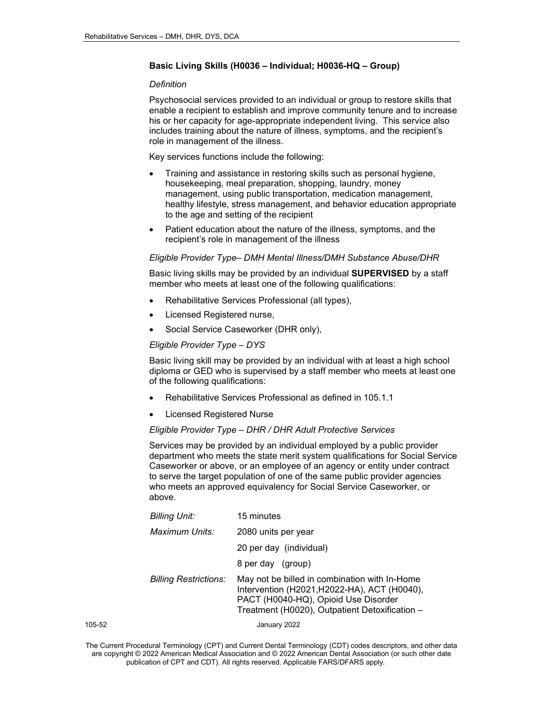# **Basic Living Skills (H0036 – Individual; H0036-HQ – Group)**

### *Definition*

Psychosocial services provided to an individual or group to restore skills that enable a recipient to establish and improve community tenure and to increase his or her capacity for age-appropriate independent living. This service also includes training about the nature of illness, symptoms, and the recipient's role in management of the illness.

Key services functions include the following:

- Training and assistance in restoring skills such as personal hygiene, housekeeping, meal preparation, shopping, laundry, money management, using public transportation, medication management, healthy lifestyle, stress management, and behavior education appropriate to the age and setting of the recipient
- Patient education about the nature of the illness, symptoms, and the recipient's role in management of the illness

# *Eligible Provider Type– DMH Mental Illness/DMH Substance Abuse/DHR*

Basic living skills may be provided by an individual **SUPERVISED** by a staff member who meets at least one of the following qualifications:

- Rehabilitative Services Professional (all types),
- Licensed Registered nurse,
- Social Service Caseworker (DHR only),

# *Eligible Provider Type – DYS*

Basic living skill may be provided by an individual with at least a high school diploma or GED who is supervised by a staff member who meets at least one of the following qualifications:

- Rehabilitative Services Professional as defined in 105.1.1
- Licensed Registered Nurse

# *Eligible Provider Type – DHR / DHR Adult Protective Services*

Services may be provided by an individual employed by a public provider department who meets the state merit system qualifications for Social Service Caseworker or above, or an employee of an agency or entity under contract to serve the target population of one of the same public provider agencies who meets an approved equivalency for Social Service Caseworker, or above.

|        | <b>Billing Unit:</b>         | 15 minutes                                                                                                                                                                              |
|--------|------------------------------|-----------------------------------------------------------------------------------------------------------------------------------------------------------------------------------------|
|        | Maximum Units:               | 2080 units per year                                                                                                                                                                     |
|        |                              | 20 per day (individual)                                                                                                                                                                 |
|        |                              | 8 per day (group)                                                                                                                                                                       |
|        | <b>Billing Restrictions:</b> | May not be billed in combination with In-Home<br>Intervention (H2021, H2022-HA), ACT (H0040),<br>PACT (H0040-HQ), Opioid Use Disorder<br>Treatment (H0020), Outpatient Detoxification - |
| 105-52 |                              | January 2022                                                                                                                                                                            |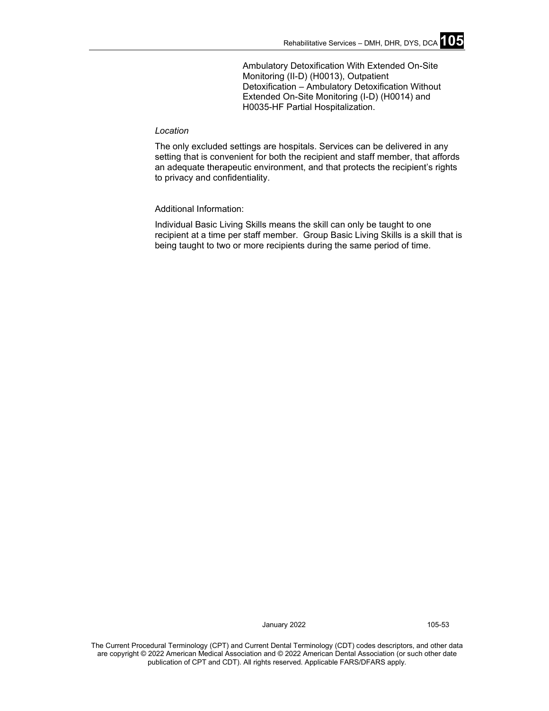Ambulatory Detoxification With Extended On-Site Monitoring (II-D) (H0013), Outpatient Detoxification – Ambulatory Detoxification Without Extended On-Site Monitoring (I-D) (H0014) and H0035-HF Partial Hospitalization.

### *Location*

The only excluded settings are hospitals. Services can be delivered in any setting that is convenient for both the recipient and staff member, that affords an adequate therapeutic environment, and that protects the recipient's rights to privacy and confidentiality.

Additional Information:

Individual Basic Living Skills means the skill can only be taught to one recipient at a time per staff member. Group Basic Living Skills is a skill that is being taught to two or more recipients during the same period of time.

January 2022 105-53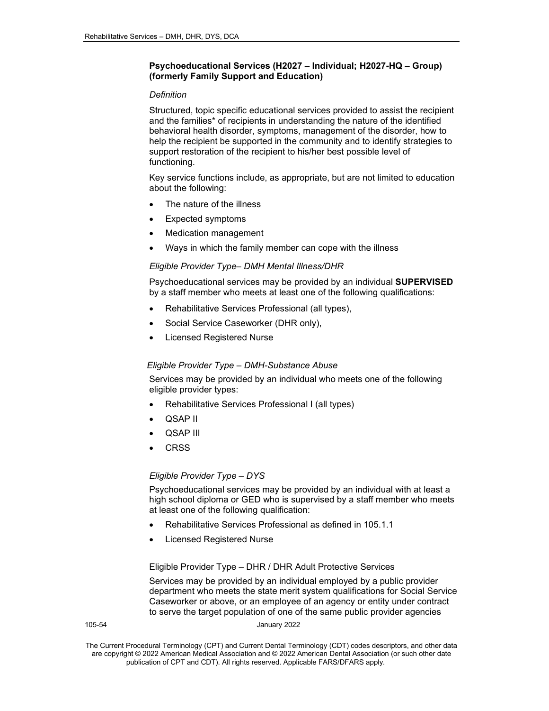# **Psychoeducational Services (H2027 – Individual; H2027-HQ – Group) (formerly Family Support and Education)**

# *Definition*

Structured, topic specific educational services provided to assist the recipient and the families\* of recipients in understanding the nature of the identified behavioral health disorder, symptoms, management of the disorder, how to help the recipient be supported in the community and to identify strategies to support restoration of the recipient to his/her best possible level of functioning.

Key service functions include, as appropriate, but are not limited to education about the following:

- The nature of the illness
- Expected symptoms
- Medication management
- Ways in which the family member can cope with the illness

# *Eligible Provider Type– DMH Mental Illness/DHR*

Psychoeducational services may be provided by an individual **SUPERVISED** by a staff member who meets at least one of the following qualifications:

- Rehabilitative Services Professional (all types),
- Social Service Caseworker (DHR only),
- Licensed Registered Nurse

# *Eligible Provider Type – DMH-Substance Abuse*

Services may be provided by an individual who meets one of the following eligible provider types:

- Rehabilitative Services Professional I (all types)
- QSAP II
- QSAP III
- **CRSS**

# *Eligible Provider Type – DYS*

Psychoeducational services may be provided by an individual with at least a high school diploma or GED who is supervised by a staff member who meets at least one of the following qualification:

- Rehabilitative Services Professional as defined in 105.1.1
- Licensed Registered Nurse

Eligible Provider Type – DHR / DHR Adult Protective Services

Services may be provided by an individual employed by a public provider department who meets the state merit system qualifications for Social Service Caseworker or above, or an employee of an agency or entity under contract to serve the target population of one of the same public provider agencies

105-54 January 2022

The Current Procedural Terminology (CPT) and Current Dental Terminology (CDT) codes descriptors, and other data are copyright © 2022 American Medical Association and © 2022 American Dental Association (or such other date publication of CPT and CDT). All rights reserved. Applicable FARS/DFARS apply*.*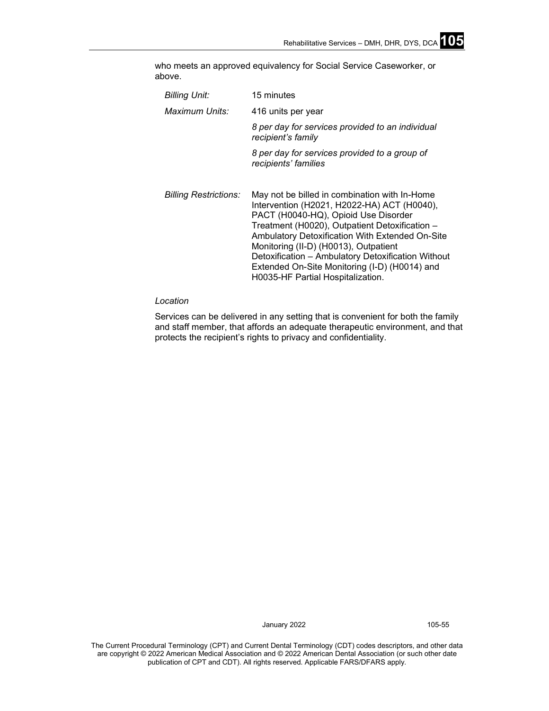who meets an approved equivalency for Social Service Caseworker, or above.

| Billing Unit:<br>Maximum Units: | 15 minutes<br>416 units per year                                                                                                                                                                                                                                                                                                                                                                                               |
|---------------------------------|--------------------------------------------------------------------------------------------------------------------------------------------------------------------------------------------------------------------------------------------------------------------------------------------------------------------------------------------------------------------------------------------------------------------------------|
|                                 | 8 per day for services provided to an individual<br>recipient's family                                                                                                                                                                                                                                                                                                                                                         |
|                                 | 8 per day for services provided to a group of<br>recipients' families                                                                                                                                                                                                                                                                                                                                                          |
| <b>Billing Restrictions:</b>    | May not be billed in combination with In-Home<br>Intervention (H2021, H2022-HA) ACT (H0040),<br>PACT (H0040-HQ), Opioid Use Disorder<br>Treatment (H0020), Outpatient Detoxification -<br>Ambulatory Detoxification With Extended On-Site<br>Monitoring (II-D) (H0013), Outpatient<br>Detoxification - Ambulatory Detoxification Without<br>Extended On-Site Monitoring (I-D) (H0014) and<br>H0035-HF Partial Hospitalization. |

# *Location*

Services can be delivered in any setting that is convenient for both the family and staff member, that affords an adequate therapeutic environment, and that protects the recipient's rights to privacy and confidentiality.

January 2022 105-55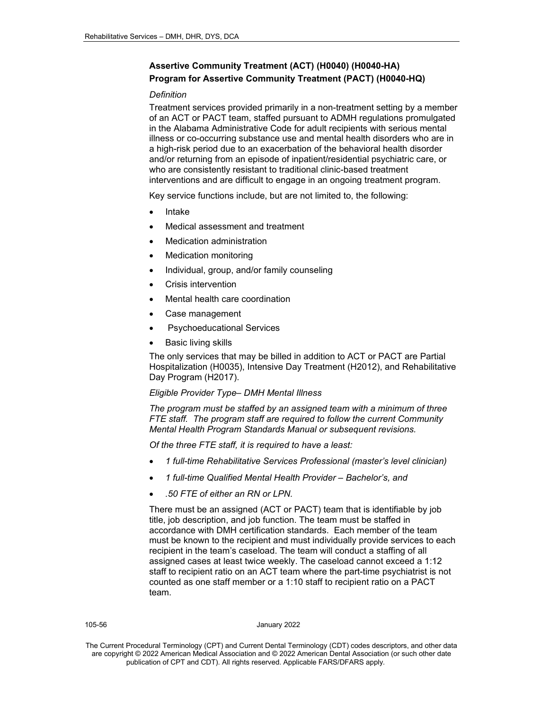# **Assertive Community Treatment (ACT) (H0040) (H0040-HA) Program for Assertive Community Treatment (PACT) (H0040-HQ)**

### *Definition*

Treatment services provided primarily in a non-treatment setting by a member of an ACT or PACT team, staffed pursuant to ADMH regulations promulgated in the Alabama Administrative Code for adult recipients with serious mental illness or co-occurring substance use and mental health disorders who are in a high-risk period due to an exacerbation of the behavioral health disorder and/or returning from an episode of inpatient/residential psychiatric care, or who are consistently resistant to traditional clinic-based treatment interventions and are difficult to engage in an ongoing treatment program.

Key service functions include, but are not limited to, the following:

- Intake
- Medical assessment and treatment
- Medication administration
- Medication monitoring
- Individual, group, and/or family counseling
- Crisis intervention
- Mental health care coordination
- Case management
- Psychoeducational Services
- **Basic living skills**

The only services that may be billed in addition to ACT or PACT are Partial Hospitalization (H0035), Intensive Day Treatment (H2012), and Rehabilitative Day Program (H2017).

#### *Eligible Provider Type– DMH Mental Illness*

*The program must be staffed by an assigned team with a minimum of three FTE staff. The program staff are required to follow the current Community Mental Health Program Standards Manual or subsequent revisions.*

*Of the three FTE staff, it is required to have a least:*

- *1 full-time Rehabilitative Services Professional (master's level clinician)*
- *1 full-time Qualified Mental Health Provider – Bachelor's, and*
- *.50 FTE of either an RN or LPN.*

There must be an assigned (ACT or PACT) team that is identifiable by job title, job description, and job function. The team must be staffed in accordance with DMH certification standards. Each member of the team must be known to the recipient and must individually provide services to each recipient in the team's caseload. The team will conduct a staffing of all assigned cases at least twice weekly. The caseload cannot exceed a 1:12 staff to recipient ratio on an ACT team where the part-time psychiatrist is not counted as one staff member or a 1:10 staff to recipient ratio on a PACT team.

#### 105-56 January 2022

The Current Procedural Terminology (CPT) and Current Dental Terminology (CDT) codes descriptors, and other data are copyright © 2022 American Medical Association and © 2022 American Dental Association (or such other date publication of CPT and CDT). All rights reserved. Applicable FARS/DFARS apply*.*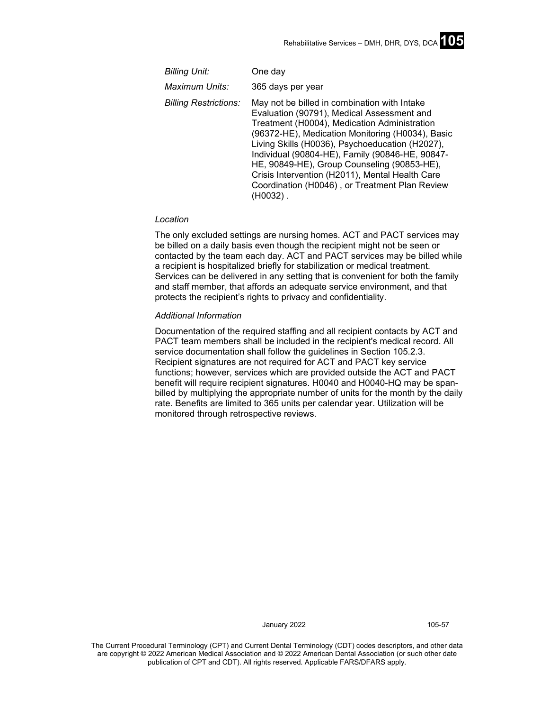| <b>Billing Unit:</b>         | One day                                                                                                                                                                                                                                                                                                                                                                                                                                                              |
|------------------------------|----------------------------------------------------------------------------------------------------------------------------------------------------------------------------------------------------------------------------------------------------------------------------------------------------------------------------------------------------------------------------------------------------------------------------------------------------------------------|
| Maximum Units:               | 365 days per year                                                                                                                                                                                                                                                                                                                                                                                                                                                    |
| <b>Billing Restrictions:</b> | May not be billed in combination with Intake<br>Evaluation (90791), Medical Assessment and<br>Treatment (H0004), Medication Administration<br>(96372-HE), Medication Monitoring (H0034), Basic<br>Living Skills (H0036), Psychoeducation (H2027),<br>Individual (90804-HE), Family (90846-HE, 90847-<br>HE, 90849-HE), Group Counseling (90853-HE),<br>Crisis Intervention (H2011), Mental Health Care<br>Coordination (H0046), or Treatment Plan Review<br>(H0032). |

#### *Location*

The only excluded settings are nursing homes. ACT and PACT services may be billed on a daily basis even though the recipient might not be seen or contacted by the team each day. ACT and PACT services may be billed while a recipient is hospitalized briefly for stabilization or medical treatment. Services can be delivered in any setting that is convenient for both the family and staff member, that affords an adequate service environment, and that protects the recipient's rights to privacy and confidentiality.

### *Additional Information*

Documentation of the required staffing and all recipient contacts by ACT and PACT team members shall be included in the recipient's medical record. All service documentation shall follow the guidelines in Section 105.2.3. Recipient signatures are not required for ACT and PACT key service functions; however, services which are provided outside the ACT and PACT benefit will require recipient signatures. H0040 and H0040-HQ may be spanbilled by multiplying the appropriate number of units for the month by the daily rate. Benefits are limited to 365 units per calendar year. Utilization will be monitored through retrospective reviews.

January 2022 105-57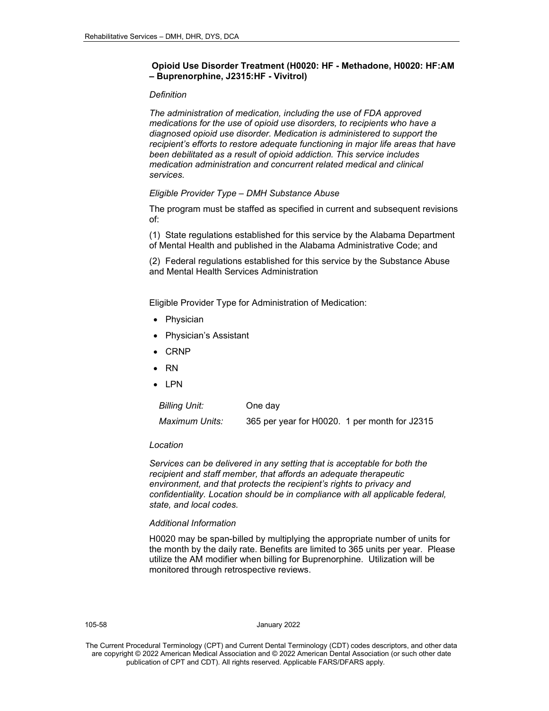# **Opioid Use Disorder Treatment (H0020: HF - Methadone, H0020: HF:AM – Buprenorphine, J2315:HF - Vivitrol)**

### *Definition*

*The administration of medication, including the use of FDA approved medications for the use of opioid use disorders, to recipients who have a diagnosed opioid use disorder. Medication is administered to support the recipient's efforts to restore adequate functioning in major life areas that have been debilitated as a result of opioid addiction. This service includes medication administration and concurrent related medical and clinical services.*

### *Eligible Provider Type – DMH Substance Abuse*

The program must be staffed as specified in current and subsequent revisions of:

(1) State regulations established for this service by the Alabama Department of Mental Health and published in the Alabama Administrative Code; and

(2) Federal regulations established for this service by the Substance Abuse and Mental Health Services Administration

Eligible Provider Type for Administration of Medication:

- **Physician**
- Physician's Assistant
- CRNP
- RN
- LPN

| <b>Billing Unit:</b> | One day                                       |  |
|----------------------|-----------------------------------------------|--|
| Maximum Units:       | 365 per year for H0020. 1 per month for J2315 |  |

#### *Location*

*Services can be delivered in any setting that is acceptable for both the recipient and staff member, that affords an adequate therapeutic environment, and that protects the recipient's rights to privacy and confidentiality. Location should be in compliance with all applicable federal, state, and local codes.*

#### *Additional Information*

H0020 may be span-billed by multiplying the appropriate number of units for the month by the daily rate. Benefits are limited to 365 units per year. Please utilize the AM modifier when billing for Buprenorphine. Utilization will be monitored through retrospective reviews.

105-58 January 2022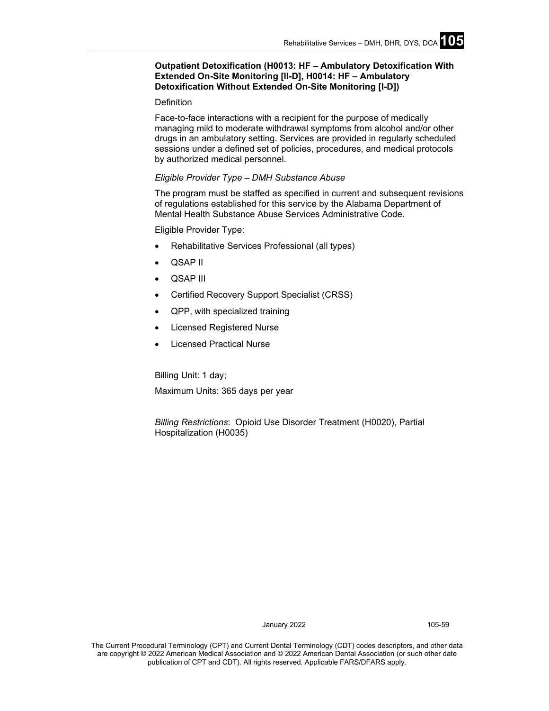# **Outpatient Detoxification (H0013: HF – Ambulatory Detoxification With Extended On-Site Monitoring [II-D], H0014: HF – Ambulatory Detoxification Without Extended On-Site Monitoring [I-D])**

#### **Definition**

Face-to-face interactions with a recipient for the purpose of medically managing mild to moderate withdrawal symptoms from alcohol and/or other drugs in an ambulatory setting. Services are provided in regularly scheduled sessions under a defined set of policies, procedures, and medical protocols by authorized medical personnel.

### *Eligible Provider Type – DMH Substance Abuse*

The program must be staffed as specified in current and subsequent revisions of regulations established for this service by the Alabama Department of Mental Health Substance Abuse Services Administrative Code.

Eligible Provider Type:

- Rehabilitative Services Professional (all types)
- QSAP II
- QSAP III
- Certified Recovery Support Specialist (CRSS)
- QPP, with specialized training
- Licensed Registered Nurse
- **Licensed Practical Nurse**

Billing Unit: 1 day; Maximum Units: 365 days per year

*Billing Restrictions*: Opioid Use Disorder Treatment (H0020), Partial Hospitalization (H0035)

January 2022 105-59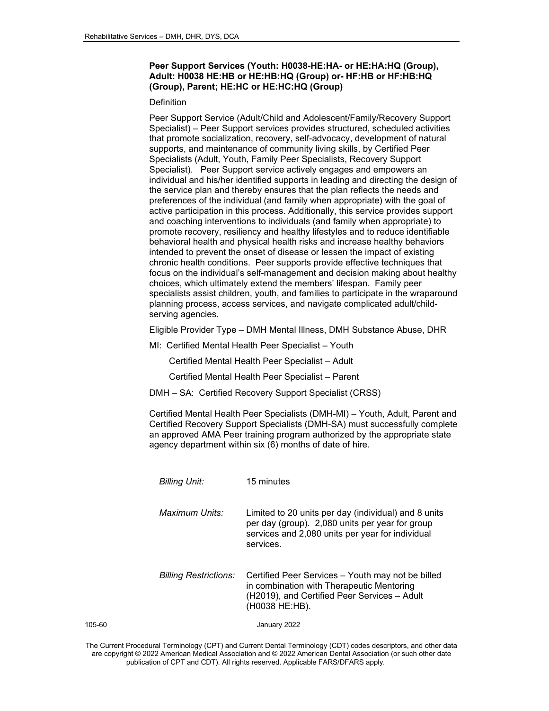# **Peer Support Services (Youth: H0038-HE:HA- or HE:HA:HQ (Group), Adult: H0038 HE:HB or HE:HB:HQ (Group) or- HF:HB or HF:HB:HQ (Group), Parent; HE:HC or HE:HC:HQ (Group)**

#### Definition

Peer Support Service (Adult/Child and Adolescent/Family/Recovery Support Specialist) – Peer Support services provides structured, scheduled activities that promote socialization, recovery, self-advocacy, development of natural supports, and maintenance of community living skills, by Certified Peer Specialists (Adult, Youth, Family Peer Specialists, Recovery Support Specialist). Peer Support service actively engages and empowers an individual and his/her identified supports in leading and directing the design of the service plan and thereby ensures that the plan reflects the needs and preferences of the individual (and family when appropriate) with the goal of active participation in this process. Additionally, this service provides support and coaching interventions to individuals (and family when appropriate) to promote recovery, resiliency and healthy lifestyles and to reduce identifiable behavioral health and physical health risks and increase healthy behaviors intended to prevent the onset of disease or lessen the impact of existing chronic health conditions. Peer supports provide effective techniques that focus on the individual's self-management and decision making about healthy choices, which ultimately extend the members' lifespan. Family peer specialists assist children, youth, and families to participate in the wraparound planning process, access services, and navigate complicated adult/childserving agencies.

Eligible Provider Type – DMH Mental Illness, DMH Substance Abuse, DHR

MI: Certified Mental Health Peer Specialist – Youth

Certified Mental Health Peer Specialist – Adult

Certified Mental Health Peer Specialist – Parent

DMH – SA: Certified Recovery Support Specialist (CRSS)

Certified Mental Health Peer Specialists (DMH-MI) – Youth, Adult, Parent and Certified Recovery Support Specialists (DMH-SA) must successfully complete an approved AMA Peer training program authorized by the appropriate state agency department within six (6) months of date of hire.

|        | <b>Billing Unit:</b>         | 15 minutes                                                                                                                                                               |
|--------|------------------------------|--------------------------------------------------------------------------------------------------------------------------------------------------------------------------|
|        | Maximum Units:               | Limited to 20 units per day (individual) and 8 units<br>per day (group). 2,080 units per year for group<br>services and 2,080 units per year for individual<br>services. |
|        | <b>Billing Restrictions:</b> | Certified Peer Services – Youth may not be billed<br>in combination with Therapeutic Mentoring<br>(H2019), and Certified Peer Services - Adult<br>(H0038 HE:HB).         |
| 105-60 |                              | January 2022                                                                                                                                                             |

The Current Procedural Terminology (CPT) and Current Dental Terminology (CDT) codes descriptors, and other data are copyright © 2022 American Medical Association and © 2022 American Dental Association (or such other date publication of CPT and CDT). All rights reserved. Applicable FARS/DFARS apply*.*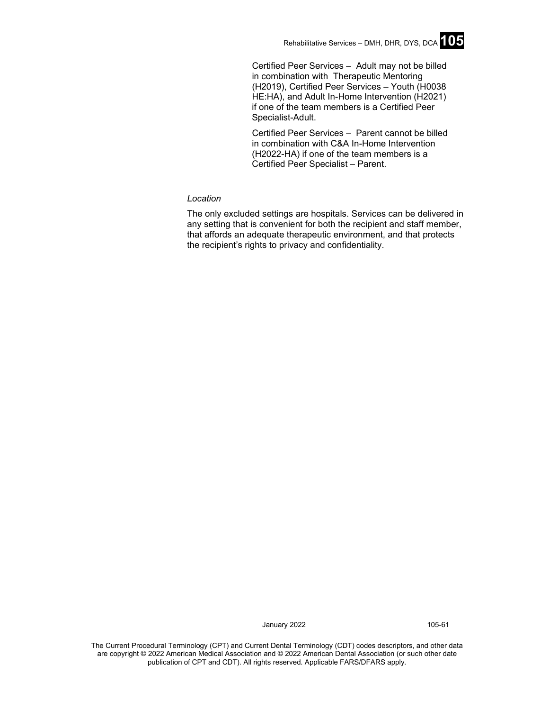Certified Peer Services – Adult may not be billed in combination with Therapeutic Mentoring (H2019), Certified Peer Services – Youth (H0038 HE:HA), and Adult In-Home Intervention (H2021) if one of the team members is a Certified Peer Specialist-Adult.

Certified Peer Services – Parent cannot be billed in combination with C&A In-Home Intervention (H2022-HA) if one of the team members is a Certified Peer Specialist – Parent.

# *Location*

The only excluded settings are hospitals. Services can be delivered in any setting that is convenient for both the recipient and staff member, that affords an adequate therapeutic environment, and that protects the recipient's rights to privacy and confidentiality.

January 2022 105-61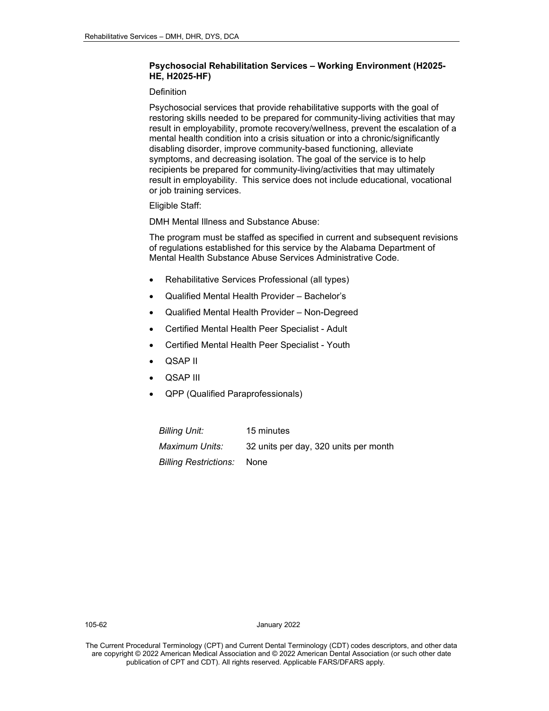# **Psychosocial Rehabilitation Services – Working Environment (H2025- HE, H2025-HF)**

#### **Definition**

Psychosocial services that provide rehabilitative supports with the goal of restoring skills needed to be prepared for community-living activities that may result in employability, promote recovery/wellness, prevent the escalation of a mental health condition into a crisis situation or into a chronic/significantly disabling disorder, improve community-based functioning, alleviate symptoms, and decreasing isolation. The goal of the service is to help recipients be prepared for community-living/activities that may ultimately result in employability. This service does not include educational, vocational or job training services.

Eligible Staff:

DMH Mental Illness and Substance Abuse:

The program must be staffed as specified in current and subsequent revisions of regulations established for this service by the Alabama Department of Mental Health Substance Abuse Services Administrative Code.

- Rehabilitative Services Professional (all types)
- Qualified Mental Health Provider Bachelor's
- Qualified Mental Health Provider Non-Degreed
- Certified Mental Health Peer Specialist Adult
- Certified Mental Health Peer Specialist Youth
- QSAP II
- QSAP III
- QPP (Qualified Paraprofessionals)

| Billing Unit:         | 15 minutes                            |
|-----------------------|---------------------------------------|
| Maximum Units:        | 32 units per day, 320 units per month |
| Billing Restrictions: | None                                  |

105-62 January 2022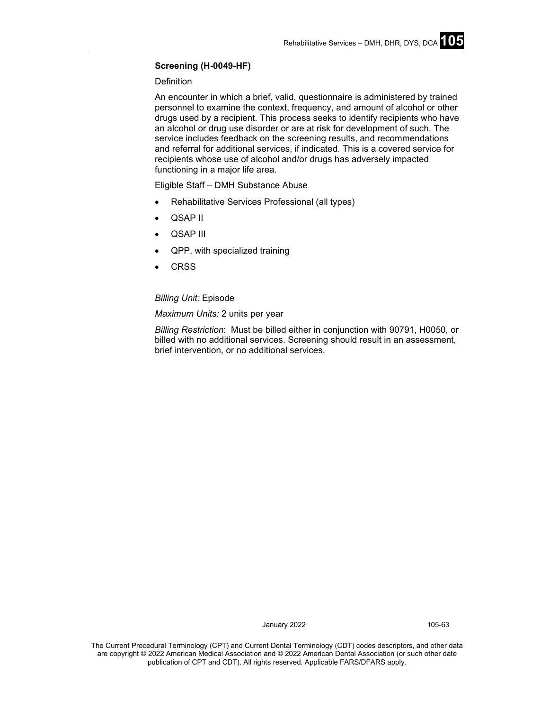# **Screening (H-0049-HF)**

# Definition

An encounter in which a brief, valid, questionnaire is administered by trained personnel to examine the context, frequency, and amount of alcohol or other drugs used by a recipient. This process seeks to identify recipients who have an alcohol or drug use disorder or are at risk for development of such. The service includes feedback on the screening results, and recommendations and referral for additional services, if indicated. This is a covered service for recipients whose use of alcohol and/or drugs has adversely impacted functioning in a major life area.

Eligible Staff – DMH Substance Abuse

- Rehabilitative Services Professional (all types)
- QSAP II
- QSAP III
- QPP, with specialized training
- **CRSS**

# *Billing Unit:* Episode

# *Maximum Units:* 2 units per year

*Billing Restriction*: Must be billed either in conjunction with 90791, H0050, or billed with no additional services. Screening should result in an assessment, brief intervention, or no additional services.

January 2022 105-63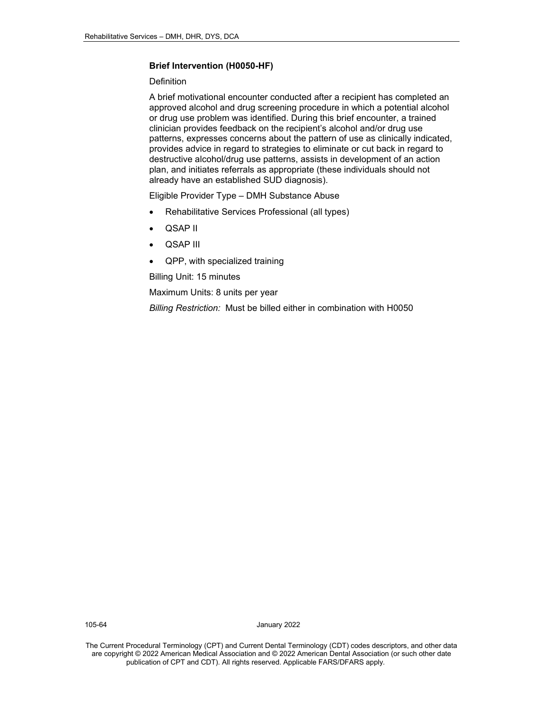# **Brief Intervention (H0050-HF)**

# **Definition**

A brief motivational encounter conducted after a recipient has completed an approved alcohol and drug screening procedure in which a potential alcohol or drug use problem was identified. During this brief encounter, a trained clinician provides feedback on the recipient's alcohol and/or drug use patterns, expresses concerns about the pattern of use as clinically indicated, provides advice in regard to strategies to eliminate or cut back in regard to destructive alcohol/drug use patterns, assists in development of an action plan, and initiates referrals as appropriate (these individuals should not already have an established SUD diagnosis).

Eligible Provider Type – DMH Substance Abuse

- Rehabilitative Services Professional (all types)
- QSAP II
- QSAP III
- QPP, with specialized training

Billing Unit: 15 minutes

Maximum Units: 8 units per year

*Billing Restriction:* Must be billed either in combination with H0050

105-64 January 2022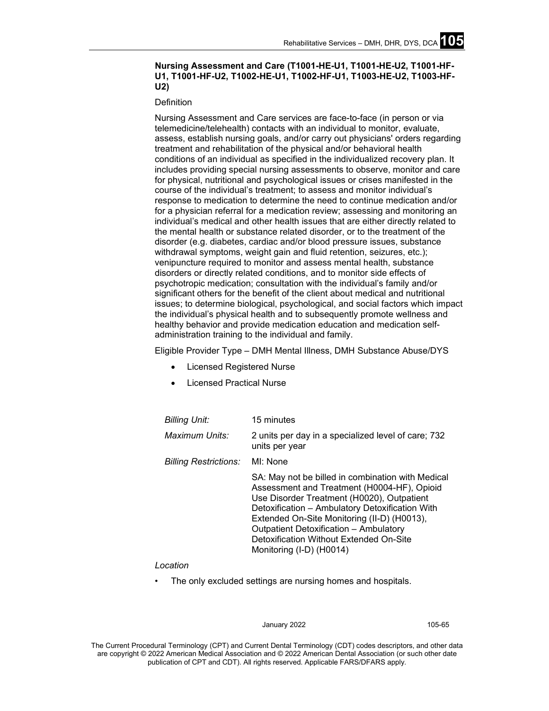# **Nursing Assessment and Care (T1001-HE-U1, T1001-HE-U2, T1001-HF-U1, T1001-HF-U2, T1002-HE-U1, T1002-HF-U1, T1003-HE-U2, T1003-HF-U2)**

**Definition** 

Nursing Assessment and Care services are face-to-face (in person or via telemedicine/telehealth) contacts with an individual to monitor, evaluate, assess, establish nursing goals, and/or carry out physicians' orders regarding treatment and rehabilitation of the physical and/or behavioral health conditions of an individual as specified in the individualized recovery plan. It includes providing special nursing assessments to observe, monitor and care for physical, nutritional and psychological issues or crises manifested in the course of the individual's treatment; to assess and monitor individual's response to medication to determine the need to continue medication and/or for a physician referral for a medication review; assessing and monitoring an individual's medical and other health issues that are either directly related to the mental health or substance related disorder, or to the treatment of the disorder (e.g. diabetes, cardiac and/or blood pressure issues, substance withdrawal symptoms, weight gain and fluid retention, seizures, etc.); venipuncture required to monitor and assess mental health, substance disorders or directly related conditions, and to monitor side effects of psychotropic medication; consultation with the individual's family and/or significant others for the benefit of the client about medical and nutritional issues; to determine biological, psychological, and social factors which impact the individual's physical health and to subsequently promote wellness and healthy behavior and provide medication education and medication selfadministration training to the individual and family.

Eligible Provider Type – DMH Mental Illness, DMH Substance Abuse/DYS

- Licensed Registered Nurse
- Licensed Practical Nurse

| <b>Billing Unit:</b>         | 15 minutes                                                                                                                                                                                                                                                                                                                                                        |
|------------------------------|-------------------------------------------------------------------------------------------------------------------------------------------------------------------------------------------------------------------------------------------------------------------------------------------------------------------------------------------------------------------|
| Maximum Units:               | 2 units per day in a specialized level of care; 732<br>units per year                                                                                                                                                                                                                                                                                             |
| <b>Billing Restrictions:</b> | MI: None                                                                                                                                                                                                                                                                                                                                                          |
|                              | SA: May not be billed in combination with Medical<br>Assessment and Treatment (H0004-HF), Opioid<br>Use Disorder Treatment (H0020), Outpatient<br>Detoxification - Ambulatory Detoxification With<br>Extended On-Site Monitoring (II-D) (H0013),<br>Outpatient Detoxification - Ambulatory<br>Detoxification Without Extended On-Site<br>Monitoring (I-D) (H0014) |

#### *Location*

The only excluded settings are nursing homes and hospitals.

#### January 2022 105-65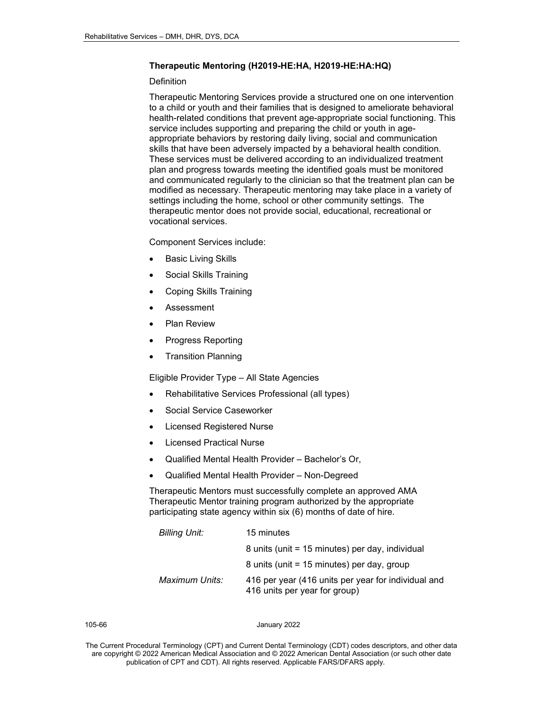#### **Therapeutic Mentoring (H2019-HE:HA, H2019-HE:HA:HQ)**

### **Definition**

Therapeutic Mentoring Services provide a structured one on one intervention to a child or youth and their families that is designed to ameliorate behavioral health-related conditions that prevent age-appropriate social functioning. This service includes supporting and preparing the child or youth in ageappropriate behaviors by restoring daily living, social and communication skills that have been adversely impacted by a behavioral health condition. These services must be delivered according to an individualized treatment plan and progress towards meeting the identified goals must be monitored and communicated regularly to the clinician so that the treatment plan can be modified as necessary. Therapeutic mentoring may take place in a variety of settings including the home, school or other community settings. The therapeutic mentor does not provide social, educational, recreational or vocational services.

Component Services include:

- **Basic Living Skills**
- Social Skills Training
- Coping Skills Training
- **Assessment**
- **Plan Review**
- Progress Reporting
- Transition Planning

Eligible Provider Type – All State Agencies

- Rehabilitative Services Professional (all types)
- Social Service Caseworker
- Licensed Registered Nurse
- **Licensed Practical Nurse**
- Qualified Mental Health Provider Bachelor's Or,
- Qualified Mental Health Provider Non-Degreed

Therapeutic Mentors must successfully complete an approved AMA Therapeutic Mentor training program authorized by the appropriate participating state agency within six (6) months of date of hire.

| <b>Billing Unit:</b> | 15 minutes                                                                           |  |
|----------------------|--------------------------------------------------------------------------------------|--|
|                      | 8 units (unit = 15 minutes) per day, individual                                      |  |
|                      | 8 units (unit = 15 minutes) per day, group                                           |  |
| Maximum Units:       | 416 per year (416 units per year for individual and<br>416 units per year for group) |  |

#### 105-66 January 2022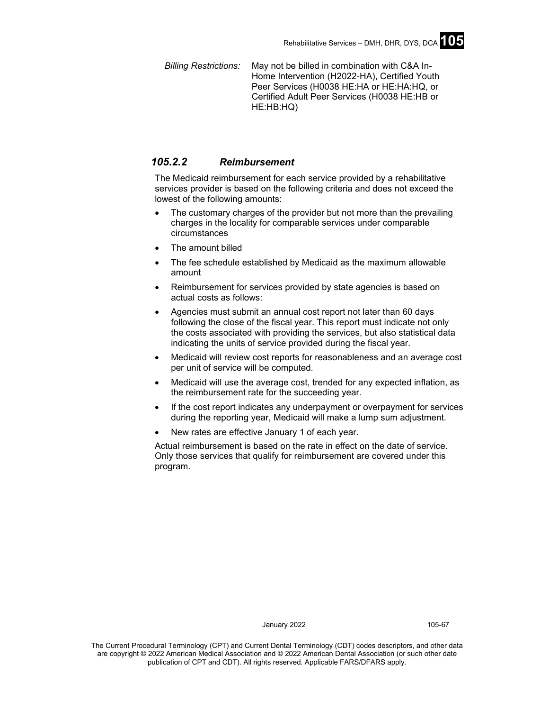*Billing Restrictions:* May not be billed in combination with C&A In-Home Intervention (H2022-HA), Certified Youth Peer Services (H0038 HE:HA or HE:HA:HQ, or Certified Adult Peer Services (H0038 HE:HB or HE:HB:HQ)

# *105.2.2 Reimbursement*

The Medicaid reimbursement for each service provided by a rehabilitative services provider is based on the following criteria and does not exceed the lowest of the following amounts:

- The customary charges of the provider but not more than the prevailing charges in the locality for comparable services under comparable circumstances
- The amount billed
- The fee schedule established by Medicaid as the maximum allowable amount
- Reimbursement for services provided by state agencies is based on actual costs as follows:
- Agencies must submit an annual cost report not later than 60 days following the close of the fiscal year. This report must indicate not only the costs associated with providing the services, but also statistical data indicating the units of service provided during the fiscal year.
- Medicaid will review cost reports for reasonableness and an average cost per unit of service will be computed.
- Medicaid will use the average cost, trended for any expected inflation, as the reimbursement rate for the succeeding year.
- If the cost report indicates any underpayment or overpayment for services during the reporting year, Medicaid will make a lump sum adjustment.
- New rates are effective January 1 of each year.

Actual reimbursement is based on the rate in effect on the date of service. Only those services that qualify for reimbursement are covered under this program.

January 2022 105-67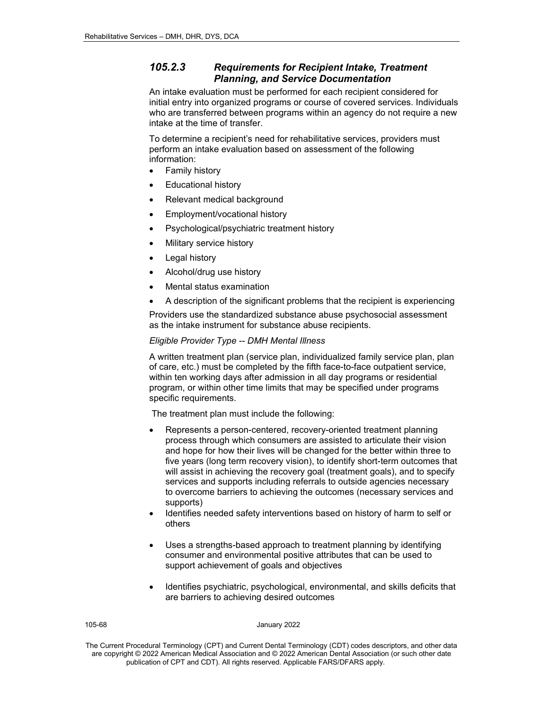# *105.2.3 Requirements for Recipient Intake, Treatment Planning, and Service Documentation*

An intake evaluation must be performed for each recipient considered for initial entry into organized programs or course of covered services. Individuals who are transferred between programs within an agency do not require a new intake at the time of transfer.

To determine a recipient's need for rehabilitative services, providers must perform an intake evaluation based on assessment of the following information:

- Family history
- Educational history
- Relevant medical background
- Employment/vocational history
- Psychological/psychiatric treatment history
- Military service history
- Legal history
- Alcohol/drug use history
- Mental status examination
- A description of the significant problems that the recipient is experiencing

Providers use the standardized substance abuse psychosocial assessment as the intake instrument for substance abuse recipients.

# *Eligible Provider Type -- DMH Mental Illness*

A written treatment plan (service plan, individualized family service plan, plan of care, etc.) must be completed by the fifth face-to-face outpatient service, within ten working days after admission in all day programs or residential program, or within other time limits that may be specified under programs specific requirements.

The treatment plan must include the following:

- Represents a person-centered, recovery-oriented treatment planning process through which consumers are assisted to articulate their vision and hope for how their lives will be changed for the better within three to five years (long term recovery vision), to identify short-term outcomes that will assist in achieving the recovery goal (treatment goals), and to specify services and supports including referrals to outside agencies necessary to overcome barriers to achieving the outcomes (necessary services and supports)
- Identifies needed safety interventions based on history of harm to self or others
- Uses a strengths-based approach to treatment planning by identifying consumer and environmental positive attributes that can be used to support achievement of goals and objectives
- Identifies psychiatric, psychological, environmental, and skills deficits that are barriers to achieving desired outcomes

#### 105-68 January 2022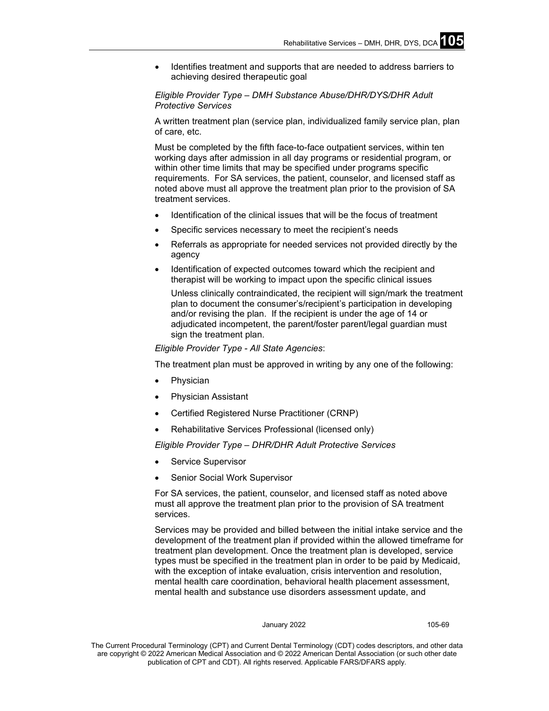• Identifies treatment and supports that are needed to address barriers to achieving desired therapeutic goal

# *Eligible Provider Type – DMH Substance Abuse/DHR/DYS/DHR Adult Protective Services*

A written treatment plan (service plan, individualized family service plan, plan of care, etc.

Must be completed by the fifth face-to-face outpatient services, within ten working days after admission in all day programs or residential program, or within other time limits that may be specified under programs specific requirements. For SA services, the patient, counselor, and licensed staff as noted above must all approve the treatment plan prior to the provision of SA treatment services.

- Identification of the clinical issues that will be the focus of treatment
- Specific services necessary to meet the recipient's needs
- Referrals as appropriate for needed services not provided directly by the agency
- Identification of expected outcomes toward which the recipient and therapist will be working to impact upon the specific clinical issues

Unless clinically contraindicated, the recipient will sign/mark the treatment plan to document the consumer's/recipient's participation in developing and/or revising the plan. If the recipient is under the age of 14 or adjudicated incompetent, the parent/foster parent/legal guardian must sign the treatment plan.

*Eligible Provider Type - All State Agencies*:

The treatment plan must be approved in writing by any one of the following:

- **Physician**
- Physician Assistant
- Certified Registered Nurse Practitioner (CRNP)
- Rehabilitative Services Professional (licensed only)

*Eligible Provider Type – DHR/DHR Adult Protective Services*

- Service Supervisor
- Senior Social Work Supervisor

For SA services, the patient, counselor, and licensed staff as noted above must all approve the treatment plan prior to the provision of SA treatment services.

Services may be provided and billed between the initial intake service and the development of the treatment plan if provided within the allowed timeframe for treatment plan development. Once the treatment plan is developed, service types must be specified in the treatment plan in order to be paid by Medicaid, with the exception of intake evaluation, crisis intervention and resolution, mental health care coordination, behavioral health placement assessment, mental health and substance use disorders assessment update, and

#### January 2022 105-69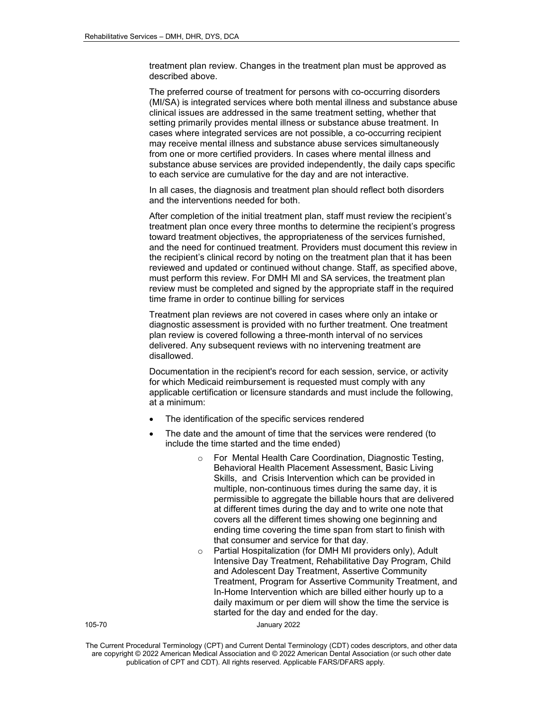treatment plan review. Changes in the treatment plan must be approved as described above.

The preferred course of treatment for persons with co-occurring disorders (MI/SA) is integrated services where both mental illness and substance abuse clinical issues are addressed in the same treatment setting, whether that setting primarily provides mental illness or substance abuse treatment. In cases where integrated services are not possible, a co-occurring recipient may receive mental illness and substance abuse services simultaneously from one or more certified providers. In cases where mental illness and substance abuse services are provided independently, the daily caps specific to each service are cumulative for the day and are not interactive.

In all cases, the diagnosis and treatment plan should reflect both disorders and the interventions needed for both.

After completion of the initial treatment plan, staff must review the recipient's treatment plan once every three months to determine the recipient's progress toward treatment objectives, the appropriateness of the services furnished, and the need for continued treatment. Providers must document this review in the recipient's clinical record by noting on the treatment plan that it has been reviewed and updated or continued without change. Staff, as specified above, must perform this review. For DMH MI and SA services, the treatment plan review must be completed and signed by the appropriate staff in the required time frame in order to continue billing for services

Treatment plan reviews are not covered in cases where only an intake or diagnostic assessment is provided with no further treatment. One treatment plan review is covered following a three-month interval of no services delivered. Any subsequent reviews with no intervening treatment are disallowed.

Documentation in the recipient's record for each session, service, or activity for which Medicaid reimbursement is requested must comply with any applicable certification or licensure standards and must include the following, at a minimum:

- The identification of the specific services rendered
- The date and the amount of time that the services were rendered (to include the time started and the time ended)
	- o For Mental Health Care Coordination, Diagnostic Testing, Behavioral Health Placement Assessment, Basic Living Skills, and Crisis Intervention which can be provided in multiple, non-continuous times during the same day, it is permissible to aggregate the billable hours that are delivered at different times during the day and to write one note that covers all the different times showing one beginning and ending time covering the time span from start to finish with that consumer and service for that day.
	- o Partial Hospitalization (for DMH MI providers only), Adult Intensive Day Treatment, Rehabilitative Day Program, Child and Adolescent Day Treatment, Assertive Community Treatment, Program for Assertive Community Treatment, and In-Home Intervention which are billed either hourly up to a daily maximum or per diem will show the time the service is started for the day and ended for the day.

105-70 January 2022

The Current Procedural Terminology (CPT) and Current Dental Terminology (CDT) codes descriptors, and other data are copyright © 2022 American Medical Association and © 2022 American Dental Association (or such other date publication of CPT and CDT). All rights reserved. Applicable FARS/DFARS apply*.*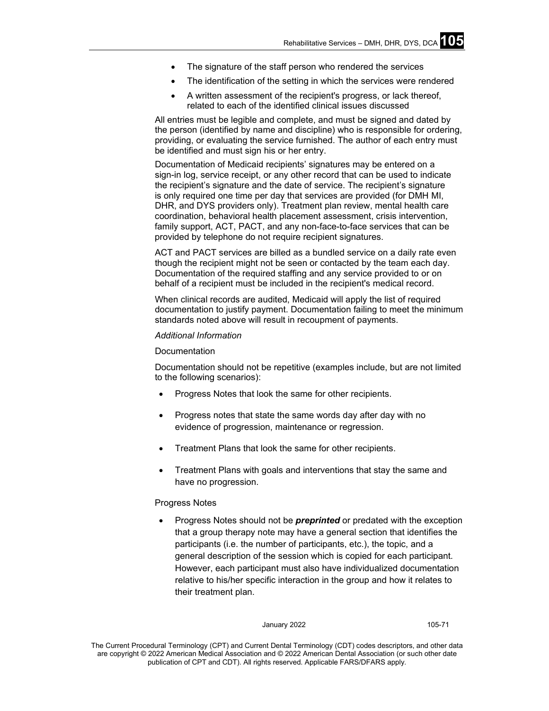- The signature of the staff person who rendered the services
- The identification of the setting in which the services were rendered
- A written assessment of the recipient's progress, or lack thereof, related to each of the identified clinical issues discussed

All entries must be legible and complete, and must be signed and dated by the person (identified by name and discipline) who is responsible for ordering, providing, or evaluating the service furnished. The author of each entry must be identified and must sign his or her entry.

Documentation of Medicaid recipients' signatures may be entered on a sign-in log, service receipt, or any other record that can be used to indicate the recipient's signature and the date of service. The recipient's signature is only required one time per day that services are provided (for DMH MI, DHR, and DYS providers only). Treatment plan review, mental health care coordination, behavioral health placement assessment, crisis intervention, family support, ACT, PACT, and any non-face-to-face services that can be provided by telephone do not require recipient signatures.

ACT and PACT services are billed as a bundled service on a daily rate even though the recipient might not be seen or contacted by the team each day. Documentation of the required staffing and any service provided to or on behalf of a recipient must be included in the recipient's medical record.

When clinical records are audited, Medicaid will apply the list of required documentation to justify payment. Documentation failing to meet the minimum standards noted above will result in recoupment of payments.

### *Additional Information*

# Documentation

Documentation should not be repetitive (examples include, but are not limited to the following scenarios):

- Progress Notes that look the same for other recipients.
- Progress notes that state the same words day after day with no evidence of progression, maintenance or regression.
- Treatment Plans that look the same for other recipients.
- Treatment Plans with goals and interventions that stay the same and have no progression.

### Progress Notes

• Progress Notes should not be *preprinted* or predated with the exception that a group therapy note may have a general section that identifies the participants (i.e. the number of participants, etc.), the topic, and a general description of the session which is copied for each participant. However, each participant must also have individualized documentation relative to his/her specific interaction in the group and how it relates to their treatment plan.

#### January 2022 105-71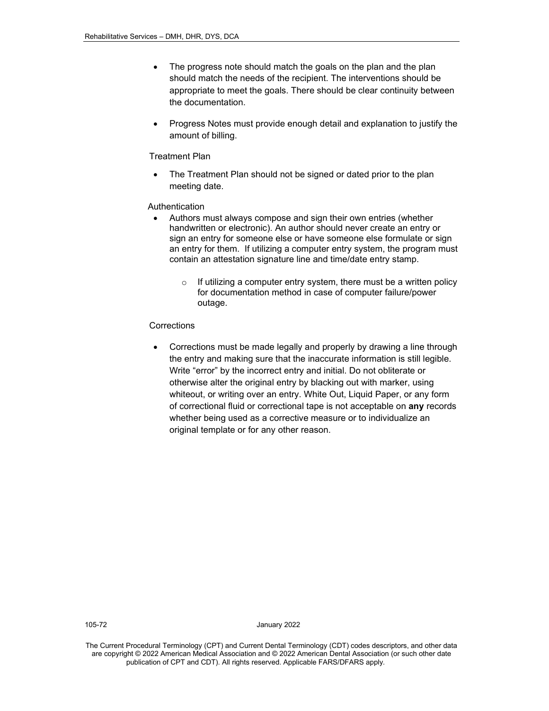- The progress note should match the goals on the plan and the plan should match the needs of the recipient. The interventions should be appropriate to meet the goals. There should be clear continuity between the documentation.
- Progress Notes must provide enough detail and explanation to justify the amount of billing.

# Treatment Plan

The Treatment Plan should not be signed or dated prior to the plan meeting date.

### Authentication

- Authors must always compose and sign their own entries (whether handwritten or electronic). An author should never create an entry or sign an entry for someone else or have someone else formulate or sign an entry for them. If utilizing a computer entry system, the program must contain an attestation signature line and time/date entry stamp.
	- $\circ$  If utilizing a computer entry system, there must be a written policy for documentation method in case of computer failure/power outage.

# **Corrections**

• Corrections must be made legally and properly by drawing a line through the entry and making sure that the inaccurate information is still legible. Write "error" by the incorrect entry and initial. Do not obliterate or otherwise alter the original entry by blacking out with marker, using whiteout, or writing over an entry. White Out, Liquid Paper, or any form of correctional fluid or correctional tape is not acceptable on **any** records whether being used as a corrective measure or to individualize an original template or for any other reason.

105-72 January 2022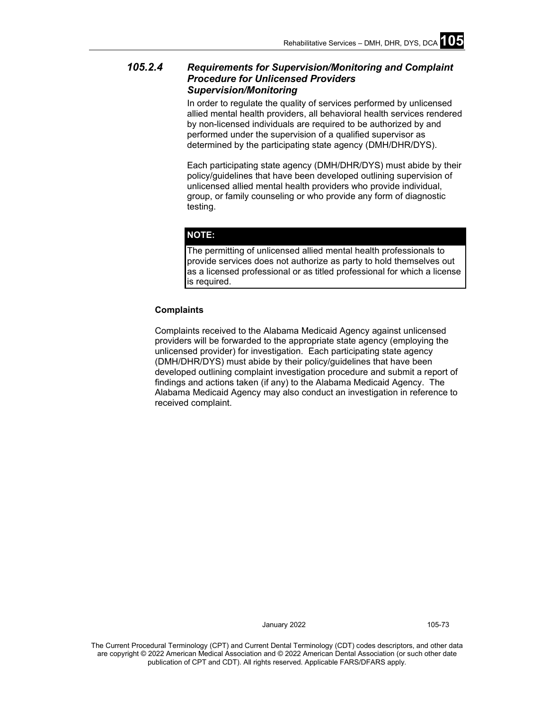## *105.2.4 Requirements for Supervision/Monitoring and Complaint Procedure for Unlicensed Providers Supervision/Monitoring*

In order to regulate the quality of services performed by unlicensed allied mental health providers, all behavioral health services rendered by non-licensed individuals are required to be authorized by and performed under the supervision of a qualified supervisor as determined by the participating state agency (DMH/DHR/DYS).

Each participating state agency (DMH/DHR/DYS) must abide by their policy/guidelines that have been developed outlining supervision of unlicensed allied mental health providers who provide individual, group, or family counseling or who provide any form of diagnostic testing.

#### **NOTE:**

The permitting of unlicensed allied mental health professionals to provide services does not authorize as party to hold themselves out as a licensed professional or as titled professional for which a license is required.

#### **Complaints**

Complaints received to the Alabama Medicaid Agency against unlicensed providers will be forwarded to the appropriate state agency (employing the unlicensed provider) for investigation. Each participating state agency (DMH/DHR/DYS) must abide by their policy/guidelines that have been developed outlining complaint investigation procedure and submit a report of findings and actions taken (if any) to the Alabama Medicaid Agency. The Alabama Medicaid Agency may also conduct an investigation in reference to received complaint.

January 2022 105-73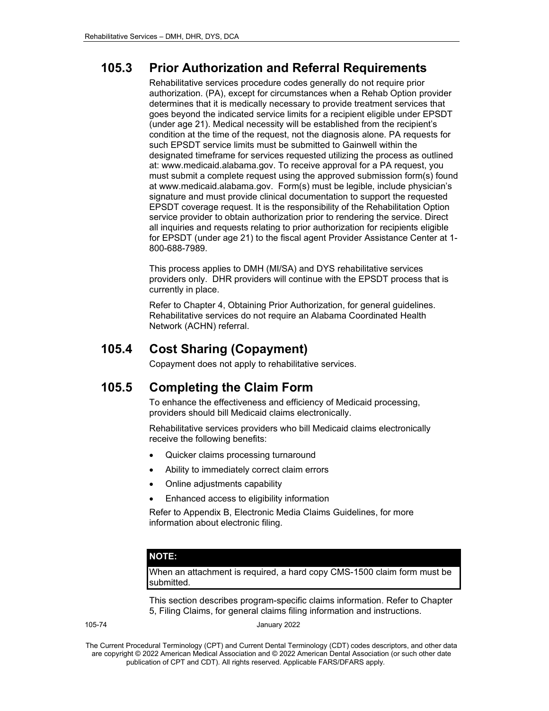# **105.3 Prior Authorization and Referral Requirements**

Rehabilitative services procedure codes generally do not require prior authorization. (PA), except for circumstances when a Rehab Option provider determines that it is medically necessary to provide treatment services that goes beyond the indicated service limits for a recipient eligible under EPSDT (under age 21). Medical necessity will be established from the recipient's condition at the time of the request, not the diagnosis alone. PA requests for such EPSDT service limits must be submitted to Gainwell within the designated timeframe for services requested utilizing the process as outlined at: www.medicaid.alabama.gov. To receive approval for a PA request, you must submit a complete request using the approved submission form(s) found at www.medicaid.alabama.gov. Form(s) must be legible, include physician's signature and must provide clinical documentation to support the requested EPSDT coverage request. It is the responsibility of the Rehabilitation Option service provider to obtain authorization prior to rendering the service. Direct all inquiries and requests relating to prior authorization for recipients eligible for EPSDT (under age 21) to the fiscal agent Provider Assistance Center at 1- 800-688-7989.

This process applies to DMH (MI/SA) and DYS rehabilitative services providers only. DHR providers will continue with the EPSDT process that is currently in place.

Refer to Chapter 4, Obtaining Prior Authorization, for general guidelines. Rehabilitative services do not require an Alabama Coordinated Health Network (ACHN) referral.

## **105.4 Cost Sharing (Copayment)**

Copayment does not apply to rehabilitative services.

## **105.5 Completing the Claim Form**

To enhance the effectiveness and efficiency of Medicaid processing, providers should bill Medicaid claims electronically.

Rehabilitative services providers who bill Medicaid claims electronically receive the following benefits:

- Quicker claims processing turnaround
- Ability to immediately correct claim errors
- Online adjustments capability
- Enhanced access to eligibility information

Refer to Appendix B, Electronic Media Claims Guidelines, for more information about electronic filing.

#### **NOTE:**

When an attachment is required, a hard copy CMS-1500 claim form must be submitted.

This section describes program-specific claims information. Refer to Chapter 5, Filing Claims, for general claims filing information and instructions.

105-74 January 2022

The Current Procedural Terminology (CPT) and Current Dental Terminology (CDT) codes descriptors, and other data are copyright © 2022 American Medical Association and © 2022 American Dental Association (or such other date publication of CPT and CDT). All rights reserved. Applicable FARS/DFARS apply*.*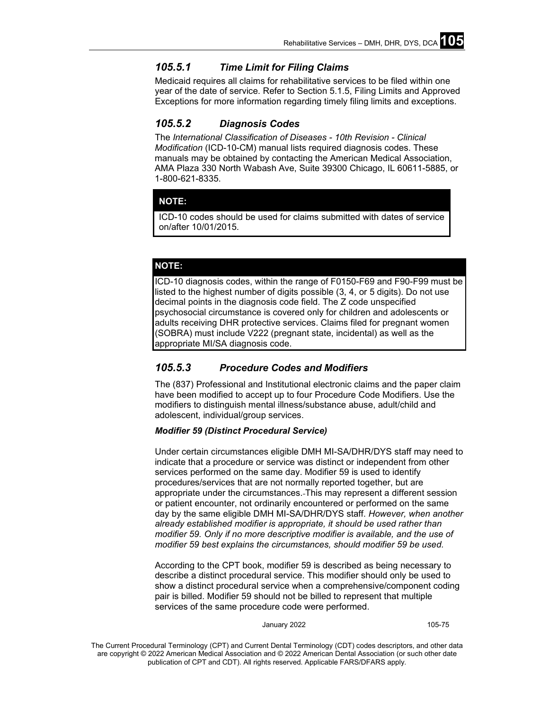## *105.5.1 Time Limit for Filing Claims*

Medicaid requires all claims for rehabilitative services to be filed within one year of the date of service. Refer to Section 5.1.5, Filing Limits and Approved Exceptions for more information regarding timely filing limits and exceptions.

## *105.5.2 Diagnosis Codes*

The *International Classification of Diseases - 10th Revision - Clinical Modification* (ICD-10-CM) manual lists required diagnosis codes. These manuals may be obtained by contacting the American Medical Association, AMA Plaza 330 North Wabash Ave, Suite 39300 Chicago, IL 60611-5885, or 1-800-621-8335.

### **NOTE:**

ICD-10 codes should be used for claims submitted with dates of service on/after 10/01/2015.

### **NOTE:**

ICD-10 diagnosis codes, within the range of F0150-F69 and F90-F99 must be listed to the highest number of digits possible (3, 4, or 5 digits). Do not use decimal points in the diagnosis code field. The Z code unspecified psychosocial circumstance is covered only for children and adolescents or adults receiving DHR protective services. Claims filed for pregnant women (SOBRA) must include V222 (pregnant state, incidental) as well as the appropriate MI/SA diagnosis code.

### *105.5.3 Procedure Codes and Modifiers*

The (837) Professional and Institutional electronic claims and the paper claim have been modified to accept up to four Procedure Code Modifiers. Use the modifiers to distinguish mental illness/substance abuse, adult/child and adolescent, individual/group services.

#### *Modifier 59 (Distinct Procedural Service)*

Under certain circumstances eligible DMH MI-SA/DHR/DYS staff may need to indicate that a procedure or service was distinct or independent from other services performed on the same day. Modifier 59 is used to identify procedures/services that are not normally reported together, but are appropriate under the circumstances. This may represent a different session or patient encounter, not ordinarily encountered or performed on the same day by the same eligible DMH MI-SA/DHR/DYS staff. *However, when another already established modifier is appropriate, it should be used rather than modifier 59. Only if no more descriptive modifier is available, and the use of modifier 59 best explains the circumstances, should modifier 59 be used.* 

According to the CPT book, modifier 59 is described as being necessary to describe a distinct procedural service. This modifier should only be used to show a distinct procedural service when a comprehensive/component coding pair is billed. Modifier 59 should not be billed to represent that multiple services of the same procedure code were performed.

January 2022 105-75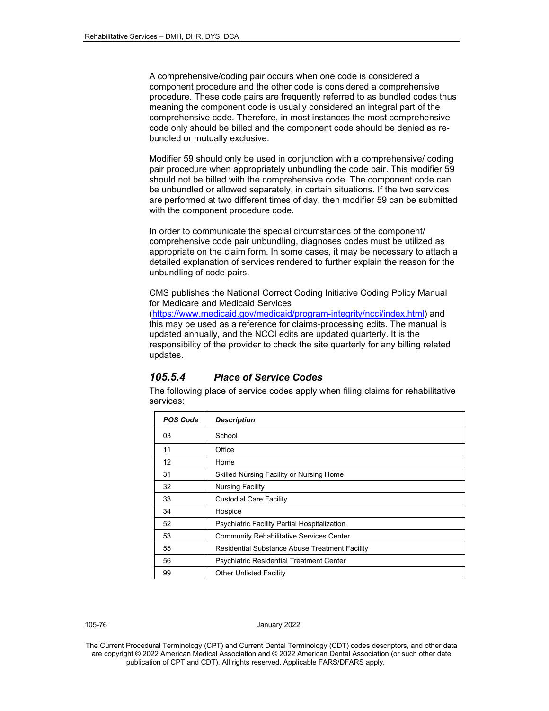A comprehensive/coding pair occurs when one code is considered a component procedure and the other code is considered a comprehensive procedure. These code pairs are frequently referred to as bundled codes thus meaning the component code is usually considered an integral part of the comprehensive code. Therefore, in most instances the most comprehensive code only should be billed and the component code should be denied as rebundled or mutually exclusive.

Modifier 59 should only be used in conjunction with a comprehensive/ coding pair procedure when appropriately unbundling the code pair. This modifier 59 should not be billed with the comprehensive code. The component code can be unbundled or allowed separately, in certain situations. If the two services are performed at two different times of day, then modifier 59 can be submitted with the component procedure code.

In order to communicate the special circumstances of the component/ comprehensive code pair unbundling, diagnoses codes must be utilized as appropriate on the claim form. In some cases, it may be necessary to attach a detailed explanation of services rendered to further explain the reason for the unbundling of code pairs.

CMS publishes the National Correct Coding Initiative Coding Policy Manual for Medicare and Medicaid Services

[\(https://www.medicaid.gov/medicaid/program-integrity/ncci/index.html\)](https://www.medicaid.gov/medicaid/program-integrity/ncci/index.html) and this may be used as a reference for claims-processing edits. The manual is updated annually, and the NCCI edits are updated quarterly. It is the responsibility of the provider to check the site quarterly for any billing related updates.

### *105.5.4 Place of Service Codes*

The following place of service codes apply when filing claims for rehabilitative services:

| <b>POS Code</b> | <b>Description</b>                              |
|-----------------|-------------------------------------------------|
| 03              | School                                          |
| 11              | Office                                          |
| 12              | Home                                            |
| 31              | Skilled Nursing Facility or Nursing Home        |
| 32              | <b>Nursing Facility</b>                         |
| 33              | <b>Custodial Care Facility</b>                  |
| 34              | Hospice                                         |
| 52              | Psychiatric Facility Partial Hospitalization    |
| 53              | <b>Community Rehabilitative Services Center</b> |
| 55              | Residential Substance Abuse Treatment Facility  |
| 56              | <b>Psychiatric Residential Treatment Center</b> |
| 99              | <b>Other Unlisted Facility</b>                  |

#### 105-76 January 2022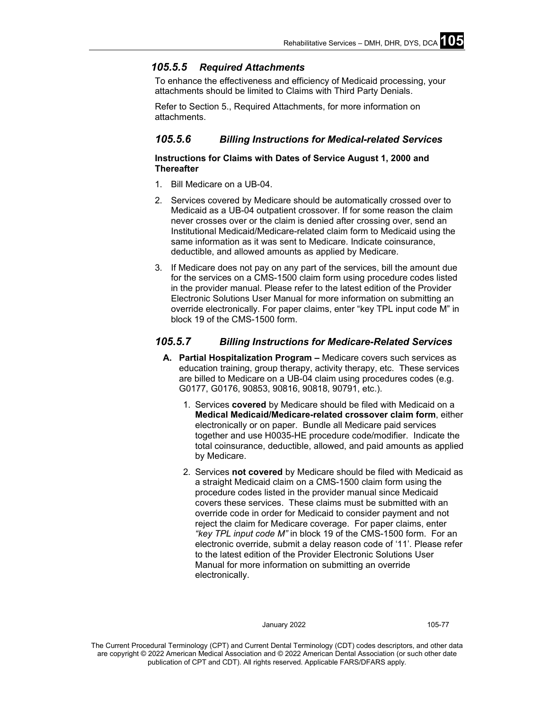## *105.5.5 Required Attachments*

To enhance the effectiveness and efficiency of Medicaid processing, your attachments should be limited to Claims with Third Party Denials.

Refer to Section 5., Required Attachments, for more information on attachments.

## *105.5.6 Billing Instructions for Medical-related Services*

### **Instructions for Claims with Dates of Service August 1, 2000 and Thereafter**

- 1. Bill Medicare on a UB-04.
- 2. Services covered by Medicare should be automatically crossed over to Medicaid as a UB-04 outpatient crossover. If for some reason the claim never crosses over or the claim is denied after crossing over, send an Institutional Medicaid/Medicare-related claim form to Medicaid using the same information as it was sent to Medicare. Indicate coinsurance, deductible, and allowed amounts as applied by Medicare.
- 3. If Medicare does not pay on any part of the services, bill the amount due for the services on a CMS-1500 claim form using procedure codes listed in the provider manual. Please refer to the latest edition of the Provider Electronic Solutions User Manual for more information on submitting an override electronically. For paper claims, enter "key TPL input code M" in block 19 of the CMS-1500 form.

## *105.5.7 Billing Instructions for Medicare-Related Services*

- **A. Partial Hospitalization Program –** Medicare covers such services as education training, group therapy, activity therapy, etc. These services are billed to Medicare on a UB-04 claim using procedures codes (e.g. G0177, G0176, 90853, 90816, 90818, 90791, etc.).
	- 1. Services **covered** by Medicare should be filed with Medicaid on a **Medical Medicaid/Medicare-related crossover claim form**, either electronically or on paper. Bundle all Medicare paid services together and use H0035-HE procedure code/modifier. Indicate the total coinsurance, deductible, allowed, and paid amounts as applied by Medicare.
	- 2. Services **not covered** by Medicare should be filed with Medicaid as a straight Medicaid claim on a CMS-1500 claim form using the procedure codes listed in the provider manual since Medicaid covers these services. These claims must be submitted with an override code in order for Medicaid to consider payment and not reject the claim for Medicare coverage. For paper claims, enter *"key TPL input code M"* in block 19 of the CMS-1500 form. For an electronic override, submit a delay reason code of '11'. Please refer to the latest edition of the Provider Electronic Solutions User Manual for more information on submitting an override electronically.

#### January 2022 105-77